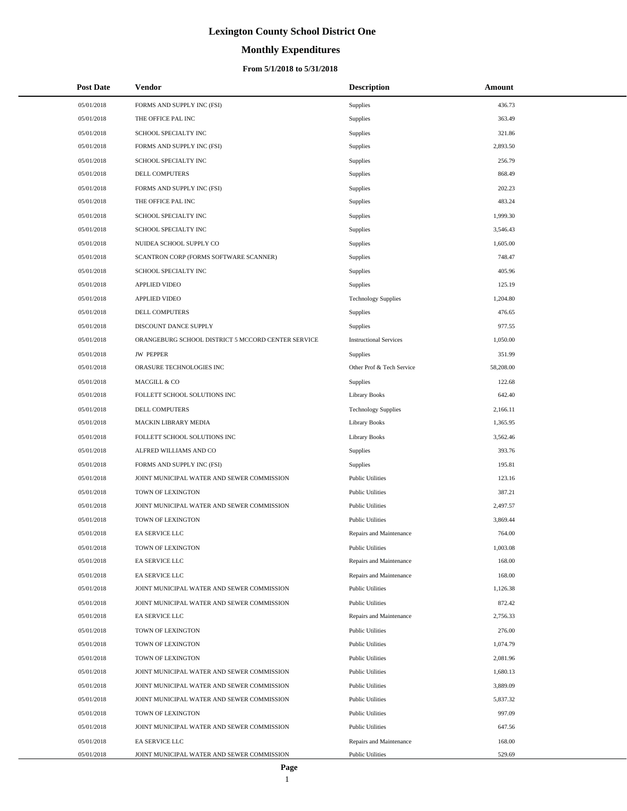# **Monthly Expenditures**

#### **From 5/1/2018 to 5/31/2018**

| <b>Post Date</b> | <b>Vendor</b>                                      | <b>Description</b>            | Amount    |
|------------------|----------------------------------------------------|-------------------------------|-----------|
| 05/01/2018       | FORMS AND SUPPLY INC (FSI)                         | Supplies                      | 436.73    |
| 05/01/2018       | THE OFFICE PAL INC                                 | Supplies                      | 363.49    |
| 05/01/2018       | SCHOOL SPECIALTY INC                               | Supplies                      | 321.86    |
| 05/01/2018       | FORMS AND SUPPLY INC (FSI)                         | Supplies                      | 2,893.50  |
| 05/01/2018       | SCHOOL SPECIALTY INC                               | Supplies                      | 256.79    |
| 05/01/2018       | DELL COMPUTERS                                     | Supplies                      | 868.49    |
| 05/01/2018       | FORMS AND SUPPLY INC (FSI)                         | Supplies                      | 202.23    |
| 05/01/2018       | THE OFFICE PAL INC                                 | Supplies                      | 483.24    |
| 05/01/2018       | SCHOOL SPECIALTY INC                               | Supplies                      | 1,999.30  |
| 05/01/2018       | SCHOOL SPECIALTY INC                               | Supplies                      | 3,546.43  |
| 05/01/2018       | NUIDEA SCHOOL SUPPLY CO                            | Supplies                      | 1,605.00  |
| 05/01/2018       | SCANTRON CORP (FORMS SOFTWARE SCANNER)             | Supplies                      | 748.47    |
| 05/01/2018       | SCHOOL SPECIALTY INC                               | Supplies                      | 405.96    |
| 05/01/2018       | <b>APPLIED VIDEO</b>                               | Supplies                      | 125.19    |
| 05/01/2018       | <b>APPLIED VIDEO</b>                               | <b>Technology Supplies</b>    | 1,204.80  |
| 05/01/2018       | <b>DELL COMPUTERS</b>                              | Supplies                      | 476.65    |
| 05/01/2018       | DISCOUNT DANCE SUPPLY                              | Supplies                      | 977.55    |
| 05/01/2018       | ORANGEBURG SCHOOL DISTRICT 5 MCCORD CENTER SERVICE | <b>Instructional Services</b> | 1,050.00  |
| 05/01/2018       | <b>JW PEPPER</b>                                   | Supplies                      | 351.99    |
| 05/01/2018       | ORASURE TECHNOLOGIES INC                           | Other Prof & Tech Service     | 58,208.00 |
| 05/01/2018       | MACGILL & CO                                       | Supplies                      | 122.68    |
| 05/01/2018       | FOLLETT SCHOOL SOLUTIONS INC                       | <b>Library Books</b>          | 642.40    |
| 05/01/2018       | DELL COMPUTERS                                     | <b>Technology Supplies</b>    | 2,166.11  |
| 05/01/2018       | <b>MACKIN LIBRARY MEDIA</b>                        | <b>Library Books</b>          | 1,365.95  |
| 05/01/2018       | FOLLETT SCHOOL SOLUTIONS INC                       | <b>Library Books</b>          | 3,562.46  |
| 05/01/2018       | ALFRED WILLIAMS AND CO                             | Supplies                      | 393.76    |
| 05/01/2018       | FORMS AND SUPPLY INC (FSI)                         | Supplies                      | 195.81    |
| 05/01/2018       | JOINT MUNICIPAL WATER AND SEWER COMMISSION         | <b>Public Utilities</b>       | 123.16    |
| 05/01/2018       | TOWN OF LEXINGTON                                  | <b>Public Utilities</b>       | 387.21    |
| 05/01/2018       | JOINT MUNICIPAL WATER AND SEWER COMMISSION         | <b>Public Utilities</b>       | 2,497.57  |
| 05/01/2018       | TOWN OF LEXINGTON                                  | <b>Public Utilities</b>       | 3,869.44  |
| 05/01/2018       | <b>EA SERVICE LLC</b>                              | Repairs and Maintenance       | 764.00    |
| 05/01/2018       | TOWN OF LEXINGTON                                  | <b>Public Utilities</b>       | 1,003.08  |
| 05/01/2018       | EA SERVICE LLC                                     | Repairs and Maintenance       | 168.00    |
| 05/01/2018       | EA SERVICE LLC                                     | Repairs and Maintenance       | 168.00    |
| 05/01/2018       | JOINT MUNICIPAL WATER AND SEWER COMMISSION         | <b>Public Utilities</b>       | 1,126.38  |
| 05/01/2018       | JOINT MUNICIPAL WATER AND SEWER COMMISSION         | <b>Public Utilities</b>       | 872.42    |
| 05/01/2018       | EA SERVICE LLC                                     | Repairs and Maintenance       | 2,756.33  |
| 05/01/2018       | TOWN OF LEXINGTON                                  | <b>Public Utilities</b>       | 276.00    |
| 05/01/2018       | TOWN OF LEXINGTON                                  | <b>Public Utilities</b>       | 1,074.79  |
| 05/01/2018       | TOWN OF LEXINGTON                                  | <b>Public Utilities</b>       | 2,081.96  |
| 05/01/2018       | JOINT MUNICIPAL WATER AND SEWER COMMISSION         | <b>Public Utilities</b>       | 1,680.13  |
| 05/01/2018       | JOINT MUNICIPAL WATER AND SEWER COMMISSION         | <b>Public Utilities</b>       | 3,889.09  |
| 05/01/2018       | JOINT MUNICIPAL WATER AND SEWER COMMISSION         | <b>Public Utilities</b>       | 5,837.32  |
| 05/01/2018       | TOWN OF LEXINGTON                                  | <b>Public Utilities</b>       | 997.09    |
| 05/01/2018       | JOINT MUNICIPAL WATER AND SEWER COMMISSION         | <b>Public Utilities</b>       | 647.56    |
| 05/01/2018       | EA SERVICE LLC                                     | Repairs and Maintenance       | 168.00    |
| 05/01/2018       | JOINT MUNICIPAL WATER AND SEWER COMMISSION         | <b>Public Utilities</b>       | 529.69    |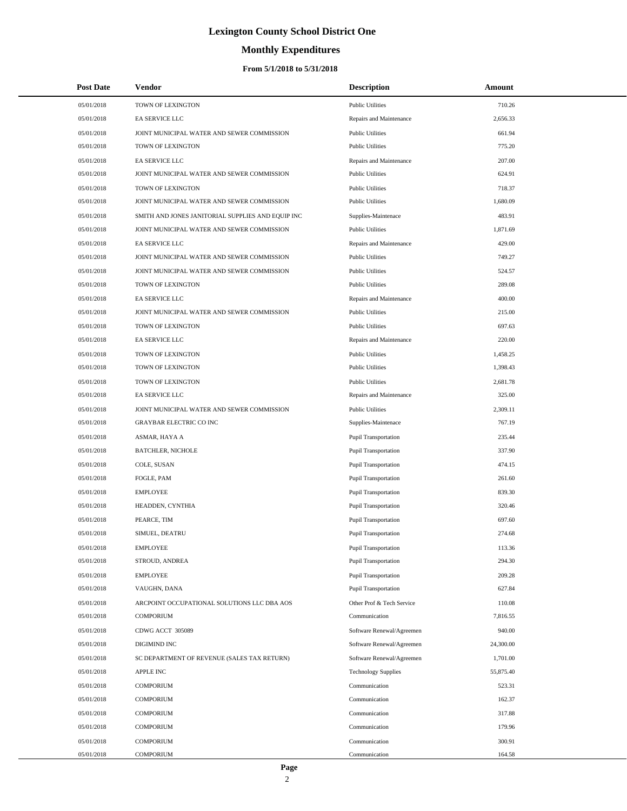# **Monthly Expenditures**

| <b>Post Date</b> | Vendor                                            | <b>Description</b>          | Amount    |
|------------------|---------------------------------------------------|-----------------------------|-----------|
| 05/01/2018       | TOWN OF LEXINGTON                                 | <b>Public Utilities</b>     | 710.26    |
| 05/01/2018       | EA SERVICE LLC                                    | Repairs and Maintenance     | 2,656.33  |
| 05/01/2018       | JOINT MUNICIPAL WATER AND SEWER COMMISSION        | <b>Public Utilities</b>     | 661.94    |
| 05/01/2018       | TOWN OF LEXINGTON                                 | <b>Public Utilities</b>     | 775.20    |
| 05/01/2018       | EA SERVICE LLC                                    | Repairs and Maintenance     | 207.00    |
| 05/01/2018       | JOINT MUNICIPAL WATER AND SEWER COMMISSION        | <b>Public Utilities</b>     | 624.91    |
| 05/01/2018       | TOWN OF LEXINGTON                                 | <b>Public Utilities</b>     | 718.37    |
| 05/01/2018       | JOINT MUNICIPAL WATER AND SEWER COMMISSION        | <b>Public Utilities</b>     | 1,680.09  |
| 05/01/2018       | SMITH AND JONES JANITORIAL SUPPLIES AND EQUIP INC | Supplies-Maintenace         | 483.91    |
| 05/01/2018       | JOINT MUNICIPAL WATER AND SEWER COMMISSION        | <b>Public Utilities</b>     | 1,871.69  |
| 05/01/2018       | EA SERVICE LLC                                    | Repairs and Maintenance     | 429.00    |
| 05/01/2018       | JOINT MUNICIPAL WATER AND SEWER COMMISSION        | <b>Public Utilities</b>     | 749.27    |
| 05/01/2018       | JOINT MUNICIPAL WATER AND SEWER COMMISSION        | <b>Public Utilities</b>     | 524.57    |
| 05/01/2018       | TOWN OF LEXINGTON                                 | <b>Public Utilities</b>     | 289.08    |
| 05/01/2018       | EA SERVICE LLC                                    | Repairs and Maintenance     | 400.00    |
| 05/01/2018       | JOINT MUNICIPAL WATER AND SEWER COMMISSION        | <b>Public Utilities</b>     | 215.00    |
| 05/01/2018       | TOWN OF LEXINGTON                                 | <b>Public Utilities</b>     | 697.63    |
| 05/01/2018       | EA SERVICE LLC                                    | Repairs and Maintenance     | 220.00    |
| 05/01/2018       | TOWN OF LEXINGTON                                 | <b>Public Utilities</b>     | 1,458.25  |
| 05/01/2018       | TOWN OF LEXINGTON                                 | <b>Public Utilities</b>     | 1,398.43  |
| 05/01/2018       | TOWN OF LEXINGTON                                 | <b>Public Utilities</b>     | 2,681.78  |
| 05/01/2018       | EA SERVICE LLC                                    | Repairs and Maintenance     | 325.00    |
| 05/01/2018       | JOINT MUNICIPAL WATER AND SEWER COMMISSION        | <b>Public Utilities</b>     | 2,309.11  |
| 05/01/2018       | <b>GRAYBAR ELECTRIC CO INC</b>                    | Supplies-Maintenace         | 767.19    |
| 05/01/2018       | ASMAR, HAYA A                                     | <b>Pupil Transportation</b> | 235.44    |
| 05/01/2018       | <b>BATCHLER, NICHOLE</b>                          | <b>Pupil Transportation</b> | 337.90    |
| 05/01/2018       | COLE, SUSAN                                       | <b>Pupil Transportation</b> | 474.15    |
| 05/01/2018       | FOGLE, PAM                                        | <b>Pupil Transportation</b> | 261.60    |
| 05/01/2018       | <b>EMPLOYEE</b>                                   | <b>Pupil Transportation</b> | 839.30    |
| 05/01/2018       | HEADDEN, CYNTHIA                                  | Pupil Transportation        | 320.46    |
| 05/01/2018       | PEARCE, TIM                                       | <b>Pupil Transportation</b> | 697.60    |
| 05/01/2018       | SIMUEL, DEATRU                                    | <b>Pupil Transportation</b> | 274.68    |
| 05/01/2018       | <b>EMPLOYEE</b>                                   | <b>Pupil Transportation</b> | 113.36    |
| 05/01/2018       | STROUD, ANDREA                                    | <b>Pupil Transportation</b> | 294.30    |
| 05/01/2018       | <b>EMPLOYEE</b>                                   | <b>Pupil Transportation</b> | 209.28    |
| 05/01/2018       | VAUGHN, DANA                                      | <b>Pupil Transportation</b> | 627.84    |
| 05/01/2018       | ARCPOINT OCCUPATIONAL SOLUTIONS LLC DBA AOS       | Other Prof & Tech Service   | 110.08    |
| 05/01/2018       | <b>COMPORIUM</b>                                  | Communication               | 7,816.55  |
| 05/01/2018       | CDWG ACCT 305089                                  | Software Renewal/Agreemen   | 940.00    |
| 05/01/2018       | DIGIMIND INC                                      | Software Renewal/Agreemen   | 24,300.00 |
| 05/01/2018       | SC DEPARTMENT OF REVENUE (SALES TAX RETURN)       | Software Renewal/Agreemen   | 1,701.00  |
| 05/01/2018       | APPLE INC                                         | <b>Technology Supplies</b>  | 55,875.40 |
| 05/01/2018       | <b>COMPORIUM</b>                                  | Communication               | 523.31    |
| 05/01/2018       | <b>COMPORIUM</b>                                  | Communication               | 162.37    |
| 05/01/2018       | <b>COMPORIUM</b>                                  | Communication               | 317.88    |
| 05/01/2018       | <b>COMPORIUM</b>                                  | Communication               | 179.96    |
| 05/01/2018       | <b>COMPORIUM</b>                                  | Communication               | 300.91    |
| 05/01/2018       | <b>COMPORIUM</b>                                  | Communication               | 164.58    |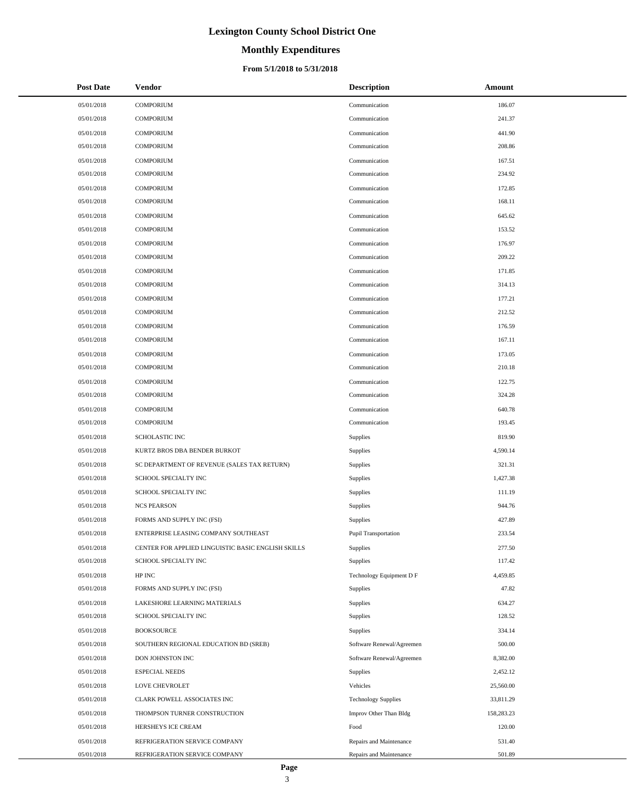# **Monthly Expenditures**

#### **From 5/1/2018 to 5/31/2018**

| <b>Post Date</b> | <b>Vendor</b>                                      | <b>Description</b>         | Amount     |
|------------------|----------------------------------------------------|----------------------------|------------|
| 05/01/2018       | <b>COMPORIUM</b>                                   | Communication              | 186.07     |
| 05/01/2018       | <b>COMPORIUM</b>                                   | Communication              | 241.37     |
| 05/01/2018       | <b>COMPORIUM</b>                                   | Communication              | 441.90     |
| 05/01/2018       | <b>COMPORIUM</b>                                   | Communication              | 208.86     |
| 05/01/2018       | <b>COMPORIUM</b>                                   | Communication              | 167.51     |
| 05/01/2018       | <b>COMPORIUM</b>                                   | Communication              | 234.92     |
| 05/01/2018       | <b>COMPORIUM</b>                                   | Communication              | 172.85     |
| 05/01/2018       | <b>COMPORIUM</b>                                   | Communication              | 168.11     |
| 05/01/2018       | <b>COMPORIUM</b>                                   | Communication              | 645.62     |
| 05/01/2018       | <b>COMPORIUM</b>                                   | Communication              | 153.52     |
| 05/01/2018       | <b>COMPORIUM</b>                                   | Communication              | 176.97     |
| 05/01/2018       | <b>COMPORIUM</b>                                   | Communication              | 209.22     |
| 05/01/2018       | <b>COMPORIUM</b>                                   | Communication              | 171.85     |
| 05/01/2018       | <b>COMPORIUM</b>                                   | Communication              | 314.13     |
| 05/01/2018       | <b>COMPORIUM</b>                                   | Communication              | 177.21     |
| 05/01/2018       | <b>COMPORIUM</b>                                   | Communication              | 212.52     |
| 05/01/2018       | <b>COMPORIUM</b>                                   | Communication              | 176.59     |
| 05/01/2018       | <b>COMPORIUM</b>                                   | Communication              | 167.11     |
| 05/01/2018       | <b>COMPORIUM</b>                                   | Communication              | 173.05     |
| 05/01/2018       | <b>COMPORIUM</b>                                   | Communication              | 210.18     |
| 05/01/2018       | <b>COMPORIUM</b>                                   | Communication              | 122.75     |
| 05/01/2018       | <b>COMPORIUM</b>                                   | Communication              | 324.28     |
| 05/01/2018       | <b>COMPORIUM</b>                                   | Communication              | 640.78     |
| 05/01/2018       | <b>COMPORIUM</b>                                   | Communication              | 193.45     |
| 05/01/2018       | <b>SCHOLASTIC INC</b>                              | Supplies                   | 819.90     |
| 05/01/2018       | KURTZ BROS DBA BENDER BURKOT                       | Supplies                   | 4,590.14   |
| 05/01/2018       | SC DEPARTMENT OF REVENUE (SALES TAX RETURN)        | Supplies                   | 321.31     |
| 05/01/2018       | SCHOOL SPECIALTY INC                               | Supplies                   | 1,427.38   |
| 05/01/2018       | SCHOOL SPECIALTY INC                               | Supplies                   | 111.19     |
| 05/01/2018       | <b>NCS PEARSON</b>                                 | Supplies                   | 944.76     |
| 05/01/2018       | FORMS AND SUPPLY INC (FSI)                         | Supplies                   | 427.89     |
| 05/01/2018       | ENTERPRISE LEASING COMPANY SOUTHEAST               | Pupil Transportation       | 233.54     |
| 05/01/2018       | CENTER FOR APPLIED LINGUISTIC BASIC ENGLISH SKILLS | Supplies                   | 277.50     |
| 05/01/2018       | SCHOOL SPECIALTY INC                               | Supplies                   | 117.42     |
| 05/01/2018       | HP INC                                             | Technology Equipment D F   | 4,459.85   |
| 05/01/2018       | FORMS AND SUPPLY INC (FSI)                         | Supplies                   | 47.82      |
| 05/01/2018       | LAKESHORE LEARNING MATERIALS                       | Supplies                   | 634.27     |
| 05/01/2018       | SCHOOL SPECIALTY INC                               | Supplies                   | 128.52     |
| 05/01/2018       | <b>BOOKSOURCE</b>                                  | Supplies                   | 334.14     |
| 05/01/2018       | SOUTHERN REGIONAL EDUCATION BD (SREB)              | Software Renewal/Agreemen  | 500.00     |
| 05/01/2018       | DON JOHNSTON INC                                   | Software Renewal/Agreemen  | 8,382.00   |
| 05/01/2018       | <b>ESPECIAL NEEDS</b>                              | Supplies                   | 2,452.12   |
| 05/01/2018       | LOVE CHEVROLET                                     | Vehicles                   | 25,560.00  |
| 05/01/2018       | CLARK POWELL ASSOCIATES INC                        | <b>Technology Supplies</b> | 33,811.29  |
| 05/01/2018       | THOMPSON TURNER CONSTRUCTION                       | Improv Other Than Bldg     | 158,283.23 |
| 05/01/2018       | HERSHEYS ICE CREAM                                 | Food                       | 120.00     |
| 05/01/2018       | REFRIGERATION SERVICE COMPANY                      | Repairs and Maintenance    | 531.40     |
| 05/01/2018       | REFRIGERATION SERVICE COMPANY                      | Repairs and Maintenance    | 501.89     |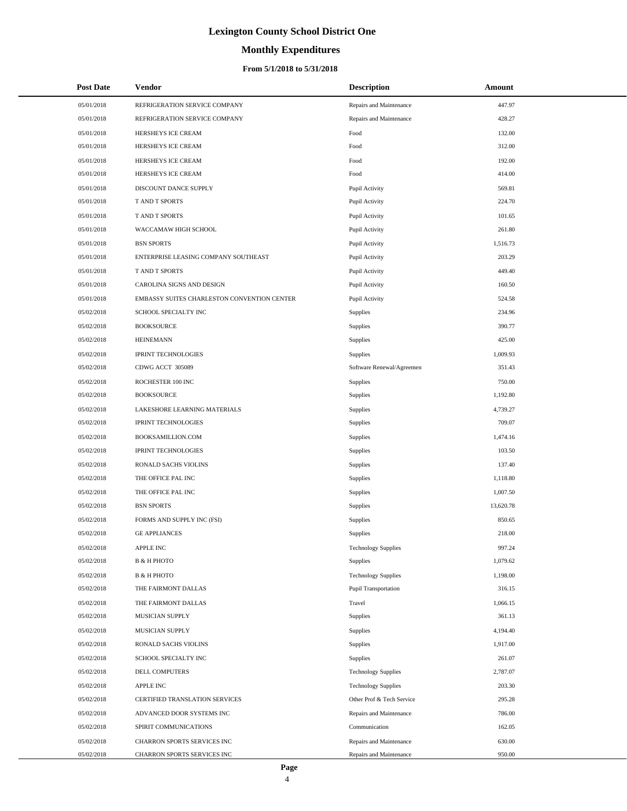# **Monthly Expenditures**

#### **From 5/1/2018 to 5/31/2018**

| <b>Post Date</b> | Vendor                                      | <b>Description</b>          | Amount    |
|------------------|---------------------------------------------|-----------------------------|-----------|
| 05/01/2018       | REFRIGERATION SERVICE COMPANY               | Repairs and Maintenance     | 447.97    |
| 05/01/2018       | REFRIGERATION SERVICE COMPANY               | Repairs and Maintenance     | 428.27    |
| 05/01/2018       | HERSHEYS ICE CREAM                          | Food                        | 132.00    |
| 05/01/2018       | HERSHEYS ICE CREAM                          | Food                        | 312.00    |
| 05/01/2018       | HERSHEYS ICE CREAM                          | Food                        | 192.00    |
| 05/01/2018       | HERSHEYS ICE CREAM                          | Food                        | 414.00    |
| 05/01/2018       | DISCOUNT DANCE SUPPLY                       | Pupil Activity              | 569.81    |
| 05/01/2018       | T AND T SPORTS                              | Pupil Activity              | 224.70    |
| 05/01/2018       | T AND T SPORTS                              | Pupil Activity              | 101.65    |
| 05/01/2018       | WACCAMAW HIGH SCHOOL                        | Pupil Activity              | 261.80    |
| 05/01/2018       | <b>BSN SPORTS</b>                           | Pupil Activity              | 1,516.73  |
| 05/01/2018       | ENTERPRISE LEASING COMPANY SOUTHEAST        | Pupil Activity              | 203.29    |
| 05/01/2018       | <b>T AND T SPORTS</b>                       | Pupil Activity              | 449.40    |
| 05/01/2018       | CAROLINA SIGNS AND DESIGN                   | Pupil Activity              | 160.50    |
| 05/01/2018       | EMBASSY SUITES CHARLESTON CONVENTION CENTER | Pupil Activity              | 524.58    |
| 05/02/2018       | SCHOOL SPECIALTY INC                        | Supplies                    | 234.96    |
| 05/02/2018       | <b>BOOKSOURCE</b>                           | Supplies                    | 390.77    |
| 05/02/2018       | <b>HEINEMANN</b>                            | Supplies                    | 425.00    |
| 05/02/2018       | <b>IPRINT TECHNOLOGIES</b>                  | Supplies                    | 1,009.93  |
| 05/02/2018       | CDWG ACCT 305089                            | Software Renewal/Agreemen   | 351.43    |
| 05/02/2018       | ROCHESTER 100 INC                           | Supplies                    | 750.00    |
| 05/02/2018       | <b>BOOKSOURCE</b>                           | Supplies                    | 1,192.80  |
| 05/02/2018       | LAKESHORE LEARNING MATERIALS                | Supplies                    | 4,739.27  |
| 05/02/2018       | <b>IPRINT TECHNOLOGIES</b>                  | Supplies                    | 709.07    |
| 05/02/2018       | BOOKSAMILLION.COM                           | Supplies                    | 1,474.16  |
| 05/02/2018       | <b>IPRINT TECHNOLOGIES</b>                  | Supplies                    | 103.50    |
| 05/02/2018       | RONALD SACHS VIOLINS                        | Supplies                    | 137.40    |
| 05/02/2018       | THE OFFICE PAL INC                          | Supplies                    | 1,118.80  |
| 05/02/2018       | THE OFFICE PAL INC                          | Supplies                    | 1,007.50  |
| 05/02/2018       | <b>BSN SPORTS</b>                           | Supplies                    | 13,620.78 |
| 05/02/2018       | FORMS AND SUPPLY INC (FSI)                  | Supplies                    | 850.65    |
| 05/02/2018       | <b>GE APPLIANCES</b>                        | Supplies                    | 218.00    |
| 05/02/2018       | <b>APPLE INC</b>                            | <b>Technology Supplies</b>  | 997.24    |
| 05/02/2018       | <b>B &amp; H PHOTO</b>                      | Supplies                    | 1,079.62  |
| 05/02/2018       | <b>B &amp; H PHOTO</b>                      | <b>Technology Supplies</b>  | 1,198.00  |
| 05/02/2018       | THE FAIRMONT DALLAS                         | <b>Pupil Transportation</b> | 316.15    |
| 05/02/2018       | THE FAIRMONT DALLAS                         | Travel                      | 1,066.15  |
| 05/02/2018       | MUSICIAN SUPPLY                             | Supplies                    | 361.13    |
| 05/02/2018       | MUSICIAN SUPPLY                             | Supplies                    | 4,194.40  |
| 05/02/2018       | RONALD SACHS VIOLINS                        | Supplies                    | 1,917.00  |
| 05/02/2018       | SCHOOL SPECIALTY INC                        | Supplies                    | 261.07    |
| 05/02/2018       | DELL COMPUTERS                              | <b>Technology Supplies</b>  | 2,787.07  |
| 05/02/2018       | APPLE INC                                   | <b>Technology Supplies</b>  | 203.30    |
| 05/02/2018       | CERTIFIED TRANSLATION SERVICES              | Other Prof & Tech Service   | 295.28    |
| 05/02/2018       | ADVANCED DOOR SYSTEMS INC                   | Repairs and Maintenance     | 786.00    |
| 05/02/2018       | SPIRIT COMMUNICATIONS                       | Communication               | 162.05    |
| 05/02/2018       | CHARRON SPORTS SERVICES INC                 | Repairs and Maintenance     | 630.00    |
| 05/02/2018       | CHARRON SPORTS SERVICES INC                 | Repairs and Maintenance     | 950.00    |

 $\overline{a}$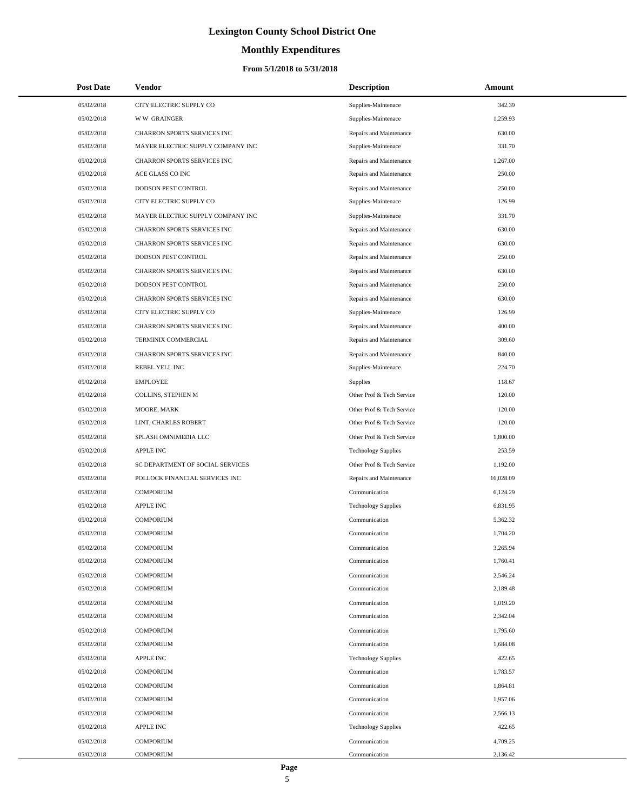# **Monthly Expenditures**

| <b>Post Date</b> | Vendor                            | <b>Description</b>         | Amount    |
|------------------|-----------------------------------|----------------------------|-----------|
| 05/02/2018       | CITY ELECTRIC SUPPLY CO           | Supplies-Maintenace        | 342.39    |
| 05/02/2018       | <b>WW GRAINGER</b>                | Supplies-Maintenace        | 1,259.93  |
| 05/02/2018       | CHARRON SPORTS SERVICES INC       | Repairs and Maintenance    | 630.00    |
| 05/02/2018       | MAYER ELECTRIC SUPPLY COMPANY INC | Supplies-Maintenace        | 331.70    |
| 05/02/2018       | CHARRON SPORTS SERVICES INC       | Repairs and Maintenance    | 1,267.00  |
| 05/02/2018       | ACE GLASS CO INC                  | Repairs and Maintenance    | 250.00    |
| 05/02/2018       | DODSON PEST CONTROL               | Repairs and Maintenance    | 250.00    |
| 05/02/2018       | CITY ELECTRIC SUPPLY CO           | Supplies-Maintenace        | 126.99    |
| 05/02/2018       | MAYER ELECTRIC SUPPLY COMPANY INC | Supplies-Maintenace        | 331.70    |
| 05/02/2018       | CHARRON SPORTS SERVICES INC       | Repairs and Maintenance    | 630.00    |
| 05/02/2018       | CHARRON SPORTS SERVICES INC       | Repairs and Maintenance    | 630.00    |
| 05/02/2018       | DODSON PEST CONTROL               | Repairs and Maintenance    | 250.00    |
| 05/02/2018       | CHARRON SPORTS SERVICES INC       | Repairs and Maintenance    | 630.00    |
| 05/02/2018       | DODSON PEST CONTROL               | Repairs and Maintenance    | 250.00    |
| 05/02/2018       | CHARRON SPORTS SERVICES INC       | Repairs and Maintenance    | 630.00    |
| 05/02/2018       | CITY ELECTRIC SUPPLY CO           | Supplies-Maintenace        | 126.99    |
| 05/02/2018       | CHARRON SPORTS SERVICES INC       | Repairs and Maintenance    | 400.00    |
| 05/02/2018       | TERMINIX COMMERCIAL               | Repairs and Maintenance    | 309.60    |
| 05/02/2018       | CHARRON SPORTS SERVICES INC       | Repairs and Maintenance    | 840.00    |
| 05/02/2018       | REBEL YELL INC                    | Supplies-Maintenace        | 224.70    |
| 05/02/2018       | <b>EMPLOYEE</b>                   | Supplies                   | 118.67    |
| 05/02/2018       | COLLINS, STEPHEN M                | Other Prof & Tech Service  | 120.00    |
| 05/02/2018       | MOORE, MARK                       | Other Prof & Tech Service  | 120.00    |
| 05/02/2018       | LINT, CHARLES ROBERT              | Other Prof & Tech Service  | 120.00    |
| 05/02/2018       | SPLASH OMNIMEDIA LLC              | Other Prof & Tech Service  | 1,800.00  |
| 05/02/2018       | <b>APPLE INC</b>                  | <b>Technology Supplies</b> | 253.59    |
| 05/02/2018       | SC DEPARTMENT OF SOCIAL SERVICES  | Other Prof & Tech Service  | 1,192.00  |
| 05/02/2018       | POLLOCK FINANCIAL SERVICES INC    | Repairs and Maintenance    | 16,028.09 |
| 05/02/2018       | <b>COMPORIUM</b>                  | Communication              | 6,124.29  |
| 05/02/2018       | <b>APPLE INC</b>                  | <b>Technology Supplies</b> | 6,831.95  |
| 05/02/2018       | <b>COMPORIUM</b>                  | Communication              | 5,362.32  |
| 05/02/2018       | <b>COMPORIUM</b>                  | Communication              | 1,704.20  |
| 05/02/2018       | COMPORIUM                         | Communication              | 3,265.94  |
| 05/02/2018       | <b>COMPORIUM</b>                  | Communication              | 1,760.41  |
| 05/02/2018       | <b>COMPORIUM</b>                  | Communication              | 2,546.24  |
| 05/02/2018       | <b>COMPORIUM</b>                  | Communication              | 2,189.48  |
| 05/02/2018       | <b>COMPORIUM</b>                  | Communication              | 1,019.20  |
| 05/02/2018       | <b>COMPORIUM</b>                  | Communication              | 2,342.04  |
| 05/02/2018       | <b>COMPORIUM</b>                  | Communication              | 1,795.60  |
| 05/02/2018       | <b>COMPORIUM</b>                  | Communication              | 1,684.08  |
| 05/02/2018       | <b>APPLE INC</b>                  | <b>Technology Supplies</b> | 422.65    |
| 05/02/2018       | <b>COMPORIUM</b>                  | Communication              | 1,783.57  |
| 05/02/2018       | <b>COMPORIUM</b>                  | Communication              | 1,864.81  |
| 05/02/2018       | <b>COMPORIUM</b>                  | Communication              | 1,957.06  |
| 05/02/2018       | <b>COMPORIUM</b>                  | Communication              | 2,566.13  |
| 05/02/2018       | <b>APPLE INC</b>                  | <b>Technology Supplies</b> | 422.65    |
| 05/02/2018       | <b>COMPORIUM</b>                  | Communication              | 4,709.25  |
| 05/02/2018       | <b>COMPORIUM</b>                  | Communication              | 2,136.42  |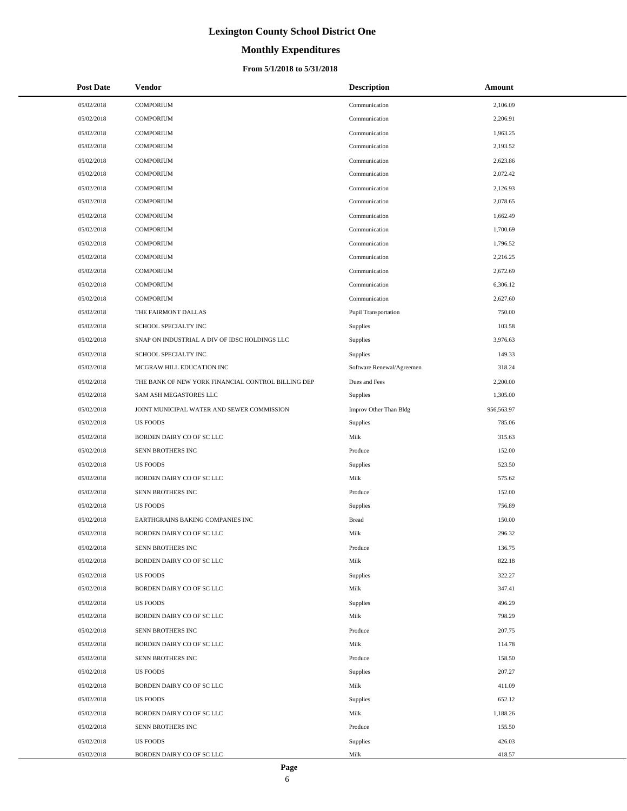# **Monthly Expenditures**

| <b>Post Date</b> | Vendor                                             | <b>Description</b>          | <b>Amount</b> |
|------------------|----------------------------------------------------|-----------------------------|---------------|
| 05/02/2018       | <b>COMPORIUM</b>                                   | Communication               | 2,106.09      |
| 05/02/2018       | <b>COMPORIUM</b>                                   | Communication               | 2,206.91      |
| 05/02/2018       | <b>COMPORIUM</b>                                   | Communication               | 1,963.25      |
| 05/02/2018       | <b>COMPORIUM</b>                                   | Communication               | 2,193.52      |
| 05/02/2018       | <b>COMPORIUM</b>                                   | Communication               | 2,623.86      |
| 05/02/2018       | <b>COMPORIUM</b>                                   | Communication               | 2,072.42      |
| 05/02/2018       | <b>COMPORIUM</b>                                   | Communication               | 2,126.93      |
| 05/02/2018       | <b>COMPORIUM</b>                                   | Communication               | 2,078.65      |
| 05/02/2018       | <b>COMPORIUM</b>                                   | Communication               | 1,662.49      |
| 05/02/2018       | <b>COMPORIUM</b>                                   | Communication               | 1,700.69      |
| 05/02/2018       | <b>COMPORIUM</b>                                   | Communication               | 1,796.52      |
| 05/02/2018       | <b>COMPORIUM</b>                                   | Communication               | 2,216.25      |
| 05/02/2018       | <b>COMPORIUM</b>                                   | Communication               | 2,672.69      |
| 05/02/2018       | <b>COMPORIUM</b>                                   | Communication               | 6,306.12      |
| 05/02/2018       | <b>COMPORIUM</b>                                   | Communication               | 2,627.60      |
| 05/02/2018       | THE FAIRMONT DALLAS                                | <b>Pupil Transportation</b> | 750.00        |
| 05/02/2018       | SCHOOL SPECIALTY INC                               | Supplies                    | 103.58        |
| 05/02/2018       | SNAP ON INDUSTRIAL A DIV OF IDSC HOLDINGS LLC      | Supplies                    | 3,976.63      |
| 05/02/2018       | SCHOOL SPECIALTY INC                               | Supplies                    | 149.33        |
| 05/02/2018       | MCGRAW HILL EDUCATION INC                          | Software Renewal/Agreemen   | 318.24        |
| 05/02/2018       | THE BANK OF NEW YORK FINANCIAL CONTROL BILLING DEP | Dues and Fees               | 2,200.00      |
| 05/02/2018       | SAM ASH MEGASTORES LLC                             | Supplies                    | 1,305.00      |
| 05/02/2018       | JOINT MUNICIPAL WATER AND SEWER COMMISSION         | Improv Other Than Bldg      | 956,563.97    |
| 05/02/2018       | <b>US FOODS</b>                                    | Supplies                    | 785.06        |
| 05/02/2018       | BORDEN DAIRY CO OF SC LLC                          | Milk                        | 315.63        |
| 05/02/2018       | SENN BROTHERS INC                                  | Produce                     | 152.00        |
| 05/02/2018       | <b>US FOODS</b>                                    | Supplies                    | 523.50        |
| 05/02/2018       | BORDEN DAIRY CO OF SC LLC                          | Milk                        | 575.62        |
| 05/02/2018       | SENN BROTHERS INC                                  | Produce                     | 152.00        |
| 05/02/2018       | <b>US FOODS</b>                                    | Supplies                    | 756.89        |
| 05/02/2018       | EARTHGRAINS BAKING COMPANIES INC                   | <b>Bread</b>                | 150.00        |
| 05/02/2018       | BORDEN DAIRY CO OF SC LLC                          | Milk                        | 296.32        |
| 05/02/2018       | SENN BROTHERS INC                                  | Produce                     | 136.75        |
| 05/02/2018       | BORDEN DAIRY CO OF SC LLC                          | Milk                        | 822.18        |
| 05/02/2018       | <b>US FOODS</b>                                    | Supplies                    | 322.27        |
| 05/02/2018       | BORDEN DAIRY CO OF SC LLC                          | Milk                        | 347.41        |
| 05/02/2018       | <b>US FOODS</b>                                    | Supplies                    | 496.29        |
| 05/02/2018       | BORDEN DAIRY CO OF SC LLC                          | Milk                        | 798.29        |
| 05/02/2018       | SENN BROTHERS INC                                  | Produce                     | 207.75        |
| 05/02/2018       | BORDEN DAIRY CO OF SC LLC                          | Milk                        | 114.78        |
| 05/02/2018       | SENN BROTHERS INC                                  | Produce                     | 158.50        |
| 05/02/2018       | <b>US FOODS</b>                                    | Supplies                    | 207.27        |
| 05/02/2018       | BORDEN DAIRY CO OF SC LLC                          | Milk                        | 411.09        |
| 05/02/2018       | <b>US FOODS</b>                                    | Supplies                    | 652.12        |
| 05/02/2018       | BORDEN DAIRY CO OF SC LLC                          | Milk                        | 1,188.26      |
| 05/02/2018       | SENN BROTHERS INC                                  | Produce                     | 155.50        |
| 05/02/2018       | <b>US FOODS</b>                                    | Supplies                    | 426.03        |
| 05/02/2018       | BORDEN DAIRY CO OF SC LLC                          | Milk                        | 418.57        |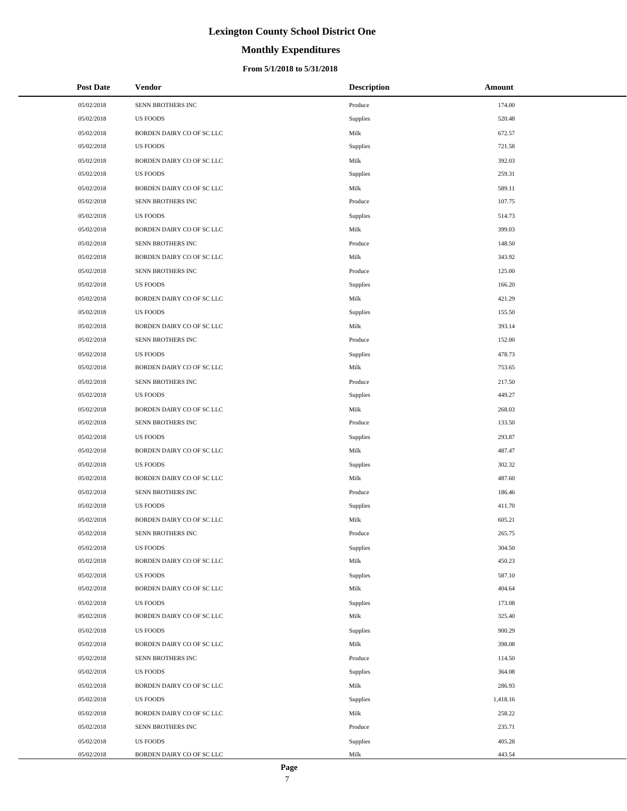# **Monthly Expenditures**

#### **From 5/1/2018 to 5/31/2018**

| <b>Post Date</b> | <b>Vendor</b>             | <b>Description</b> | Amount   |
|------------------|---------------------------|--------------------|----------|
| 05/02/2018       | SENN BROTHERS INC         | Produce            | 174.00   |
| 05/02/2018       | <b>US FOODS</b>           | Supplies           | 520.48   |
| 05/02/2018       | BORDEN DAIRY CO OF SC LLC | Milk               | 672.57   |
| 05/02/2018       | <b>US FOODS</b>           | Supplies           | 721.58   |
| 05/02/2018       | BORDEN DAIRY CO OF SC LLC | Milk               | 392.03   |
| 05/02/2018       | <b>US FOODS</b>           | Supplies           | 259.31   |
| 05/02/2018       | BORDEN DAIRY CO OF SC LLC | Milk               | 589.11   |
| 05/02/2018       | SENN BROTHERS INC         | Produce            | 107.75   |
| 05/02/2018       | <b>US FOODS</b>           | Supplies           | 514.73   |
| 05/02/2018       | BORDEN DAIRY CO OF SC LLC | Milk               | 399.03   |
| 05/02/2018       | SENN BROTHERS INC         | Produce            | 148.50   |
| 05/02/2018       | BORDEN DAIRY CO OF SC LLC | Milk               | 343.92   |
| 05/02/2018       | SENN BROTHERS INC         | Produce            | 125.00   |
| 05/02/2018       | <b>US FOODS</b>           | Supplies           | 166.20   |
| 05/02/2018       | BORDEN DAIRY CO OF SC LLC | Milk               | 421.29   |
| 05/02/2018       | <b>US FOODS</b>           | Supplies           | 155.50   |
| 05/02/2018       | BORDEN DAIRY CO OF SC LLC | Milk               | 393.14   |
| 05/02/2018       | SENN BROTHERS INC         | Produce            | 152.00   |
| 05/02/2018       | <b>US FOODS</b>           | Supplies           | 478.73   |
| 05/02/2018       | BORDEN DAIRY CO OF SC LLC | Milk               | 753.65   |
| 05/02/2018       | SENN BROTHERS INC         | Produce            | 217.50   |
| 05/02/2018       | <b>US FOODS</b>           | Supplies           | 449.27   |
| 05/02/2018       | BORDEN DAIRY CO OF SC LLC | Milk               | 268.03   |
| 05/02/2018       | SENN BROTHERS INC         | Produce            | 133.50   |
| 05/02/2018       | <b>US FOODS</b>           | Supplies           | 293.87   |
| 05/02/2018       | BORDEN DAIRY CO OF SC LLC | Milk               | 487.47   |
| 05/02/2018       | <b>US FOODS</b>           | Supplies           | 302.32   |
| 05/02/2018       | BORDEN DAIRY CO OF SC LLC | Milk               | 487.60   |
| 05/02/2018       | SENN BROTHERS INC         | Produce            | 186.46   |
| 05/02/2018       | <b>US FOODS</b>           | Supplies           | 411.70   |
| 05/02/2018       | BORDEN DAIRY CO OF SC LLC | Milk               | 605.21   |
| 05/02/2018       | SENN BROTHERS INC         | Produce            | 265.75   |
| 05/02/2018       | <b>US FOODS</b>           | Supplies           | 304.50   |
| 05/02/2018       | BORDEN DAIRY CO OF SC LLC | Milk               | 450.23   |
| 05/02/2018       | <b>US FOODS</b>           | Supplies           | 587.10   |
| 05/02/2018       | BORDEN DAIRY CO OF SC LLC | Milk               | 404.64   |
| 05/02/2018       | <b>US FOODS</b>           | Supplies           | 173.08   |
| 05/02/2018       | BORDEN DAIRY CO OF SC LLC | Milk               | 325.40   |
| 05/02/2018       | <b>US FOODS</b>           | Supplies           | 900.29   |
| 05/02/2018       | BORDEN DAIRY CO OF SC LLC | Milk               | 398.08   |
| 05/02/2018       | SENN BROTHERS INC         | Produce            | 114.50   |
| 05/02/2018       | <b>US FOODS</b>           | Supplies           | 364.08   |
| 05/02/2018       | BORDEN DAIRY CO OF SC LLC | Milk               | 286.93   |
| 05/02/2018       | <b>US FOODS</b>           | Supplies           | 1,418.16 |
| 05/02/2018       | BORDEN DAIRY CO OF SC LLC | Milk               | 258.22   |
| 05/02/2018       | SENN BROTHERS INC         | Produce            | 235.71   |
| 05/02/2018       | <b>US FOODS</b>           | <b>Supplies</b>    | 405.28   |
| 05/02/2018       | BORDEN DAIRY CO OF SC LLC | Milk               | 443.54   |

÷.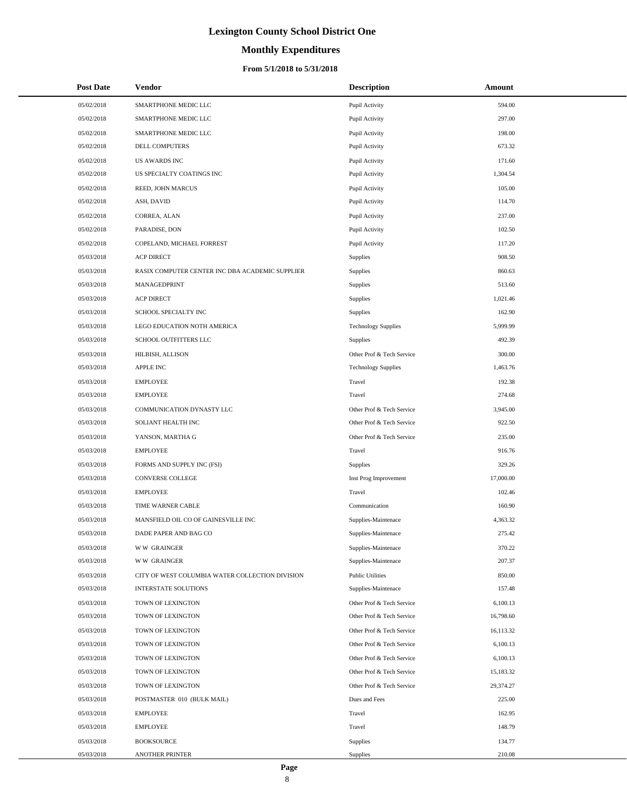# **Monthly Expenditures**

| <b>Post Date</b> | Vendor                                          | <b>Description</b>         | Amount    |
|------------------|-------------------------------------------------|----------------------------|-----------|
| 05/02/2018       | SMARTPHONE MEDIC LLC                            | Pupil Activity             | 594.00    |
| 05/02/2018       | SMARTPHONE MEDIC LLC                            | Pupil Activity             | 297.00    |
| 05/02/2018       | SMARTPHONE MEDIC LLC                            | Pupil Activity             | 198.00    |
| 05/02/2018       | DELL COMPUTERS                                  | Pupil Activity             | 673.32    |
| 05/02/2018       | <b>US AWARDS INC</b>                            | Pupil Activity             | 171.60    |
| 05/02/2018       | US SPECIALTY COATINGS INC                       | Pupil Activity             | 1,304.54  |
| 05/02/2018       | REED, JOHN MARCUS                               | Pupil Activity             | 105.00    |
| 05/02/2018       | ASH, DAVID                                      | Pupil Activity             | 114.70    |
| 05/02/2018       | CORREA, ALAN                                    | Pupil Activity             | 237.00    |
| 05/02/2018       | PARADISE, DON                                   | Pupil Activity             | 102.50    |
| 05/02/2018       | COPELAND, MICHAEL FORREST                       | Pupil Activity             | 117.20    |
| 05/03/2018       | <b>ACP DIRECT</b>                               | Supplies                   | 908.50    |
| 05/03/2018       | RASIX COMPUTER CENTER INC DBA ACADEMIC SUPPLIER | Supplies                   | 860.63    |
| 05/03/2018       | MANAGEDPRINT                                    | Supplies                   | 513.60    |
| 05/03/2018       | <b>ACP DIRECT</b>                               | Supplies                   | 1,021.46  |
| 05/03/2018       | SCHOOL SPECIALTY INC                            | Supplies                   | 162.90    |
| 05/03/2018       | LEGO EDUCATION NOTH AMERICA                     | <b>Technology Supplies</b> | 5,999.99  |
| 05/03/2018       | SCHOOL OUTFITTERS LLC                           | Supplies                   | 492.39    |
| 05/03/2018       | HILBISH, ALLISON                                | Other Prof & Tech Service  | 300.00    |
| 05/03/2018       | <b>APPLE INC</b>                                | <b>Technology Supplies</b> | 1,463.76  |
| 05/03/2018       | <b>EMPLOYEE</b>                                 | Travel                     | 192.38    |
| 05/03/2018       | <b>EMPLOYEE</b>                                 | Travel                     | 274.68    |
| 05/03/2018       | COMMUNICATION DYNASTY LLC                       | Other Prof & Tech Service  | 3,945.00  |
| 05/03/2018       | SOLIANT HEALTH INC                              | Other Prof & Tech Service  | 922.50    |
| 05/03/2018       | YANSON, MARTHA G                                | Other Prof & Tech Service  | 235.00    |
| 05/03/2018       | <b>EMPLOYEE</b>                                 | Travel                     | 916.76    |
| 05/03/2018       | FORMS AND SUPPLY INC (FSI)                      | Supplies                   | 329.26    |
| 05/03/2018       | <b>CONVERSE COLLEGE</b>                         | Inst Prog Improvement      | 17,000.00 |
| 05/03/2018       | <b>EMPLOYEE</b>                                 | Travel                     | 102.46    |
| 05/03/2018       | TIME WARNER CABLE                               | Communication              | 160.90    |
| 05/03/2018       | MANSFIELD OIL CO OF GAINESVILLE INC             | Supplies-Maintenace        | 4,363.32  |
| 05/03/2018       | DADE PAPER AND BAG CO                           | Supplies-Maintenace        | 275.42    |
| 05/03/2018       | <b>WW GRAINGER</b>                              | Supplies-Maintenace        | 370.22    |
| 05/03/2018       | <b>WW GRAINGER</b>                              | Supplies-Maintenace        | 207.37    |
| 05/03/2018       | CITY OF WEST COLUMBIA WATER COLLECTION DIVISION | <b>Public Utilities</b>    | 850.00    |
| 05/03/2018       | INTERSTATE SOLUTIONS                            | Supplies-Maintenace        | 157.48    |
| 05/03/2018       | TOWN OF LEXINGTON                               | Other Prof & Tech Service  | 6,100.13  |
| 05/03/2018       | TOWN OF LEXINGTON                               | Other Prof & Tech Service  | 16,798.60 |
| 05/03/2018       | TOWN OF LEXINGTON                               | Other Prof & Tech Service  | 16,113.32 |
| 05/03/2018       | TOWN OF LEXINGTON                               | Other Prof & Tech Service  | 6,100.13  |
| 05/03/2018       | TOWN OF LEXINGTON                               | Other Prof & Tech Service  | 6,100.13  |
| 05/03/2018       | TOWN OF LEXINGTON                               | Other Prof & Tech Service  | 15,183.32 |
| 05/03/2018       | TOWN OF LEXINGTON                               | Other Prof & Tech Service  | 29,374.27 |
| 05/03/2018       | POSTMASTER 010 (BULK MAIL)                      | Dues and Fees              | 225.00    |
| 05/03/2018       | <b>EMPLOYEE</b>                                 | Travel                     | 162.95    |
| 05/03/2018       | EMPLOYEE                                        | Travel                     | 148.79    |
| 05/03/2018       | <b>BOOKSOURCE</b>                               | Supplies                   | 134.77    |
| 05/03/2018       | ANOTHER PRINTER                                 | Supplies                   | 210.08    |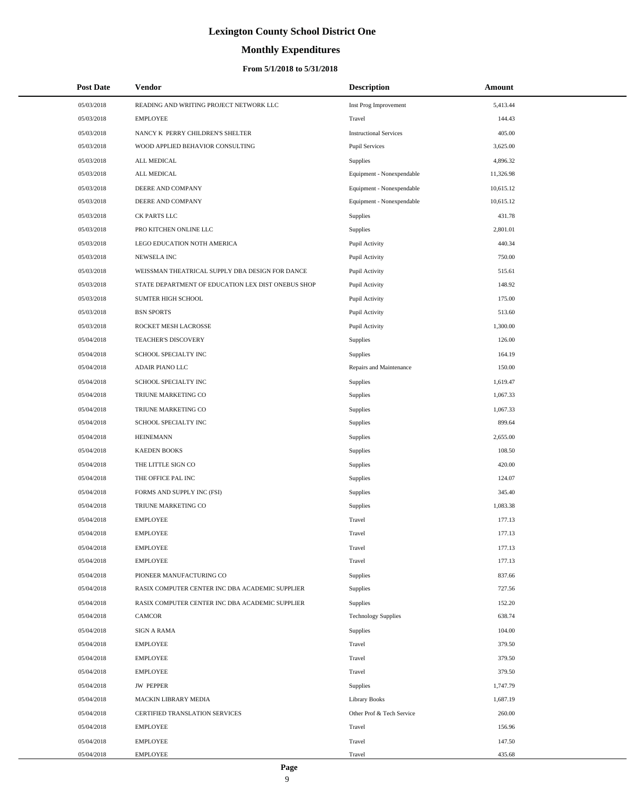# **Monthly Expenditures**

#### **From 5/1/2018 to 5/31/2018**

| <b>Post Date</b> | <b>Vendor</b>                                      | <b>Description</b>            | Amount    |
|------------------|----------------------------------------------------|-------------------------------|-----------|
| 05/03/2018       | READING AND WRITING PROJECT NETWORK LLC            | Inst Prog Improvement         | 5,413.44  |
| 05/03/2018       | <b>EMPLOYEE</b>                                    | Travel                        | 144.43    |
| 05/03/2018       | NANCY K PERRY CHILDREN'S SHELTER                   | <b>Instructional Services</b> | 405.00    |
| 05/03/2018       | WOOD APPLIED BEHAVIOR CONSULTING                   | <b>Pupil Services</b>         | 3,625.00  |
| 05/03/2018       | ALL MEDICAL                                        | Supplies                      | 4,896.32  |
| 05/03/2018       | ALL MEDICAL                                        | Equipment - Nonexpendable     | 11,326.98 |
| 05/03/2018       | DEERE AND COMPANY                                  | Equipment - Nonexpendable     | 10,615.12 |
| 05/03/2018       | DEERE AND COMPANY                                  | Equipment - Nonexpendable     | 10,615.12 |
| 05/03/2018       | CK PARTS LLC                                       | Supplies                      | 431.78    |
| 05/03/2018       | PRO KITCHEN ONLINE LLC                             | Supplies                      | 2,801.01  |
| 05/03/2018       | LEGO EDUCATION NOTH AMERICA                        | Pupil Activity                | 440.34    |
| 05/03/2018       | NEWSELA INC                                        | Pupil Activity                | 750.00    |
| 05/03/2018       | WEISSMAN THEATRICAL SUPPLY DBA DESIGN FOR DANCE    | Pupil Activity                | 515.61    |
| 05/03/2018       | STATE DEPARTMENT OF EDUCATION LEX DIST ONEBUS SHOP | Pupil Activity                | 148.92    |
| 05/03/2018       | <b>SUMTER HIGH SCHOOL</b>                          | Pupil Activity                | 175.00    |
| 05/03/2018       | <b>BSN SPORTS</b>                                  | Pupil Activity                | 513.60    |
| 05/03/2018       | ROCKET MESH LACROSSE                               | Pupil Activity                | 1,300.00  |
| 05/04/2018       | TEACHER'S DISCOVERY                                | Supplies                      | 126.00    |
| 05/04/2018       | SCHOOL SPECIALTY INC                               | Supplies                      | 164.19    |
| 05/04/2018       | ADAIR PIANO LLC                                    | Repairs and Maintenance       | 150.00    |
| 05/04/2018       | SCHOOL SPECIALTY INC                               | Supplies                      | 1,619.47  |
| 05/04/2018       | TRIUNE MARKETING CO                                | Supplies                      | 1,067.33  |
| 05/04/2018       | TRIUNE MARKETING CO                                | Supplies                      | 1,067.33  |
| 05/04/2018       | SCHOOL SPECIALTY INC                               | Supplies                      | 899.64    |
| 05/04/2018       | <b>HEINEMANN</b>                                   | Supplies                      | 2,655.00  |
| 05/04/2018       | <b>KAEDEN BOOKS</b>                                | Supplies                      | 108.50    |
| 05/04/2018       | THE LITTLE SIGN CO                                 | Supplies                      | 420.00    |
| 05/04/2018       | THE OFFICE PAL INC                                 | Supplies                      | 124.07    |
| 05/04/2018       | FORMS AND SUPPLY INC (FSI)                         | Supplies                      | 345.40    |
| 05/04/2018       | TRIUNE MARKETING CO                                | Supplies                      | 1,083.38  |
| 05/04/2018       | <b>EMPLOYEE</b>                                    | Travel                        | 177.13    |
| 05/04/2018       | <b>EMPLOYEE</b>                                    | Travel                        | 177.13    |
| 05/04/2018       | <b>EMPLOYEE</b>                                    | Travel                        | 177.13    |
| 05/04/2018       | <b>EMPLOYEE</b>                                    | Travel                        | 177.13    |
| 05/04/2018       | PIONEER MANUFACTURING CO                           | Supplies                      | 837.66    |
| 05/04/2018       | RASIX COMPUTER CENTER INC DBA ACADEMIC SUPPLIER    | Supplies                      | 727.56    |
| 05/04/2018       | RASIX COMPUTER CENTER INC DBA ACADEMIC SUPPLIER    | Supplies                      | 152.20    |
| 05/04/2018       | CAMCOR                                             | <b>Technology Supplies</b>    | 638.74    |
| 05/04/2018       | <b>SIGN A RAMA</b>                                 | Supplies                      | 104.00    |
| 05/04/2018       | <b>EMPLOYEE</b>                                    | Travel                        | 379.50    |
| 05/04/2018       | <b>EMPLOYEE</b>                                    | Travel                        | 379.50    |
| 05/04/2018       | <b>EMPLOYEE</b>                                    | Travel                        | 379.50    |
| 05/04/2018       | <b>JW PEPPER</b>                                   | Supplies                      | 1,747.79  |
| 05/04/2018       | MACKIN LIBRARY MEDIA                               | <b>Library Books</b>          | 1,687.19  |
| 05/04/2018       | CERTIFIED TRANSLATION SERVICES                     | Other Prof & Tech Service     | 260.00    |
| 05/04/2018       | <b>EMPLOYEE</b>                                    | Travel                        | 156.96    |
| 05/04/2018       | <b>EMPLOYEE</b>                                    | Travel                        | 147.50    |
| 05/04/2018       | <b>EMPLOYEE</b>                                    | Travel                        | 435.68    |

 $\overline{a}$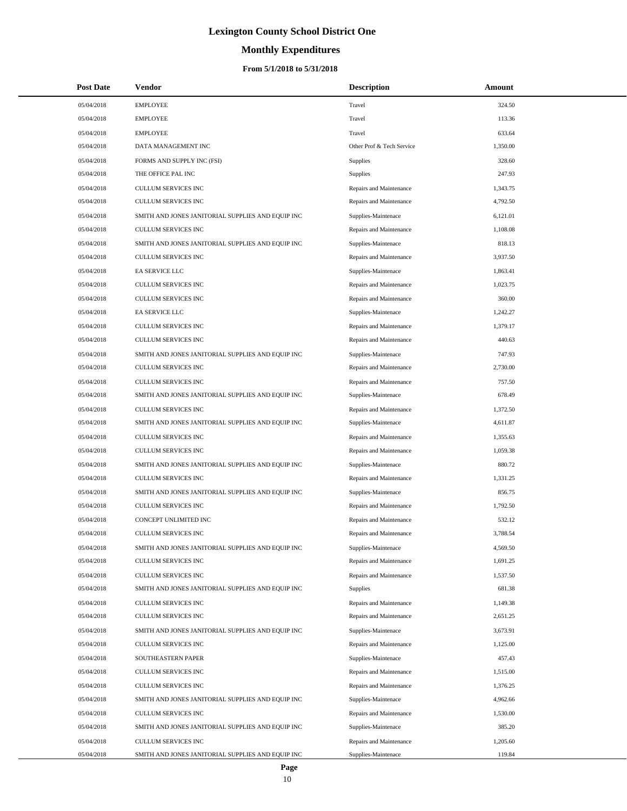# **Monthly Expenditures**

#### **From 5/1/2018 to 5/31/2018**

| <b>Post Date</b> | Vendor                                            | <b>Description</b>        | Amount   |
|------------------|---------------------------------------------------|---------------------------|----------|
| 05/04/2018       | <b>EMPLOYEE</b>                                   | Travel                    | 324.50   |
| 05/04/2018       | <b>EMPLOYEE</b>                                   | Travel                    | 113.36   |
| 05/04/2018       | <b>EMPLOYEE</b>                                   | Travel                    | 633.64   |
| 05/04/2018       | DATA MANAGEMENT INC                               | Other Prof & Tech Service | 1.350.00 |
| 05/04/2018       | FORMS AND SUPPLY INC (FSI)                        | <b>Supplies</b>           | 328.60   |
| 05/04/2018       | THE OFFICE PAL INC                                | Supplies                  | 247.93   |
| 05/04/2018       | CULLUM SERVICES INC                               | Repairs and Maintenance   | 1,343.75 |
| 05/04/2018       | <b>CULLUM SERVICES INC</b>                        | Repairs and Maintenance   | 4,792.50 |
| 05/04/2018       | SMITH AND JONES JANITORIAL SUPPLIES AND EQUIP INC | Supplies-Maintenace       | 6,121.01 |
| 05/04/2018       | <b>CULLUM SERVICES INC</b>                        | Repairs and Maintenance   | 1,108.08 |
| 05/04/2018       | SMITH AND JONES JANITORIAL SUPPLIES AND EQUIP INC | Supplies-Maintenace       | 818.13   |
| 05/04/2018       | CULLUM SERVICES INC                               | Repairs and Maintenance   | 3,937.50 |
| 05/04/2018       | EA SERVICE LLC                                    | Supplies-Maintenace       | 1,863.41 |
| 05/04/2018       | <b>CULLUM SERVICES INC</b>                        | Repairs and Maintenance   | 1,023.75 |
| 05/04/2018       | <b>CULLUM SERVICES INC</b>                        | Repairs and Maintenance   | 360.00   |
| 05/04/2018       | EA SERVICE LLC                                    | Supplies-Maintenace       | 1,242.27 |
| 05/04/2018       | CULLUM SERVICES INC                               | Repairs and Maintenance   | 1,379.17 |
| 05/04/2018       | <b>CULLUM SERVICES INC</b>                        | Repairs and Maintenance   | 440.63   |
| 05/04/2018       | SMITH AND JONES JANITORIAL SUPPLIES AND EQUIP INC | Supplies-Maintenace       | 747.93   |
| 05/04/2018       | CULLUM SERVICES INC                               | Repairs and Maintenance   | 2,730.00 |
| 05/04/2018       | CULLUM SERVICES INC                               | Repairs and Maintenance   | 757.50   |
| 05/04/2018       | SMITH AND JONES JANITORIAL SUPPLIES AND EQUIP INC | Supplies-Maintenace       | 678.49   |
| 05/04/2018       | CULLUM SERVICES INC                               | Repairs and Maintenance   | 1,372.50 |
| 05/04/2018       | SMITH AND JONES JANITORIAL SUPPLIES AND EQUIP INC | Supplies-Maintenace       | 4,611.87 |
| 05/04/2018       | CULLUM SERVICES INC                               | Repairs and Maintenance   | 1,355.63 |
| 05/04/2018       | CULLUM SERVICES INC                               | Repairs and Maintenance   | 1,059.38 |
| 05/04/2018       | SMITH AND JONES JANITORIAL SUPPLIES AND EQUIP INC | Supplies-Maintenace       | 880.72   |
| 05/04/2018       | <b>CULLUM SERVICES INC</b>                        | Repairs and Maintenance   | 1,331.25 |
| 05/04/2018       | SMITH AND JONES JANITORIAL SUPPLIES AND EQUIP INC | Supplies-Maintenace       | 856.75   |
| 05/04/2018       | CULLUM SERVICES INC                               | Repairs and Maintenance   | 1,792.50 |
| 05/04/2018       | CONCEPT UNLIMITED INC                             | Repairs and Maintenance   | 532.12   |
| 05/04/2018       | <b>CULLUM SERVICES INC</b>                        | Repairs and Maintenance   | 3,788.54 |
| 05/04/2018       | SMITH AND JONES JANITORIAL SUPPLIES AND EQUIP INC | Supplies-Maintenace       | 4,569.50 |
| 05/04/2018       | CULLUM SERVICES INC                               | Repairs and Maintenance   | 1,691.25 |
| 05/04/2018       | <b>CULLUM SERVICES INC</b>                        | Repairs and Maintenance   | 1,537.50 |
| 05/04/2018       | SMITH AND JONES JANITORIAL SUPPLIES AND EQUIP INC | <b>Supplies</b>           | 681.38   |
| 05/04/2018       | CULLUM SERVICES INC                               | Repairs and Maintenance   | 1,149.38 |
| 05/04/2018       | <b>CULLUM SERVICES INC</b>                        | Repairs and Maintenance   | 2,651.25 |
| 05/04/2018       | SMITH AND JONES JANITORIAL SUPPLIES AND EQUIP INC | Supplies-Maintenace       | 3,673.91 |
| 05/04/2018       | CULLUM SERVICES INC                               | Repairs and Maintenance   | 1,125.00 |
| 05/04/2018       | SOUTHEASTERN PAPER                                | Supplies-Maintenace       | 457.43   |
| 05/04/2018       | CULLUM SERVICES INC                               | Repairs and Maintenance   | 1,515.00 |
| 05/04/2018       | CULLUM SERVICES INC                               | Repairs and Maintenance   | 1,376.25 |
| 05/04/2018       | SMITH AND JONES JANITORIAL SUPPLIES AND EQUIP INC | Supplies-Maintenace       | 4,962.66 |
| 05/04/2018       | CULLUM SERVICES INC                               | Repairs and Maintenance   | 1,530.00 |
| 05/04/2018       | SMITH AND JONES JANITORIAL SUPPLIES AND EQUIP INC | Supplies-Maintenace       | 385.20   |
| 05/04/2018       | CULLUM SERVICES INC                               | Repairs and Maintenance   | 1,205.60 |
| 05/04/2018       | SMITH AND JONES JANITORIAL SUPPLIES AND EQUIP INC | Supplies-Maintenace       | 119.84   |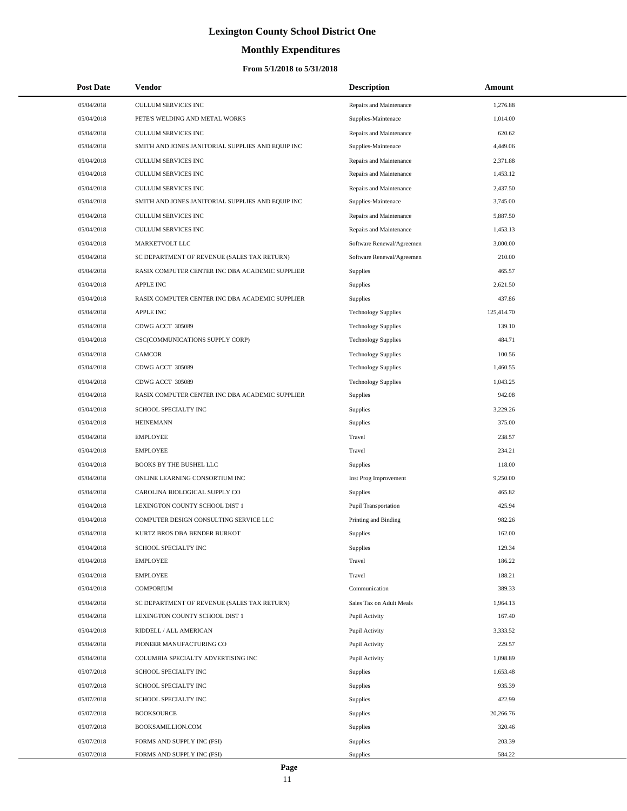# **Monthly Expenditures**

| <b>Post Date</b> | Vendor                                            | <b>Description</b>         | Amount     |  |
|------------------|---------------------------------------------------|----------------------------|------------|--|
| 05/04/2018       | CULLUM SERVICES INC                               | Repairs and Maintenance    | 1,276.88   |  |
| 05/04/2018       | PETE'S WELDING AND METAL WORKS                    | Supplies-Maintenace        | 1,014.00   |  |
| 05/04/2018       | <b>CULLUM SERVICES INC</b>                        | Repairs and Maintenance    | 620.62     |  |
| 05/04/2018       | SMITH AND JONES JANITORIAL SUPPLIES AND EQUIP INC | Supplies-Maintenace        | 4,449.06   |  |
| 05/04/2018       | <b>CULLUM SERVICES INC</b>                        | Repairs and Maintenance    | 2,371.88   |  |
| 05/04/2018       | CULLUM SERVICES INC                               | Repairs and Maintenance    | 1,453.12   |  |
| 05/04/2018       | CULLUM SERVICES INC                               | Repairs and Maintenance    | 2,437.50   |  |
| 05/04/2018       | SMITH AND JONES JANITORIAL SUPPLIES AND EQUIP INC | Supplies-Maintenace        | 3,745.00   |  |
| 05/04/2018       | <b>CULLUM SERVICES INC</b>                        | Repairs and Maintenance    | 5,887.50   |  |
| 05/04/2018       | CULLUM SERVICES INC                               | Repairs and Maintenance    | 1,453.13   |  |
| 05/04/2018       | MARKETVOLT LLC                                    | Software Renewal/Agreemen  | 3,000.00   |  |
| 05/04/2018       | SC DEPARTMENT OF REVENUE (SALES TAX RETURN)       | Software Renewal/Agreemen  | 210.00     |  |
| 05/04/2018       | RASIX COMPUTER CENTER INC DBA ACADEMIC SUPPLIER   | <b>Supplies</b>            | 465.57     |  |
| 05/04/2018       | <b>APPLE INC</b>                                  | <b>Supplies</b>            | 2,621.50   |  |
| 05/04/2018       | RASIX COMPUTER CENTER INC DBA ACADEMIC SUPPLIER   | <b>Supplies</b>            | 437.86     |  |
| 05/04/2018       | <b>APPLE INC</b>                                  | <b>Technology Supplies</b> | 125,414.70 |  |
| 05/04/2018       | CDWG ACCT 305089                                  | <b>Technology Supplies</b> | 139.10     |  |
| 05/04/2018       | CSC(COMMUNICATIONS SUPPLY CORP)                   | <b>Technology Supplies</b> | 484.71     |  |
| 05/04/2018       | <b>CAMCOR</b>                                     | <b>Technology Supplies</b> | 100.56     |  |
| 05/04/2018       | CDWG ACCT 305089                                  | <b>Technology Supplies</b> | 1,460.55   |  |
| 05/04/2018       | CDWG ACCT 305089                                  | <b>Technology Supplies</b> | 1,043.25   |  |
| 05/04/2018       | RASIX COMPUTER CENTER INC DBA ACADEMIC SUPPLIER   | <b>Supplies</b>            | 942.08     |  |
| 05/04/2018       | SCHOOL SPECIALTY INC                              | Supplies                   | 3,229.26   |  |
| 05/04/2018       | <b>HEINEMANN</b>                                  | Supplies                   | 375.00     |  |
| 05/04/2018       | <b>EMPLOYEE</b>                                   | Travel                     | 238.57     |  |
| 05/04/2018       | <b>EMPLOYEE</b>                                   | Travel                     | 234.21     |  |
| 05/04/2018       | <b>BOOKS BY THE BUSHEL LLC</b>                    | <b>Supplies</b>            | 118.00     |  |
| 05/04/2018       | ONLINE LEARNING CONSORTIUM INC                    | Inst Prog Improvement      | 9,250.00   |  |
| 05/04/2018       | CAROLINA BIOLOGICAL SUPPLY CO                     | Supplies                   | 465.82     |  |
| 05/04/2018       | LEXINGTON COUNTY SCHOOL DIST 1                    | Pupil Transportation       | 425.94     |  |
| 05/04/2018       | COMPUTER DESIGN CONSULTING SERVICE LLC            | Printing and Binding       | 982.26     |  |
| 05/04/2018       | KURTZ BROS DBA BENDER BURKOT                      | Supplies                   | 162.00     |  |
| 05/04/2018       | SCHOOL SPECIALTY INC                              | Supplies                   | 129.34     |  |
| 05/04/2018       | <b>EMPLOYEE</b>                                   | Travel                     | 186.22     |  |
| 05/04/2018       | <b>EMPLOYEE</b>                                   | Travel                     | 188.21     |  |
| 05/04/2018       | <b>COMPORIUM</b>                                  | Communication              | 389.33     |  |
| 05/04/2018       | SC DEPARTMENT OF REVENUE (SALES TAX RETURN)       | Sales Tax on Adult Meals   | 1,964.13   |  |
| 05/04/2018       | LEXINGTON COUNTY SCHOOL DIST 1                    | Pupil Activity             | 167.40     |  |
| 05/04/2018       | RIDDELL / ALL AMERICAN                            | Pupil Activity             | 3,333.52   |  |
| 05/04/2018       | PIONEER MANUFACTURING CO                          | Pupil Activity             | 229.57     |  |
| 05/04/2018       | COLUMBIA SPECIALTY ADVERTISING INC                | Pupil Activity             | 1,098.89   |  |
| 05/07/2018       | SCHOOL SPECIALTY INC                              | Supplies                   | 1,653.48   |  |
| 05/07/2018       | SCHOOL SPECIALTY INC                              | Supplies                   | 935.39     |  |
| 05/07/2018       | SCHOOL SPECIALTY INC                              | Supplies                   | 422.99     |  |
| 05/07/2018       | <b>BOOKSOURCE</b>                                 | Supplies                   | 20,266.76  |  |
| 05/07/2018       | BOOKSAMILLION.COM                                 | Supplies                   | 320.46     |  |
| 05/07/2018       | FORMS AND SUPPLY INC (FSI)                        | Supplies                   | 203.39     |  |
| 05/07/2018       | FORMS AND SUPPLY INC (FSI)                        | Supplies                   | 584.22     |  |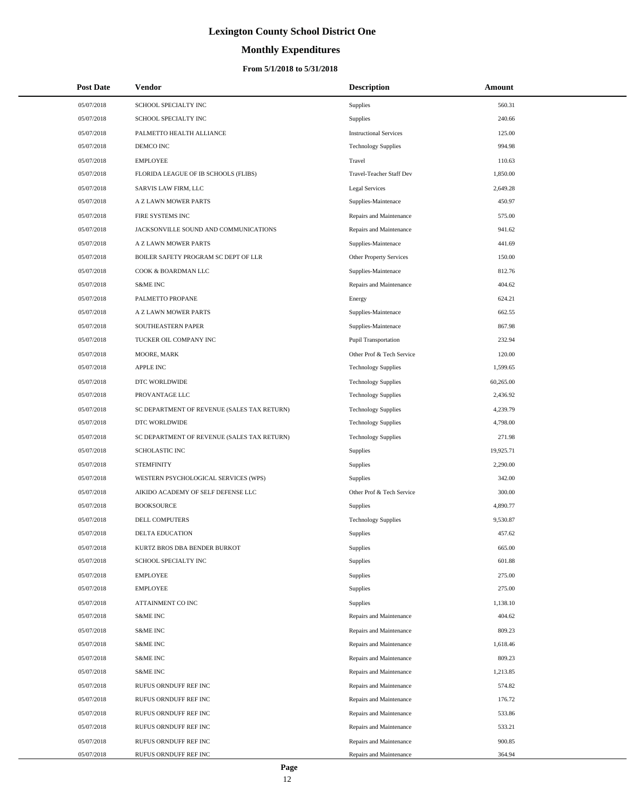# **Monthly Expenditures**

#### **From 5/1/2018 to 5/31/2018**

| <b>Post Date</b> | Vendor                                      | <b>Description</b>            | Amount    |
|------------------|---------------------------------------------|-------------------------------|-----------|
| 05/07/2018       | SCHOOL SPECIALTY INC                        | Supplies                      | 560.31    |
| 05/07/2018       | SCHOOL SPECIALTY INC                        | Supplies                      | 240.66    |
| 05/07/2018       | PALMETTO HEALTH ALLIANCE                    | <b>Instructional Services</b> | 125.00    |
| 05/07/2018       | DEMCO INC                                   | <b>Technology Supplies</b>    | 994.98    |
| 05/07/2018       | <b>EMPLOYEE</b>                             | Travel                        | 110.63    |
| 05/07/2018       | FLORIDA LEAGUE OF IB SCHOOLS (FLIBS)        | Travel-Teacher Staff Dev      | 1,850.00  |
| 05/07/2018       | SARVIS LAW FIRM, LLC                        | Legal Services                | 2,649.28  |
| 05/07/2018       | A Z LAWN MOWER PARTS                        | Supplies-Maintenace           | 450.97    |
| 05/07/2018       | FIRE SYSTEMS INC                            | Repairs and Maintenance       | 575.00    |
| 05/07/2018       | JACKSONVILLE SOUND AND COMMUNICATIONS       | Repairs and Maintenance       | 941.62    |
| 05/07/2018       | A Z LAWN MOWER PARTS                        | Supplies-Maintenace           | 441.69    |
| 05/07/2018       | BOILER SAFETY PROGRAM SC DEPT OF LLR        | Other Property Services       | 150.00    |
| 05/07/2018       | COOK & BOARDMAN LLC                         | Supplies-Maintenace           | 812.76    |
| 05/07/2018       | <b>S&amp;ME INC</b>                         | Repairs and Maintenance       | 404.62    |
| 05/07/2018       | PALMETTO PROPANE                            | Energy                        | 624.21    |
| 05/07/2018       | A Z LAWN MOWER PARTS                        | Supplies-Maintenace           | 662.55    |
| 05/07/2018       | SOUTHEASTERN PAPER                          | Supplies-Maintenace           | 867.98    |
| 05/07/2018       | TUCKER OIL COMPANY INC                      | <b>Pupil Transportation</b>   | 232.94    |
| 05/07/2018       | MOORE, MARK                                 | Other Prof & Tech Service     | 120.00    |
| 05/07/2018       | <b>APPLE INC</b>                            | <b>Technology Supplies</b>    | 1,599.65  |
| 05/07/2018       | DTC WORLDWIDE                               | <b>Technology Supplies</b>    | 60,265.00 |
| 05/07/2018       | PROVANTAGE LLC                              | <b>Technology Supplies</b>    | 2,436.92  |
| 05/07/2018       | SC DEPARTMENT OF REVENUE (SALES TAX RETURN) | <b>Technology Supplies</b>    | 4,239.79  |
| 05/07/2018       | DTC WORLDWIDE                               | <b>Technology Supplies</b>    | 4,798.00  |
| 05/07/2018       | SC DEPARTMENT OF REVENUE (SALES TAX RETURN) | <b>Technology Supplies</b>    | 271.98    |
| 05/07/2018       | SCHOLASTIC INC                              | Supplies                      | 19,925.71 |
| 05/07/2018       | <b>STEMFINITY</b>                           | Supplies                      | 2,290.00  |
| 05/07/2018       | WESTERN PSYCHOLOGICAL SERVICES (WPS)        | Supplies                      | 342.00    |
| 05/07/2018       | AIKIDO ACADEMY OF SELF DEFENSE LLC          | Other Prof & Tech Service     | 300.00    |
| 05/07/2018       | <b>BOOKSOURCE</b>                           | Supplies                      | 4,890.77  |
| 05/07/2018       | <b>DELL COMPUTERS</b>                       | <b>Technology Supplies</b>    | 9,530.87  |
| 05/07/2018       | DELTA EDUCATION                             | Supplies                      | 457.62    |
| 05/07/2018       | KURTZ BROS DBA BENDER BURKOT                | Supplies                      | 665.00    |
| 05/07/2018       | SCHOOL SPECIALTY INC                        | Supplies                      | 601.88    |
| 05/07/2018       | <b>EMPLOYEE</b>                             | Supplies                      | 275.00    |
| 05/07/2018       | <b>EMPLOYEE</b>                             | Supplies                      | 275.00    |
| 05/07/2018       | ATTAINMENT CO INC                           | Supplies                      | 1,138.10  |
| 05/07/2018       | <b>S&amp;ME INC</b>                         | Repairs and Maintenance       | 404.62    |
| 05/07/2018       | <b>S&amp;ME INC</b>                         | Repairs and Maintenance       | 809.23    |
| 05/07/2018       | <b>S&amp;ME INC</b>                         | Repairs and Maintenance       | 1,618.46  |
| 05/07/2018       | <b>S&amp;ME INC</b>                         | Repairs and Maintenance       | 809.23    |
| 05/07/2018       | <b>S&amp;ME INC</b>                         | Repairs and Maintenance       | 1,213.85  |
| 05/07/2018       | RUFUS ORNDUFF REF INC                       | Repairs and Maintenance       | 574.82    |
| 05/07/2018       | RUFUS ORNDUFF REF INC                       | Repairs and Maintenance       | 176.72    |
| 05/07/2018       | RUFUS ORNDUFF REF INC                       | Repairs and Maintenance       | 533.86    |
| 05/07/2018       | RUFUS ORNDUFF REF INC                       | Repairs and Maintenance       | 533.21    |
| 05/07/2018       | RUFUS ORNDUFF REF INC                       | Repairs and Maintenance       | 900.85    |
| 05/07/2018       | RUFUS ORNDUFF REF INC                       | Repairs and Maintenance       | 364.94    |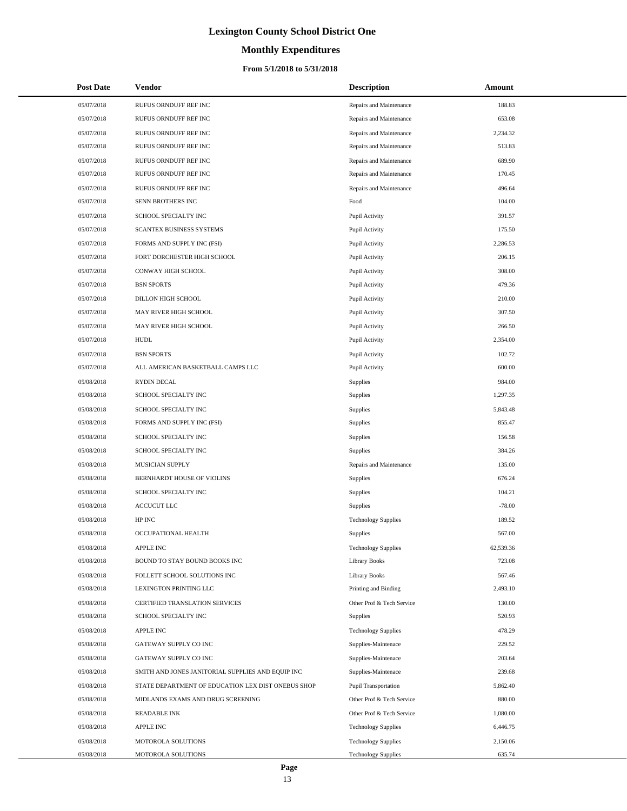# **Monthly Expenditures**

| <b>Post Date</b> | Vendor                                             | <b>Description</b>         | Amount    |
|------------------|----------------------------------------------------|----------------------------|-----------|
| 05/07/2018       | RUFUS ORNDUFF REF INC                              | Repairs and Maintenance    | 188.83    |
| 05/07/2018       | RUFUS ORNDUFF REF INC                              | Repairs and Maintenance    | 653.08    |
| 05/07/2018       | RUFUS ORNDUFF REF INC                              | Repairs and Maintenance    | 2,234.32  |
| 05/07/2018       | RUFUS ORNDUFF REF INC                              | Repairs and Maintenance    | 513.83    |
| 05/07/2018       | RUFUS ORNDUFF REF INC                              | Repairs and Maintenance    | 689.90    |
| 05/07/2018       | RUFUS ORNDUFF REF INC                              | Repairs and Maintenance    | 170.45    |
| 05/07/2018       | RUFUS ORNDUFF REF INC                              | Repairs and Maintenance    | 496.64    |
| 05/07/2018       | SENN BROTHERS INC                                  | Food                       | 104.00    |
| 05/07/2018       | SCHOOL SPECIALTY INC                               | Pupil Activity             | 391.57    |
| 05/07/2018       | SCANTEX BUSINESS SYSTEMS                           | Pupil Activity             | 175.50    |
| 05/07/2018       | FORMS AND SUPPLY INC (FSI)                         | Pupil Activity             | 2,286.53  |
| 05/07/2018       | FORT DORCHESTER HIGH SCHOOL                        | Pupil Activity             | 206.15    |
| 05/07/2018       | CONWAY HIGH SCHOOL                                 | Pupil Activity             | 308.00    |
| 05/07/2018       | <b>BSN SPORTS</b>                                  | Pupil Activity             | 479.36    |
| 05/07/2018       | DILLON HIGH SCHOOL                                 | Pupil Activity             | 210.00    |
| 05/07/2018       | MAY RIVER HIGH SCHOOL                              | Pupil Activity             | 307.50    |
| 05/07/2018       | MAY RIVER HIGH SCHOOL                              | Pupil Activity             | 266.50    |
| 05/07/2018       | <b>HUDL</b>                                        | Pupil Activity             | 2,354.00  |
| 05/07/2018       | <b>BSN SPORTS</b>                                  | Pupil Activity             | 102.72    |
| 05/07/2018       | ALL AMERICAN BASKETBALL CAMPS LLC                  | Pupil Activity             | 600.00    |
| 05/08/2018       | <b>RYDIN DECAL</b>                                 | Supplies                   | 984.00    |
| 05/08/2018       | SCHOOL SPECIALTY INC                               | Supplies                   | 1,297.35  |
| 05/08/2018       | SCHOOL SPECIALTY INC                               | Supplies                   | 5,843.48  |
| 05/08/2018       | FORMS AND SUPPLY INC (FSI)                         | Supplies                   | 855.47    |
| 05/08/2018       | SCHOOL SPECIALTY INC                               | Supplies                   | 156.58    |
| 05/08/2018       | SCHOOL SPECIALTY INC                               | <b>Supplies</b>            | 384.26    |
| 05/08/2018       | MUSICIAN SUPPLY                                    | Repairs and Maintenance    | 135.00    |
| 05/08/2018       | BERNHARDT HOUSE OF VIOLINS                         | Supplies                   | 676.24    |
| 05/08/2018       | SCHOOL SPECIALTY INC                               | Supplies                   | 104.21    |
| 05/08/2018       | <b>ACCUCUT LLC</b>                                 | Supplies                   | $-78.00$  |
| 05/08/2018       | HP INC                                             | <b>Technology Supplies</b> | 189.52    |
| 05/08/2018       | OCCUPATIONAL HEALTH                                | <b>Supplies</b>            | 567.00    |
| 05/08/2018       | <b>APPLE INC</b>                                   | <b>Technology Supplies</b> | 62,539.36 |
| 05/08/2018       | BOUND TO STAY BOUND BOOKS INC                      | <b>Library Books</b>       | 723.08    |
| 05/08/2018       | FOLLETT SCHOOL SOLUTIONS INC                       | <b>Library Books</b>       | 567.46    |
| 05/08/2018       | LEXINGTON PRINTING LLC                             | Printing and Binding       | 2,493.10  |
| 05/08/2018       | CERTIFIED TRANSLATION SERVICES                     | Other Prof & Tech Service  | 130.00    |
| 05/08/2018       | SCHOOL SPECIALTY INC                               | <b>Supplies</b>            | 520.93    |
| 05/08/2018       | <b>APPLE INC</b>                                   | <b>Technology Supplies</b> | 478.29    |
| 05/08/2018       | GATEWAY SUPPLY CO INC                              | Supplies-Maintenace        | 229.52    |
| 05/08/2018       | GATEWAY SUPPLY CO INC                              | Supplies-Maintenace        | 203.64    |
| 05/08/2018       | SMITH AND JONES JANITORIAL SUPPLIES AND EQUIP INC  | Supplies-Maintenace        | 239.68    |
| 05/08/2018       | STATE DEPARTMENT OF EDUCATION LEX DIST ONEBUS SHOP | Pupil Transportation       | 5,862.40  |
| 05/08/2018       | MIDLANDS EXAMS AND DRUG SCREENING                  | Other Prof & Tech Service  | 880.00    |
| 05/08/2018       | <b>READABLE INK</b>                                | Other Prof & Tech Service  | 1,080.00  |
| 05/08/2018       | <b>APPLE INC</b>                                   | <b>Technology Supplies</b> | 6,446.75  |
| 05/08/2018       | MOTOROLA SOLUTIONS                                 | <b>Technology Supplies</b> | 2,150.06  |
| 05/08/2018       | MOTOROLA SOLUTIONS                                 | <b>Technology Supplies</b> | 635.74    |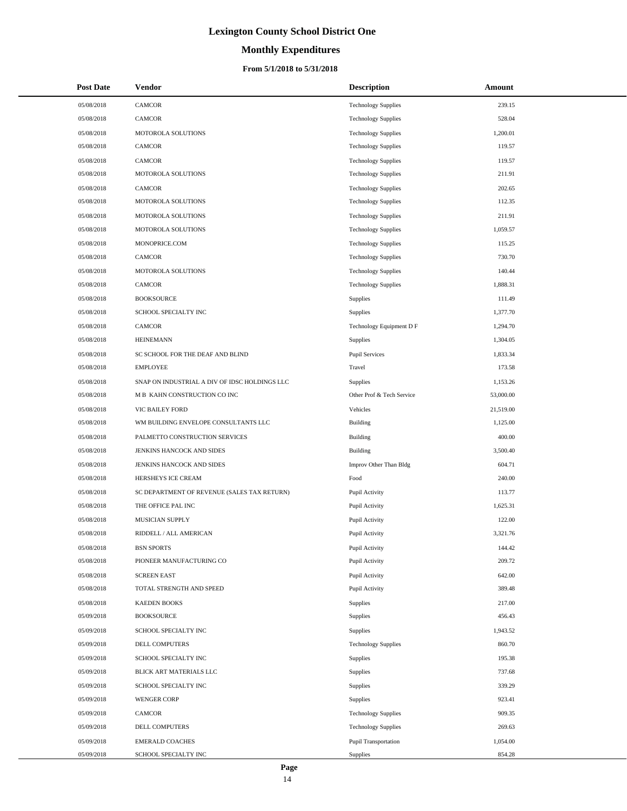# **Monthly Expenditures**

| <b>Post Date</b> | Vendor                                        | <b>Description</b>          | Amount    |
|------------------|-----------------------------------------------|-----------------------------|-----------|
| 05/08/2018       | <b>CAMCOR</b>                                 | <b>Technology Supplies</b>  | 239.15    |
| 05/08/2018       | <b>CAMCOR</b>                                 | <b>Technology Supplies</b>  | 528.04    |
| 05/08/2018       | MOTOROLA SOLUTIONS                            | <b>Technology Supplies</b>  | 1,200.01  |
| 05/08/2018       | <b>CAMCOR</b>                                 | <b>Technology Supplies</b>  | 119.57    |
| 05/08/2018       | <b>CAMCOR</b>                                 | <b>Technology Supplies</b>  | 119.57    |
| 05/08/2018       | MOTOROLA SOLUTIONS                            | <b>Technology Supplies</b>  | 211.91    |
| 05/08/2018       | <b>CAMCOR</b>                                 | <b>Technology Supplies</b>  | 202.65    |
| 05/08/2018       | MOTOROLA SOLUTIONS                            | <b>Technology Supplies</b>  | 112.35    |
| 05/08/2018       | MOTOROLA SOLUTIONS                            | <b>Technology Supplies</b>  | 211.91    |
| 05/08/2018       | MOTOROLA SOLUTIONS                            | <b>Technology Supplies</b>  | 1,059.57  |
| 05/08/2018       | MONOPRICE.COM                                 | <b>Technology Supplies</b>  | 115.25    |
| 05/08/2018       | <b>CAMCOR</b>                                 | <b>Technology Supplies</b>  | 730.70    |
| 05/08/2018       | MOTOROLA SOLUTIONS                            | <b>Technology Supplies</b>  | 140.44    |
| 05/08/2018       | <b>CAMCOR</b>                                 | <b>Technology Supplies</b>  | 1,888.31  |
| 05/08/2018       | <b>BOOKSOURCE</b>                             | Supplies                    | 111.49    |
| 05/08/2018       | SCHOOL SPECIALTY INC                          | Supplies                    | 1,377.70  |
| 05/08/2018       | <b>CAMCOR</b>                                 | Technology Equipment D F    | 1,294.70  |
| 05/08/2018       | <b>HEINEMANN</b>                              | Supplies                    | 1,304.05  |
| 05/08/2018       | SC SCHOOL FOR THE DEAF AND BLIND              | <b>Pupil Services</b>       | 1,833.34  |
| 05/08/2018       | <b>EMPLOYEE</b>                               | Travel                      | 173.58    |
| 05/08/2018       | SNAP ON INDUSTRIAL A DIV OF IDSC HOLDINGS LLC | Supplies                    | 1,153.26  |
| 05/08/2018       | M B KAHN CONSTRUCTION CO INC                  | Other Prof & Tech Service   | 53,000.00 |
| 05/08/2018       | VIC BAILEY FORD                               | Vehicles                    | 21,519.00 |
| 05/08/2018       | WM BUILDING ENVELOPE CONSULTANTS LLC          | <b>Building</b>             | 1,125.00  |
| 05/08/2018       | PALMETTO CONSTRUCTION SERVICES                | <b>Building</b>             | 400.00    |
| 05/08/2018       | JENKINS HANCOCK AND SIDES                     | Building                    | 3,500.40  |
| 05/08/2018       | JENKINS HANCOCK AND SIDES                     | Improv Other Than Bldg      | 604.71    |
| 05/08/2018       | HERSHEYS ICE CREAM                            | Food                        | 240.00    |
| 05/08/2018       | SC DEPARTMENT OF REVENUE (SALES TAX RETURN)   | Pupil Activity              | 113.77    |
| 05/08/2018       | THE OFFICE PAL INC                            | Pupil Activity              | 1,625.31  |
| 05/08/2018       | MUSICIAN SUPPLY                               | Pupil Activity              | 122.00    |
| 05/08/2018       | RIDDELL / ALL AMERICAN                        | Pupil Activity              | 3,321.76  |
| 05/08/2018       | <b>BSN SPORTS</b>                             | Pupil Activity              | 144.42    |
| 05/08/2018       | PIONEER MANUFACTURING CO                      | Pupil Activity              | 209.72    |
| 05/08/2018       | <b>SCREEN EAST</b>                            | Pupil Activity              | 642.00    |
| 05/08/2018       | TOTAL STRENGTH AND SPEED                      | Pupil Activity              | 389.48    |
| 05/08/2018       | <b>KAEDEN BOOKS</b>                           | Supplies                    | 217.00    |
| 05/09/2018       | <b>BOOKSOURCE</b>                             | Supplies                    | 456.43    |
| 05/09/2018       | SCHOOL SPECIALTY INC                          | Supplies                    | 1,943.52  |
| 05/09/2018       | DELL COMPUTERS                                | <b>Technology Supplies</b>  | 860.70    |
| 05/09/2018       | SCHOOL SPECIALTY INC                          | Supplies                    | 195.38    |
| 05/09/2018       | BLICK ART MATERIALS LLC                       | Supplies                    | 737.68    |
| 05/09/2018       | SCHOOL SPECIALTY INC                          | Supplies                    | 339.29    |
| 05/09/2018       | <b>WENGER CORP</b>                            | Supplies                    | 923.41    |
| 05/09/2018       | CAMCOR                                        | <b>Technology Supplies</b>  | 909.35    |
| 05/09/2018       | DELL COMPUTERS                                | <b>Technology Supplies</b>  | 269.63    |
| 05/09/2018       | <b>EMERALD COACHES</b>                        | <b>Pupil Transportation</b> | 1,054.00  |
| 05/09/2018       | SCHOOL SPECIALTY INC                          | Supplies                    | 854.28    |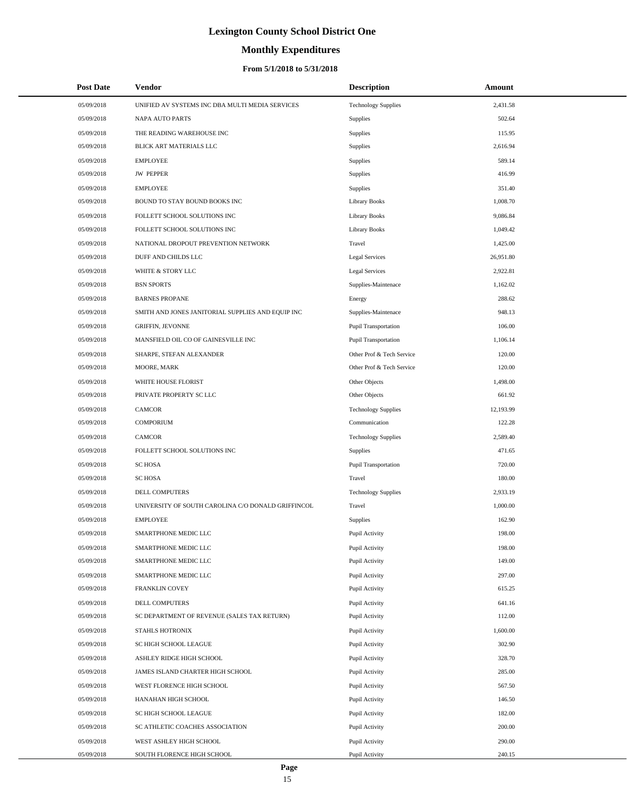# **Monthly Expenditures**

| 05/09/2018<br>UNIFIED AV SYSTEMS INC DBA MULTI MEDIA SERVICES<br><b>Technology Supplies</b><br>2,431.58<br>05/09/2018<br><b>NAPA AUTO PARTS</b><br>502.64<br>Supplies<br>05/09/2018<br>THE READING WAREHOUSE INC<br>Supplies<br>115.95<br>05/09/2018<br>BLICK ART MATERIALS LLC<br>2,616.94<br>Supplies<br>05/09/2018<br><b>EMPLOYEE</b><br>Supplies<br>589.14<br><b>JW PEPPER</b><br>416.99<br>05/09/2018<br>Supplies<br>05/09/2018<br><b>EMPLOYEE</b><br>Supplies<br>351.40<br><b>Library Books</b><br>1,008.70<br>05/09/2018<br>BOUND TO STAY BOUND BOOKS INC<br>05/09/2018<br>FOLLETT SCHOOL SOLUTIONS INC<br><b>Library Books</b><br>9,086.84<br>05/09/2018<br>FOLLETT SCHOOL SOLUTIONS INC<br><b>Library Books</b><br>1,049.42<br>05/09/2018<br>NATIONAL DROPOUT PREVENTION NETWORK<br>Travel<br>1,425.00<br>05/09/2018<br>DUFF AND CHILDS LLC<br>Legal Services<br>26,951.80<br>05/09/2018<br>WHITE & STORY LLC<br>Legal Services<br>2,922.81<br><b>BSN SPORTS</b><br>Supplies-Maintenace<br>1,162.02<br>05/09/2018<br>05/09/2018<br><b>BARNES PROPANE</b><br>288.62<br>Energy<br>948.13<br>Supplies-Maintenace<br>05/09/2018<br>SMITH AND JONES JANITORIAL SUPPLIES AND EQUIP INC<br>05/09/2018<br><b>GRIFFIN, JEVONNE</b><br>Pupil Transportation<br>106.00<br>05/09/2018<br>MANSFIELD OIL CO OF GAINESVILLE INC<br>Pupil Transportation<br>1,106.14<br>05/09/2018<br>SHARPE, STEFAN ALEXANDER<br>Other Prof & Tech Service<br>120.00<br>05/09/2018<br>MOORE, MARK<br>Other Prof & Tech Service<br>120.00<br>05/09/2018<br>WHITE HOUSE FLORIST<br>Other Objects<br>1,498.00<br>PRIVATE PROPERTY SC LLC<br>Other Objects<br>661.92<br>05/09/2018<br>05/09/2018<br><b>CAMCOR</b><br><b>Technology Supplies</b><br>12,193.99<br><b>COMPORIUM</b><br>Communication<br>122.28<br>05/09/2018<br>05/09/2018<br><b>CAMCOR</b><br><b>Technology Supplies</b><br>2,589.40<br>05/09/2018<br>FOLLETT SCHOOL SOLUTIONS INC<br>471.65<br>Supplies<br>05/09/2018<br><b>SC HOSA</b><br>Pupil Transportation<br>720.00<br><b>SC HOSA</b><br>Travel<br>180.00<br>05/09/2018<br>05/09/2018<br>DELL COMPUTERS<br><b>Technology Supplies</b><br>2,933.19<br>05/09/2018<br>UNIVERSITY OF SOUTH CAROLINA C/O DONALD GRIFFINCOL<br>1,000.00<br>Travel<br>05/09/2018<br><b>EMPLOYEE</b><br>Supplies<br>162.90<br>SMARTPHONE MEDIC LLC<br>198.00<br>05/09/2018<br>Pupil Activity<br>05/09/2018<br>SMARTPHONE MEDIC LLC<br>Pupil Activity<br>198.00<br>SMARTPHONE MEDIC LLC<br>Pupil Activity<br>149.00<br>05/09/2018<br>Pupil Activity<br>297.00<br>05/09/2018<br>SMARTPHONE MEDIC LLC<br>05/09/2018<br>FRANKLIN COVEY<br>Pupil Activity<br>615.25<br>05/09/2018<br>DELL COMPUTERS<br>Pupil Activity<br>641.16<br>112.00<br>05/09/2018<br>SC DEPARTMENT OF REVENUE (SALES TAX RETURN)<br>Pupil Activity<br>05/09/2018<br>1,600.00<br>STAHLS HOTRONIX<br>Pupil Activity<br>302.90<br>05/09/2018<br>SC HIGH SCHOOL LEAGUE<br>Pupil Activity<br>ASHLEY RIDGE HIGH SCHOOL<br>328.70<br>05/09/2018<br>Pupil Activity<br>285.00<br>05/09/2018<br>JAMES ISLAND CHARTER HIGH SCHOOL<br>Pupil Activity<br>05/09/2018<br>567.50<br>WEST FLORENCE HIGH SCHOOL<br>Pupil Activity<br>146.50<br>05/09/2018<br>HANAHAN HIGH SCHOOL<br>Pupil Activity<br>182.00<br>05/09/2018<br>SC HIGH SCHOOL LEAGUE<br>Pupil Activity<br>200.00<br>05/09/2018<br>SC ATHLETIC COACHES ASSOCIATION<br>Pupil Activity<br>05/09/2018<br>WEST ASHLEY HIGH SCHOOL<br>290.00<br>Pupil Activity<br>05/09/2018<br>240.15<br>SOUTH FLORENCE HIGH SCHOOL<br>Pupil Activity | <b>Post Date</b> | Vendor | <b>Description</b> | Amount |
|-------------------------------------------------------------------------------------------------------------------------------------------------------------------------------------------------------------------------------------------------------------------------------------------------------------------------------------------------------------------------------------------------------------------------------------------------------------------------------------------------------------------------------------------------------------------------------------------------------------------------------------------------------------------------------------------------------------------------------------------------------------------------------------------------------------------------------------------------------------------------------------------------------------------------------------------------------------------------------------------------------------------------------------------------------------------------------------------------------------------------------------------------------------------------------------------------------------------------------------------------------------------------------------------------------------------------------------------------------------------------------------------------------------------------------------------------------------------------------------------------------------------------------------------------------------------------------------------------------------------------------------------------------------------------------------------------------------------------------------------------------------------------------------------------------------------------------------------------------------------------------------------------------------------------------------------------------------------------------------------------------------------------------------------------------------------------------------------------------------------------------------------------------------------------------------------------------------------------------------------------------------------------------------------------------------------------------------------------------------------------------------------------------------------------------------------------------------------------------------------------------------------------------------------------------------------------------------------------------------------------------------------------------------------------------------------------------------------------------------------------------------------------------------------------------------------------------------------------------------------------------------------------------------------------------------------------------------------------------------------------------------------------------------------------------------------------------------------------------------------------------------------------------------------------------------------------------------------------------------------------------------------------------------------------------------------------------------------------------------------------------------------------------------------------------------------------------------------------------------------------------------------|------------------|--------|--------------------|--------|
|                                                                                                                                                                                                                                                                                                                                                                                                                                                                                                                                                                                                                                                                                                                                                                                                                                                                                                                                                                                                                                                                                                                                                                                                                                                                                                                                                                                                                                                                                                                                                                                                                                                                                                                                                                                                                                                                                                                                                                                                                                                                                                                                                                                                                                                                                                                                                                                                                                                                                                                                                                                                                                                                                                                                                                                                                                                                                                                                                                                                                                                                                                                                                                                                                                                                                                                                                                                                                                                                                                                   |                  |        |                    |        |
|                                                                                                                                                                                                                                                                                                                                                                                                                                                                                                                                                                                                                                                                                                                                                                                                                                                                                                                                                                                                                                                                                                                                                                                                                                                                                                                                                                                                                                                                                                                                                                                                                                                                                                                                                                                                                                                                                                                                                                                                                                                                                                                                                                                                                                                                                                                                                                                                                                                                                                                                                                                                                                                                                                                                                                                                                                                                                                                                                                                                                                                                                                                                                                                                                                                                                                                                                                                                                                                                                                                   |                  |        |                    |        |
|                                                                                                                                                                                                                                                                                                                                                                                                                                                                                                                                                                                                                                                                                                                                                                                                                                                                                                                                                                                                                                                                                                                                                                                                                                                                                                                                                                                                                                                                                                                                                                                                                                                                                                                                                                                                                                                                                                                                                                                                                                                                                                                                                                                                                                                                                                                                                                                                                                                                                                                                                                                                                                                                                                                                                                                                                                                                                                                                                                                                                                                                                                                                                                                                                                                                                                                                                                                                                                                                                                                   |                  |        |                    |        |
|                                                                                                                                                                                                                                                                                                                                                                                                                                                                                                                                                                                                                                                                                                                                                                                                                                                                                                                                                                                                                                                                                                                                                                                                                                                                                                                                                                                                                                                                                                                                                                                                                                                                                                                                                                                                                                                                                                                                                                                                                                                                                                                                                                                                                                                                                                                                                                                                                                                                                                                                                                                                                                                                                                                                                                                                                                                                                                                                                                                                                                                                                                                                                                                                                                                                                                                                                                                                                                                                                                                   |                  |        |                    |        |
|                                                                                                                                                                                                                                                                                                                                                                                                                                                                                                                                                                                                                                                                                                                                                                                                                                                                                                                                                                                                                                                                                                                                                                                                                                                                                                                                                                                                                                                                                                                                                                                                                                                                                                                                                                                                                                                                                                                                                                                                                                                                                                                                                                                                                                                                                                                                                                                                                                                                                                                                                                                                                                                                                                                                                                                                                                                                                                                                                                                                                                                                                                                                                                                                                                                                                                                                                                                                                                                                                                                   |                  |        |                    |        |
|                                                                                                                                                                                                                                                                                                                                                                                                                                                                                                                                                                                                                                                                                                                                                                                                                                                                                                                                                                                                                                                                                                                                                                                                                                                                                                                                                                                                                                                                                                                                                                                                                                                                                                                                                                                                                                                                                                                                                                                                                                                                                                                                                                                                                                                                                                                                                                                                                                                                                                                                                                                                                                                                                                                                                                                                                                                                                                                                                                                                                                                                                                                                                                                                                                                                                                                                                                                                                                                                                                                   |                  |        |                    |        |
|                                                                                                                                                                                                                                                                                                                                                                                                                                                                                                                                                                                                                                                                                                                                                                                                                                                                                                                                                                                                                                                                                                                                                                                                                                                                                                                                                                                                                                                                                                                                                                                                                                                                                                                                                                                                                                                                                                                                                                                                                                                                                                                                                                                                                                                                                                                                                                                                                                                                                                                                                                                                                                                                                                                                                                                                                                                                                                                                                                                                                                                                                                                                                                                                                                                                                                                                                                                                                                                                                                                   |                  |        |                    |        |
|                                                                                                                                                                                                                                                                                                                                                                                                                                                                                                                                                                                                                                                                                                                                                                                                                                                                                                                                                                                                                                                                                                                                                                                                                                                                                                                                                                                                                                                                                                                                                                                                                                                                                                                                                                                                                                                                                                                                                                                                                                                                                                                                                                                                                                                                                                                                                                                                                                                                                                                                                                                                                                                                                                                                                                                                                                                                                                                                                                                                                                                                                                                                                                                                                                                                                                                                                                                                                                                                                                                   |                  |        |                    |        |
|                                                                                                                                                                                                                                                                                                                                                                                                                                                                                                                                                                                                                                                                                                                                                                                                                                                                                                                                                                                                                                                                                                                                                                                                                                                                                                                                                                                                                                                                                                                                                                                                                                                                                                                                                                                                                                                                                                                                                                                                                                                                                                                                                                                                                                                                                                                                                                                                                                                                                                                                                                                                                                                                                                                                                                                                                                                                                                                                                                                                                                                                                                                                                                                                                                                                                                                                                                                                                                                                                                                   |                  |        |                    |        |
|                                                                                                                                                                                                                                                                                                                                                                                                                                                                                                                                                                                                                                                                                                                                                                                                                                                                                                                                                                                                                                                                                                                                                                                                                                                                                                                                                                                                                                                                                                                                                                                                                                                                                                                                                                                                                                                                                                                                                                                                                                                                                                                                                                                                                                                                                                                                                                                                                                                                                                                                                                                                                                                                                                                                                                                                                                                                                                                                                                                                                                                                                                                                                                                                                                                                                                                                                                                                                                                                                                                   |                  |        |                    |        |
|                                                                                                                                                                                                                                                                                                                                                                                                                                                                                                                                                                                                                                                                                                                                                                                                                                                                                                                                                                                                                                                                                                                                                                                                                                                                                                                                                                                                                                                                                                                                                                                                                                                                                                                                                                                                                                                                                                                                                                                                                                                                                                                                                                                                                                                                                                                                                                                                                                                                                                                                                                                                                                                                                                                                                                                                                                                                                                                                                                                                                                                                                                                                                                                                                                                                                                                                                                                                                                                                                                                   |                  |        |                    |        |
|                                                                                                                                                                                                                                                                                                                                                                                                                                                                                                                                                                                                                                                                                                                                                                                                                                                                                                                                                                                                                                                                                                                                                                                                                                                                                                                                                                                                                                                                                                                                                                                                                                                                                                                                                                                                                                                                                                                                                                                                                                                                                                                                                                                                                                                                                                                                                                                                                                                                                                                                                                                                                                                                                                                                                                                                                                                                                                                                                                                                                                                                                                                                                                                                                                                                                                                                                                                                                                                                                                                   |                  |        |                    |        |
|                                                                                                                                                                                                                                                                                                                                                                                                                                                                                                                                                                                                                                                                                                                                                                                                                                                                                                                                                                                                                                                                                                                                                                                                                                                                                                                                                                                                                                                                                                                                                                                                                                                                                                                                                                                                                                                                                                                                                                                                                                                                                                                                                                                                                                                                                                                                                                                                                                                                                                                                                                                                                                                                                                                                                                                                                                                                                                                                                                                                                                                                                                                                                                                                                                                                                                                                                                                                                                                                                                                   |                  |        |                    |        |
|                                                                                                                                                                                                                                                                                                                                                                                                                                                                                                                                                                                                                                                                                                                                                                                                                                                                                                                                                                                                                                                                                                                                                                                                                                                                                                                                                                                                                                                                                                                                                                                                                                                                                                                                                                                                                                                                                                                                                                                                                                                                                                                                                                                                                                                                                                                                                                                                                                                                                                                                                                                                                                                                                                                                                                                                                                                                                                                                                                                                                                                                                                                                                                                                                                                                                                                                                                                                                                                                                                                   |                  |        |                    |        |
|                                                                                                                                                                                                                                                                                                                                                                                                                                                                                                                                                                                                                                                                                                                                                                                                                                                                                                                                                                                                                                                                                                                                                                                                                                                                                                                                                                                                                                                                                                                                                                                                                                                                                                                                                                                                                                                                                                                                                                                                                                                                                                                                                                                                                                                                                                                                                                                                                                                                                                                                                                                                                                                                                                                                                                                                                                                                                                                                                                                                                                                                                                                                                                                                                                                                                                                                                                                                                                                                                                                   |                  |        |                    |        |
|                                                                                                                                                                                                                                                                                                                                                                                                                                                                                                                                                                                                                                                                                                                                                                                                                                                                                                                                                                                                                                                                                                                                                                                                                                                                                                                                                                                                                                                                                                                                                                                                                                                                                                                                                                                                                                                                                                                                                                                                                                                                                                                                                                                                                                                                                                                                                                                                                                                                                                                                                                                                                                                                                                                                                                                                                                                                                                                                                                                                                                                                                                                                                                                                                                                                                                                                                                                                                                                                                                                   |                  |        |                    |        |
|                                                                                                                                                                                                                                                                                                                                                                                                                                                                                                                                                                                                                                                                                                                                                                                                                                                                                                                                                                                                                                                                                                                                                                                                                                                                                                                                                                                                                                                                                                                                                                                                                                                                                                                                                                                                                                                                                                                                                                                                                                                                                                                                                                                                                                                                                                                                                                                                                                                                                                                                                                                                                                                                                                                                                                                                                                                                                                                                                                                                                                                                                                                                                                                                                                                                                                                                                                                                                                                                                                                   |                  |        |                    |        |
|                                                                                                                                                                                                                                                                                                                                                                                                                                                                                                                                                                                                                                                                                                                                                                                                                                                                                                                                                                                                                                                                                                                                                                                                                                                                                                                                                                                                                                                                                                                                                                                                                                                                                                                                                                                                                                                                                                                                                                                                                                                                                                                                                                                                                                                                                                                                                                                                                                                                                                                                                                                                                                                                                                                                                                                                                                                                                                                                                                                                                                                                                                                                                                                                                                                                                                                                                                                                                                                                                                                   |                  |        |                    |        |
|                                                                                                                                                                                                                                                                                                                                                                                                                                                                                                                                                                                                                                                                                                                                                                                                                                                                                                                                                                                                                                                                                                                                                                                                                                                                                                                                                                                                                                                                                                                                                                                                                                                                                                                                                                                                                                                                                                                                                                                                                                                                                                                                                                                                                                                                                                                                                                                                                                                                                                                                                                                                                                                                                                                                                                                                                                                                                                                                                                                                                                                                                                                                                                                                                                                                                                                                                                                                                                                                                                                   |                  |        |                    |        |
|                                                                                                                                                                                                                                                                                                                                                                                                                                                                                                                                                                                                                                                                                                                                                                                                                                                                                                                                                                                                                                                                                                                                                                                                                                                                                                                                                                                                                                                                                                                                                                                                                                                                                                                                                                                                                                                                                                                                                                                                                                                                                                                                                                                                                                                                                                                                                                                                                                                                                                                                                                                                                                                                                                                                                                                                                                                                                                                                                                                                                                                                                                                                                                                                                                                                                                                                                                                                                                                                                                                   |                  |        |                    |        |
|                                                                                                                                                                                                                                                                                                                                                                                                                                                                                                                                                                                                                                                                                                                                                                                                                                                                                                                                                                                                                                                                                                                                                                                                                                                                                                                                                                                                                                                                                                                                                                                                                                                                                                                                                                                                                                                                                                                                                                                                                                                                                                                                                                                                                                                                                                                                                                                                                                                                                                                                                                                                                                                                                                                                                                                                                                                                                                                                                                                                                                                                                                                                                                                                                                                                                                                                                                                                                                                                                                                   |                  |        |                    |        |
|                                                                                                                                                                                                                                                                                                                                                                                                                                                                                                                                                                                                                                                                                                                                                                                                                                                                                                                                                                                                                                                                                                                                                                                                                                                                                                                                                                                                                                                                                                                                                                                                                                                                                                                                                                                                                                                                                                                                                                                                                                                                                                                                                                                                                                                                                                                                                                                                                                                                                                                                                                                                                                                                                                                                                                                                                                                                                                                                                                                                                                                                                                                                                                                                                                                                                                                                                                                                                                                                                                                   |                  |        |                    |        |
|                                                                                                                                                                                                                                                                                                                                                                                                                                                                                                                                                                                                                                                                                                                                                                                                                                                                                                                                                                                                                                                                                                                                                                                                                                                                                                                                                                                                                                                                                                                                                                                                                                                                                                                                                                                                                                                                                                                                                                                                                                                                                                                                                                                                                                                                                                                                                                                                                                                                                                                                                                                                                                                                                                                                                                                                                                                                                                                                                                                                                                                                                                                                                                                                                                                                                                                                                                                                                                                                                                                   |                  |        |                    |        |
|                                                                                                                                                                                                                                                                                                                                                                                                                                                                                                                                                                                                                                                                                                                                                                                                                                                                                                                                                                                                                                                                                                                                                                                                                                                                                                                                                                                                                                                                                                                                                                                                                                                                                                                                                                                                                                                                                                                                                                                                                                                                                                                                                                                                                                                                                                                                                                                                                                                                                                                                                                                                                                                                                                                                                                                                                                                                                                                                                                                                                                                                                                                                                                                                                                                                                                                                                                                                                                                                                                                   |                  |        |                    |        |
|                                                                                                                                                                                                                                                                                                                                                                                                                                                                                                                                                                                                                                                                                                                                                                                                                                                                                                                                                                                                                                                                                                                                                                                                                                                                                                                                                                                                                                                                                                                                                                                                                                                                                                                                                                                                                                                                                                                                                                                                                                                                                                                                                                                                                                                                                                                                                                                                                                                                                                                                                                                                                                                                                                                                                                                                                                                                                                                                                                                                                                                                                                                                                                                                                                                                                                                                                                                                                                                                                                                   |                  |        |                    |        |
|                                                                                                                                                                                                                                                                                                                                                                                                                                                                                                                                                                                                                                                                                                                                                                                                                                                                                                                                                                                                                                                                                                                                                                                                                                                                                                                                                                                                                                                                                                                                                                                                                                                                                                                                                                                                                                                                                                                                                                                                                                                                                                                                                                                                                                                                                                                                                                                                                                                                                                                                                                                                                                                                                                                                                                                                                                                                                                                                                                                                                                                                                                                                                                                                                                                                                                                                                                                                                                                                                                                   |                  |        |                    |        |
|                                                                                                                                                                                                                                                                                                                                                                                                                                                                                                                                                                                                                                                                                                                                                                                                                                                                                                                                                                                                                                                                                                                                                                                                                                                                                                                                                                                                                                                                                                                                                                                                                                                                                                                                                                                                                                                                                                                                                                                                                                                                                                                                                                                                                                                                                                                                                                                                                                                                                                                                                                                                                                                                                                                                                                                                                                                                                                                                                                                                                                                                                                                                                                                                                                                                                                                                                                                                                                                                                                                   |                  |        |                    |        |
|                                                                                                                                                                                                                                                                                                                                                                                                                                                                                                                                                                                                                                                                                                                                                                                                                                                                                                                                                                                                                                                                                                                                                                                                                                                                                                                                                                                                                                                                                                                                                                                                                                                                                                                                                                                                                                                                                                                                                                                                                                                                                                                                                                                                                                                                                                                                                                                                                                                                                                                                                                                                                                                                                                                                                                                                                                                                                                                                                                                                                                                                                                                                                                                                                                                                                                                                                                                                                                                                                                                   |                  |        |                    |        |
|                                                                                                                                                                                                                                                                                                                                                                                                                                                                                                                                                                                                                                                                                                                                                                                                                                                                                                                                                                                                                                                                                                                                                                                                                                                                                                                                                                                                                                                                                                                                                                                                                                                                                                                                                                                                                                                                                                                                                                                                                                                                                                                                                                                                                                                                                                                                                                                                                                                                                                                                                                                                                                                                                                                                                                                                                                                                                                                                                                                                                                                                                                                                                                                                                                                                                                                                                                                                                                                                                                                   |                  |        |                    |        |
|                                                                                                                                                                                                                                                                                                                                                                                                                                                                                                                                                                                                                                                                                                                                                                                                                                                                                                                                                                                                                                                                                                                                                                                                                                                                                                                                                                                                                                                                                                                                                                                                                                                                                                                                                                                                                                                                                                                                                                                                                                                                                                                                                                                                                                                                                                                                                                                                                                                                                                                                                                                                                                                                                                                                                                                                                                                                                                                                                                                                                                                                                                                                                                                                                                                                                                                                                                                                                                                                                                                   |                  |        |                    |        |
|                                                                                                                                                                                                                                                                                                                                                                                                                                                                                                                                                                                                                                                                                                                                                                                                                                                                                                                                                                                                                                                                                                                                                                                                                                                                                                                                                                                                                                                                                                                                                                                                                                                                                                                                                                                                                                                                                                                                                                                                                                                                                                                                                                                                                                                                                                                                                                                                                                                                                                                                                                                                                                                                                                                                                                                                                                                                                                                                                                                                                                                                                                                                                                                                                                                                                                                                                                                                                                                                                                                   |                  |        |                    |        |
|                                                                                                                                                                                                                                                                                                                                                                                                                                                                                                                                                                                                                                                                                                                                                                                                                                                                                                                                                                                                                                                                                                                                                                                                                                                                                                                                                                                                                                                                                                                                                                                                                                                                                                                                                                                                                                                                                                                                                                                                                                                                                                                                                                                                                                                                                                                                                                                                                                                                                                                                                                                                                                                                                                                                                                                                                                                                                                                                                                                                                                                                                                                                                                                                                                                                                                                                                                                                                                                                                                                   |                  |        |                    |        |
|                                                                                                                                                                                                                                                                                                                                                                                                                                                                                                                                                                                                                                                                                                                                                                                                                                                                                                                                                                                                                                                                                                                                                                                                                                                                                                                                                                                                                                                                                                                                                                                                                                                                                                                                                                                                                                                                                                                                                                                                                                                                                                                                                                                                                                                                                                                                                                                                                                                                                                                                                                                                                                                                                                                                                                                                                                                                                                                                                                                                                                                                                                                                                                                                                                                                                                                                                                                                                                                                                                                   |                  |        |                    |        |
|                                                                                                                                                                                                                                                                                                                                                                                                                                                                                                                                                                                                                                                                                                                                                                                                                                                                                                                                                                                                                                                                                                                                                                                                                                                                                                                                                                                                                                                                                                                                                                                                                                                                                                                                                                                                                                                                                                                                                                                                                                                                                                                                                                                                                                                                                                                                                                                                                                                                                                                                                                                                                                                                                                                                                                                                                                                                                                                                                                                                                                                                                                                                                                                                                                                                                                                                                                                                                                                                                                                   |                  |        |                    |        |
|                                                                                                                                                                                                                                                                                                                                                                                                                                                                                                                                                                                                                                                                                                                                                                                                                                                                                                                                                                                                                                                                                                                                                                                                                                                                                                                                                                                                                                                                                                                                                                                                                                                                                                                                                                                                                                                                                                                                                                                                                                                                                                                                                                                                                                                                                                                                                                                                                                                                                                                                                                                                                                                                                                                                                                                                                                                                                                                                                                                                                                                                                                                                                                                                                                                                                                                                                                                                                                                                                                                   |                  |        |                    |        |
|                                                                                                                                                                                                                                                                                                                                                                                                                                                                                                                                                                                                                                                                                                                                                                                                                                                                                                                                                                                                                                                                                                                                                                                                                                                                                                                                                                                                                                                                                                                                                                                                                                                                                                                                                                                                                                                                                                                                                                                                                                                                                                                                                                                                                                                                                                                                                                                                                                                                                                                                                                                                                                                                                                                                                                                                                                                                                                                                                                                                                                                                                                                                                                                                                                                                                                                                                                                                                                                                                                                   |                  |        |                    |        |
|                                                                                                                                                                                                                                                                                                                                                                                                                                                                                                                                                                                                                                                                                                                                                                                                                                                                                                                                                                                                                                                                                                                                                                                                                                                                                                                                                                                                                                                                                                                                                                                                                                                                                                                                                                                                                                                                                                                                                                                                                                                                                                                                                                                                                                                                                                                                                                                                                                                                                                                                                                                                                                                                                                                                                                                                                                                                                                                                                                                                                                                                                                                                                                                                                                                                                                                                                                                                                                                                                                                   |                  |        |                    |        |
|                                                                                                                                                                                                                                                                                                                                                                                                                                                                                                                                                                                                                                                                                                                                                                                                                                                                                                                                                                                                                                                                                                                                                                                                                                                                                                                                                                                                                                                                                                                                                                                                                                                                                                                                                                                                                                                                                                                                                                                                                                                                                                                                                                                                                                                                                                                                                                                                                                                                                                                                                                                                                                                                                                                                                                                                                                                                                                                                                                                                                                                                                                                                                                                                                                                                                                                                                                                                                                                                                                                   |                  |        |                    |        |
|                                                                                                                                                                                                                                                                                                                                                                                                                                                                                                                                                                                                                                                                                                                                                                                                                                                                                                                                                                                                                                                                                                                                                                                                                                                                                                                                                                                                                                                                                                                                                                                                                                                                                                                                                                                                                                                                                                                                                                                                                                                                                                                                                                                                                                                                                                                                                                                                                                                                                                                                                                                                                                                                                                                                                                                                                                                                                                                                                                                                                                                                                                                                                                                                                                                                                                                                                                                                                                                                                                                   |                  |        |                    |        |
|                                                                                                                                                                                                                                                                                                                                                                                                                                                                                                                                                                                                                                                                                                                                                                                                                                                                                                                                                                                                                                                                                                                                                                                                                                                                                                                                                                                                                                                                                                                                                                                                                                                                                                                                                                                                                                                                                                                                                                                                                                                                                                                                                                                                                                                                                                                                                                                                                                                                                                                                                                                                                                                                                                                                                                                                                                                                                                                                                                                                                                                                                                                                                                                                                                                                                                                                                                                                                                                                                                                   |                  |        |                    |        |
|                                                                                                                                                                                                                                                                                                                                                                                                                                                                                                                                                                                                                                                                                                                                                                                                                                                                                                                                                                                                                                                                                                                                                                                                                                                                                                                                                                                                                                                                                                                                                                                                                                                                                                                                                                                                                                                                                                                                                                                                                                                                                                                                                                                                                                                                                                                                                                                                                                                                                                                                                                                                                                                                                                                                                                                                                                                                                                                                                                                                                                                                                                                                                                                                                                                                                                                                                                                                                                                                                                                   |                  |        |                    |        |
|                                                                                                                                                                                                                                                                                                                                                                                                                                                                                                                                                                                                                                                                                                                                                                                                                                                                                                                                                                                                                                                                                                                                                                                                                                                                                                                                                                                                                                                                                                                                                                                                                                                                                                                                                                                                                                                                                                                                                                                                                                                                                                                                                                                                                                                                                                                                                                                                                                                                                                                                                                                                                                                                                                                                                                                                                                                                                                                                                                                                                                                                                                                                                                                                                                                                                                                                                                                                                                                                                                                   |                  |        |                    |        |
|                                                                                                                                                                                                                                                                                                                                                                                                                                                                                                                                                                                                                                                                                                                                                                                                                                                                                                                                                                                                                                                                                                                                                                                                                                                                                                                                                                                                                                                                                                                                                                                                                                                                                                                                                                                                                                                                                                                                                                                                                                                                                                                                                                                                                                                                                                                                                                                                                                                                                                                                                                                                                                                                                                                                                                                                                                                                                                                                                                                                                                                                                                                                                                                                                                                                                                                                                                                                                                                                                                                   |                  |        |                    |        |
|                                                                                                                                                                                                                                                                                                                                                                                                                                                                                                                                                                                                                                                                                                                                                                                                                                                                                                                                                                                                                                                                                                                                                                                                                                                                                                                                                                                                                                                                                                                                                                                                                                                                                                                                                                                                                                                                                                                                                                                                                                                                                                                                                                                                                                                                                                                                                                                                                                                                                                                                                                                                                                                                                                                                                                                                                                                                                                                                                                                                                                                                                                                                                                                                                                                                                                                                                                                                                                                                                                                   |                  |        |                    |        |
|                                                                                                                                                                                                                                                                                                                                                                                                                                                                                                                                                                                                                                                                                                                                                                                                                                                                                                                                                                                                                                                                                                                                                                                                                                                                                                                                                                                                                                                                                                                                                                                                                                                                                                                                                                                                                                                                                                                                                                                                                                                                                                                                                                                                                                                                                                                                                                                                                                                                                                                                                                                                                                                                                                                                                                                                                                                                                                                                                                                                                                                                                                                                                                                                                                                                                                                                                                                                                                                                                                                   |                  |        |                    |        |
|                                                                                                                                                                                                                                                                                                                                                                                                                                                                                                                                                                                                                                                                                                                                                                                                                                                                                                                                                                                                                                                                                                                                                                                                                                                                                                                                                                                                                                                                                                                                                                                                                                                                                                                                                                                                                                                                                                                                                                                                                                                                                                                                                                                                                                                                                                                                                                                                                                                                                                                                                                                                                                                                                                                                                                                                                                                                                                                                                                                                                                                                                                                                                                                                                                                                                                                                                                                                                                                                                                                   |                  |        |                    |        |
|                                                                                                                                                                                                                                                                                                                                                                                                                                                                                                                                                                                                                                                                                                                                                                                                                                                                                                                                                                                                                                                                                                                                                                                                                                                                                                                                                                                                                                                                                                                                                                                                                                                                                                                                                                                                                                                                                                                                                                                                                                                                                                                                                                                                                                                                                                                                                                                                                                                                                                                                                                                                                                                                                                                                                                                                                                                                                                                                                                                                                                                                                                                                                                                                                                                                                                                                                                                                                                                                                                                   |                  |        |                    |        |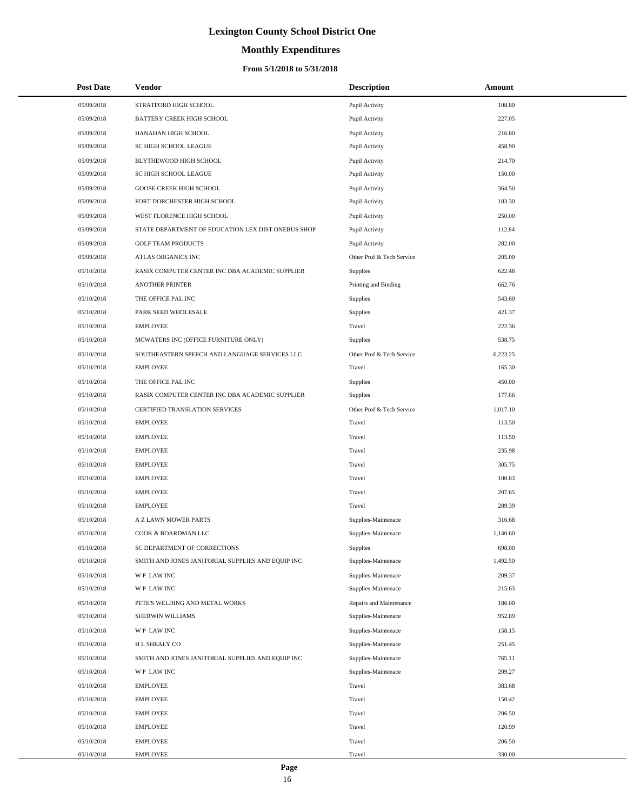# **Monthly Expenditures**

| <b>Post Date</b> | <b>Vendor</b>                                      | <b>Description</b>        | Amount   |
|------------------|----------------------------------------------------|---------------------------|----------|
| 05/09/2018       | STRATFORD HIGH SCHOOL                              | Pupil Activity            | 108.80   |
| 05/09/2018       | <b>BATTERY CREEK HIGH SCHOOL</b>                   | Pupil Activity            | 227.05   |
| 05/09/2018       | HANAHAN HIGH SCHOOL                                | Pupil Activity            | 216.80   |
| 05/09/2018       | SC HIGH SCHOOL LEAGUE                              | Pupil Activity            | 458.90   |
| 05/09/2018       | BLYTHEWOOD HIGH SCHOOL                             | Pupil Activity            | 214.70   |
| 05/09/2018       | SC HIGH SCHOOL LEAGUE                              | Pupil Activity            | 150.00   |
| 05/09/2018       | GOOSE CREEK HIGH SCHOOL                            | Pupil Activity            | 364.50   |
| 05/09/2018       | FORT DORCHESTER HIGH SCHOOL                        | Pupil Activity            | 183.30   |
| 05/09/2018       | WEST FLORENCE HIGH SCHOOL                          | Pupil Activity            | 250.00   |
| 05/09/2018       | STATE DEPARTMENT OF EDUCATION LEX DIST ONEBUS SHOP | Pupil Activity            | 112.84   |
| 05/09/2018       | <b>GOLF TEAM PRODUCTS</b>                          | Pupil Activity            | 282.00   |
| 05/09/2018       | ATLAS ORGANICS INC                                 | Other Prof & Tech Service | 205.00   |
| 05/10/2018       | RASIX COMPUTER CENTER INC DBA ACADEMIC SUPPLIER    | Supplies                  | 622.48   |
| 05/10/2018       | <b>ANOTHER PRINTER</b>                             | Printing and Binding      | 662.76   |
| 05/10/2018       | THE OFFICE PAL INC                                 | Supplies                  | 543.60   |
| 05/10/2018       | PARK SEED WHOLESALE                                | <b>Supplies</b>           | 421.37   |
| 05/10/2018       | <b>EMPLOYEE</b>                                    | Travel                    | 222.36   |
| 05/10/2018       | MCWATERS INC (OFFICE FURNITURE ONLY)               | <b>Supplies</b>           | 538.75   |
| 05/10/2018       | SOUTHEASTERN SPEECH AND LANGUAGE SERVICES LLC      | Other Prof & Tech Service | 6,223.25 |
| 05/10/2018       | <b>EMPLOYEE</b>                                    | Travel                    | 165.30   |
| 05/10/2018       | THE OFFICE PAL INC                                 | Supplies                  | 450.00   |
| 05/10/2018       | RASIX COMPUTER CENTER INC DBA ACADEMIC SUPPLIER    | Supplies                  | 177.66   |
| 05/10/2018       | CERTIFIED TRANSLATION SERVICES                     | Other Prof & Tech Service | 1,017.10 |
| 05/10/2018       | <b>EMPLOYEE</b>                                    | Travel                    | 113.50   |
| 05/10/2018       | <b>EMPLOYEE</b>                                    | Travel                    | 113.50   |
| 05/10/2018       | <b>EMPLOYEE</b>                                    | Travel                    | 235.98   |
| 05/10/2018       | <b>EMPLOYEE</b>                                    | Travel                    | 305.75   |
| 05/10/2018       | <b>EMPLOYEE</b>                                    | Travel                    | 100.83   |
| 05/10/2018       | <b>EMPLOYEE</b>                                    | Travel                    | 207.65   |
| 05/10/2018       | <b>EMPLOYEE</b>                                    | Travel                    | 289.39   |
| 05/10/2018       | A Z LAWN MOWER PARTS                               | Supplies-Maintenace       | 316.68   |
| 05/10/2018       | COOK & BOARDMAN LLC                                | Supplies-Maintenace       | 1,140.60 |
| 05/10/2018       | SC DEPARTMENT OF CORRECTIONS                       | Supplies                  | 698.00   |
| 05/10/2018       | SMITH AND JONES JANITORIAL SUPPLIES AND EQUIP INC  | Supplies-Maintenace       | 1,492.50 |
| 05/10/2018       | WP LAW INC                                         | Supplies-Maintenace       | 209.37   |
| 05/10/2018       | WP LAW INC                                         | Supplies-Maintenace       | 215.63   |
| 05/10/2018       | PETE'S WELDING AND METAL WORKS                     | Repairs and Maintenance   | 186.00   |
| 05/10/2018       | SHERWIN WILLIAMS                                   | Supplies-Maintenace       | 952.89   |
| 05/10/2018       | WP LAW INC                                         | Supplies-Maintenace       | 158.15   |
| 05/10/2018       | H L SHEALY CO                                      | Supplies-Maintenace       | 251.45   |
| 05/10/2018       | SMITH AND JONES JANITORIAL SUPPLIES AND EQUIP INC  | Supplies-Maintenace       | 765.11   |
| 05/10/2018       | WP LAW INC                                         | Supplies-Maintenace       | 209.27   |
| 05/10/2018       | <b>EMPLOYEE</b>                                    | Travel                    | 383.68   |
| 05/10/2018       | <b>EMPLOYEE</b>                                    | Travel                    | 150.42   |
| 05/10/2018       | <b>EMPLOYEE</b>                                    | Travel                    | 206.50   |
| 05/10/2018       | <b>EMPLOYEE</b>                                    | Travel                    | 120.99   |
| 05/10/2018       | <b>EMPLOYEE</b>                                    | Travel                    | 206.50   |
| 05/10/2018       | <b>EMPLOYEE</b>                                    | Travel                    | 330.00   |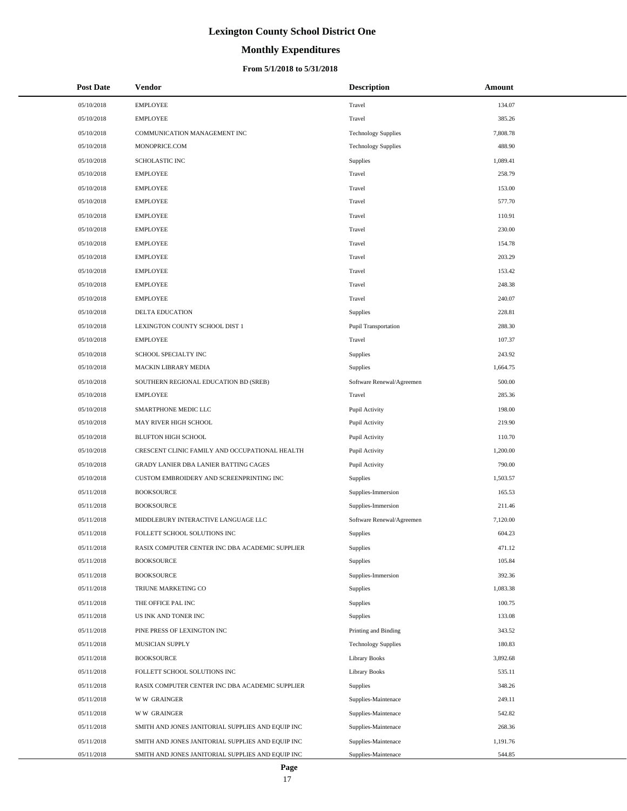# **Monthly Expenditures**

| <b>Post Date</b>         | Vendor                                                               | <b>Description</b>         | <b>Amount</b>      |
|--------------------------|----------------------------------------------------------------------|----------------------------|--------------------|
| 05/10/2018               | <b>EMPLOYEE</b>                                                      | Travel                     | 134.07             |
| 05/10/2018               | <b>EMPLOYEE</b>                                                      | Travel                     | 385.26             |
| 05/10/2018               | COMMUNICATION MANAGEMENT INC                                         | <b>Technology Supplies</b> | 7,808.78           |
| 05/10/2018               | MONOPRICE.COM                                                        | <b>Technology Supplies</b> | 488.90             |
| 05/10/2018               | SCHOLASTIC INC                                                       | Supplies                   | 1,089.41           |
| 05/10/2018               | <b>EMPLOYEE</b>                                                      | Travel                     | 258.79             |
| 05/10/2018               | <b>EMPLOYEE</b>                                                      | Travel                     | 153.00             |
| 05/10/2018               | <b>EMPLOYEE</b>                                                      | Travel                     | 577.70             |
| 05/10/2018               | <b>EMPLOYEE</b>                                                      | Travel                     | 110.91             |
| 05/10/2018               | <b>EMPLOYEE</b>                                                      | Travel                     | 230.00             |
| 05/10/2018               | <b>EMPLOYEE</b>                                                      | Travel                     | 154.78             |
| 05/10/2018               | <b>EMPLOYEE</b>                                                      | Travel                     | 203.29             |
| 05/10/2018               | <b>EMPLOYEE</b>                                                      | Travel                     | 153.42             |
| 05/10/2018               | <b>EMPLOYEE</b>                                                      | Travel                     | 248.38             |
| 05/10/2018               | <b>EMPLOYEE</b>                                                      | Travel                     | 240.07             |
| 05/10/2018               | <b>DELTA EDUCATION</b>                                               | Supplies                   | 228.81             |
| 05/10/2018               | LEXINGTON COUNTY SCHOOL DIST 1                                       | Pupil Transportation       | 288.30             |
| 05/10/2018               | <b>EMPLOYEE</b>                                                      | Travel                     | 107.37             |
| 05/10/2018               | SCHOOL SPECIALTY INC                                                 | Supplies                   | 243.92             |
| 05/10/2018               | MACKIN LIBRARY MEDIA                                                 | Supplies                   | 1,664.75           |
| 05/10/2018               | SOUTHERN REGIONAL EDUCATION BD (SREB)                                | Software Renewal/Agreemen  | 500.00             |
| 05/10/2018               | <b>EMPLOYEE</b>                                                      | Travel                     | 285.36             |
| 05/10/2018               | SMARTPHONE MEDIC LLC                                                 | Pupil Activity             | 198.00             |
| 05/10/2018               | MAY RIVER HIGH SCHOOL                                                | Pupil Activity             | 219.90             |
| 05/10/2018               | <b>BLUFTON HIGH SCHOOL</b>                                           | Pupil Activity             | 110.70             |
| 05/10/2018               | CRESCENT CLINIC FAMILY AND OCCUPATIONAL HEALTH                       | Pupil Activity             | 1,200.00           |
| 05/10/2018               | GRADY LANIER DBA LANIER BATTING CAGES                                | Pupil Activity             | 790.00             |
| 05/10/2018               | CUSTOM EMBROIDERY AND SCREENPRINTING INC                             | Supplies                   | 1,503.57           |
| 05/11/2018               | <b>BOOKSOURCE</b>                                                    | Supplies-Immersion         | 165.53             |
| 05/11/2018               | <b>BOOKSOURCE</b>                                                    | Supplies-Immersion         | 211.46             |
| 05/11/2018               | MIDDLEBURY INTERACTIVE LANGUAGE LLC                                  | Software Renewal/Agreemen  | 7,120.00           |
| 05/11/2018               | FOLLETT SCHOOL SOLUTIONS INC                                         | Supplies                   | 604.23             |
| 05/11/2018<br>05/11/2018 | RASIX COMPUTER CENTER INC DBA ACADEMIC SUPPLIER<br><b>BOOKSOURCE</b> | Supplies                   | 471.12             |
|                          |                                                                      | Supplies                   | 105.84             |
| 05/11/2018               | <b>BOOKSOURCE</b><br>TRIUNE MARKETING CO                             | Supplies-Immersion         | 392.36<br>1,083.38 |
| 05/11/2018               |                                                                      | Supplies                   | 100.75             |
| 05/11/2018<br>05/11/2018 | THE OFFICE PAL INC<br>US INK AND TONER INC                           | Supplies<br>Supplies       | 133.08             |
| 05/11/2018               | PINE PRESS OF LEXINGTON INC                                          | Printing and Binding       | 343.52             |
| 05/11/2018               | MUSICIAN SUPPLY                                                      | <b>Technology Supplies</b> | 180.83             |
| 05/11/2018               | <b>BOOKSOURCE</b>                                                    | Library Books              | 3,892.68           |
| 05/11/2018               | FOLLETT SCHOOL SOLUTIONS INC                                         | <b>Library Books</b>       | 535.11             |
| 05/11/2018               | RASIX COMPUTER CENTER INC DBA ACADEMIC SUPPLIER                      | Supplies                   | 348.26             |
| 05/11/2018               | <b>WW GRAINGER</b>                                                   | Supplies-Maintenace        | 249.11             |
| 05/11/2018               | <b>WW GRAINGER</b>                                                   | Supplies-Maintenace        | 542.82             |
| 05/11/2018               | SMITH AND JONES JANITORIAL SUPPLIES AND EQUIP INC                    | Supplies-Maintenace        | 268.36             |
| 05/11/2018               | SMITH AND JONES JANITORIAL SUPPLIES AND EQUIP INC                    | Supplies-Maintenace        | 1,191.76           |
| 05/11/2018               | SMITH AND JONES JANITORIAL SUPPLIES AND EQUIP INC                    | Supplies-Maintenace        | 544.85             |
|                          |                                                                      |                            |                    |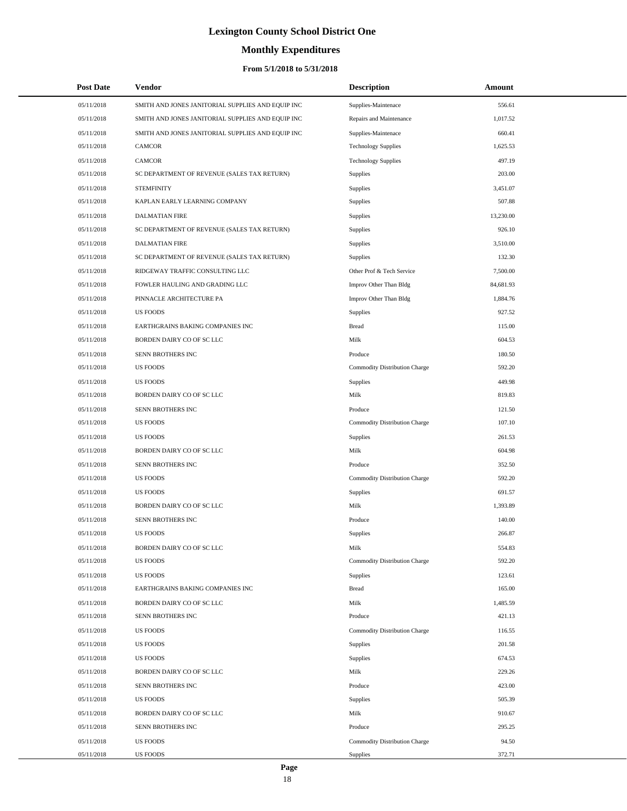# **Monthly Expenditures**

| <b>Post Date</b> | Vendor                                            | <b>Description</b>            | Amount    |
|------------------|---------------------------------------------------|-------------------------------|-----------|
| 05/11/2018       | SMITH AND JONES JANITORIAL SUPPLIES AND EQUIP INC | Supplies-Maintenace           | 556.61    |
| 05/11/2018       | SMITH AND JONES JANITORIAL SUPPLIES AND EQUIP INC | Repairs and Maintenance       | 1,017.52  |
| 05/11/2018       | SMITH AND JONES JANITORIAL SUPPLIES AND EQUIP INC | Supplies-Maintenace           | 660.41    |
| 05/11/2018       | <b>CAMCOR</b>                                     | <b>Technology Supplies</b>    | 1,625.53  |
| 05/11/2018       | CAMCOR                                            | <b>Technology Supplies</b>    | 497.19    |
| 05/11/2018       | SC DEPARTMENT OF REVENUE (SALES TAX RETURN)       | <b>Supplies</b>               | 203.00    |
| 05/11/2018       | <b>STEMFINITY</b>                                 | Supplies                      | 3,451.07  |
| 05/11/2018       | KAPLAN EARLY LEARNING COMPANY                     | Supplies                      | 507.88    |
| 05/11/2018       | <b>DALMATIAN FIRE</b>                             | Supplies                      | 13,230.00 |
| 05/11/2018       | SC DEPARTMENT OF REVENUE (SALES TAX RETURN)       | Supplies                      | 926.10    |
| 05/11/2018       | <b>DALMATIAN FIRE</b>                             | Supplies                      | 3,510.00  |
| 05/11/2018       | SC DEPARTMENT OF REVENUE (SALES TAX RETURN)       | Supplies                      | 132.30    |
| 05/11/2018       | RIDGEWAY TRAFFIC CONSULTING LLC                   | Other Prof & Tech Service     | 7,500.00  |
| 05/11/2018       | FOWLER HAULING AND GRADING LLC                    | Improv Other Than Bldg        | 84,681.93 |
| 05/11/2018       | PINNACLE ARCHITECTURE PA                          | Improv Other Than Bldg        | 1,884.76  |
| 05/11/2018       | <b>US FOODS</b>                                   | Supplies                      | 927.52    |
| 05/11/2018       | EARTHGRAINS BAKING COMPANIES INC                  | <b>Bread</b>                  | 115.00    |
| 05/11/2018       | BORDEN DAIRY CO OF SC LLC                         | Milk                          | 604.53    |
| 05/11/2018       | SENN BROTHERS INC                                 | Produce                       | 180.50    |
| 05/11/2018       | <b>US FOODS</b>                                   | Commodity Distribution Charge | 592.20    |
| 05/11/2018       | <b>US FOODS</b>                                   | Supplies                      | 449.98    |
| 05/11/2018       | BORDEN DAIRY CO OF SC LLC                         | Milk                          | 819.83    |
| 05/11/2018       | SENN BROTHERS INC                                 | Produce                       | 121.50    |
| 05/11/2018       | <b>US FOODS</b>                                   | Commodity Distribution Charge | 107.10    |
| 05/11/2018       | <b>US FOODS</b>                                   | Supplies                      | 261.53    |
| 05/11/2018       | BORDEN DAIRY CO OF SC LLC                         | Milk                          | 604.98    |
| 05/11/2018       | SENN BROTHERS INC                                 | Produce                       | 352.50    |
| 05/11/2018       | <b>US FOODS</b>                                   | Commodity Distribution Charge | 592.20    |
| 05/11/2018       | <b>US FOODS</b>                                   | Supplies                      | 691.57    |
| 05/11/2018       | BORDEN DAIRY CO OF SC LLC                         | Milk                          | 1,393.89  |
| 05/11/2018       | SENN BROTHERS INC                                 | Produce                       | 140.00    |
| 05/11/2018       | <b>US FOODS</b>                                   | Supplies                      | 266.87    |
| 05/11/2018       | BORDEN DAIRY CO OF SC LLC                         | Milk                          | 554.83    |
| 05/11/2018       | <b>US FOODS</b>                                   | Commodity Distribution Charge | 592.20    |
| 05/11/2018       | <b>US FOODS</b>                                   | Supplies                      | 123.61    |
| 05/11/2018       | EARTHGRAINS BAKING COMPANIES INC                  | <b>Bread</b>                  | 165.00    |
| 05/11/2018       | BORDEN DAIRY CO OF SC LLC                         | Milk                          | 1,485.59  |
| 05/11/2018       | SENN BROTHERS INC                                 | Produce                       | 421.13    |
| 05/11/2018       | <b>US FOODS</b>                                   | Commodity Distribution Charge | 116.55    |
| 05/11/2018       | <b>US FOODS</b>                                   | Supplies                      | 201.58    |
| 05/11/2018       | <b>US FOODS</b>                                   | Supplies                      | 674.53    |
| 05/11/2018       | BORDEN DAIRY CO OF SC LLC                         | Milk                          | 229.26    |
| 05/11/2018       | SENN BROTHERS INC                                 | Produce                       | 423.00    |
| 05/11/2018       | <b>US FOODS</b>                                   | Supplies                      | 505.39    |
| 05/11/2018       | BORDEN DAIRY CO OF SC LLC                         | Milk                          | 910.67    |
| 05/11/2018       | SENN BROTHERS INC                                 | Produce                       | 295.25    |
| 05/11/2018       | <b>US FOODS</b>                                   | Commodity Distribution Charge | 94.50     |
| 05/11/2018       | <b>US FOODS</b>                                   | Supplies                      | 372.71    |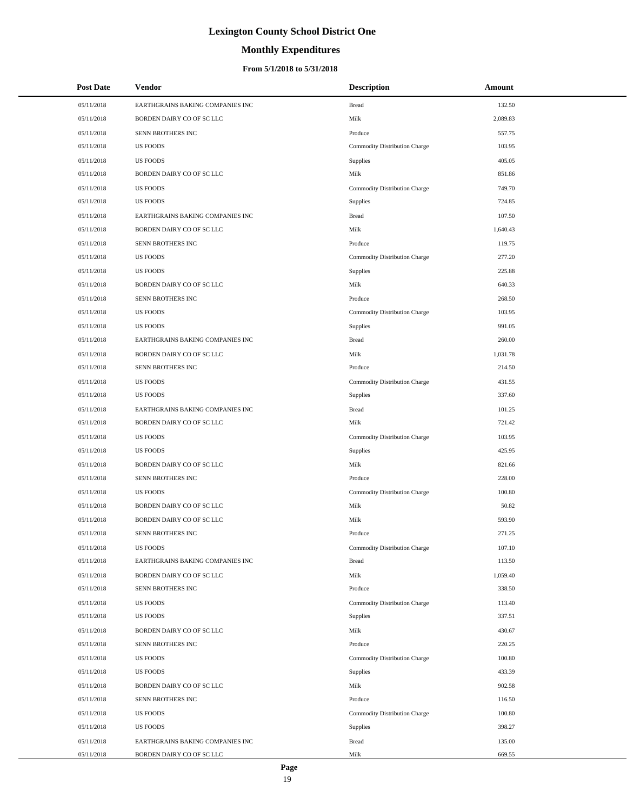# **Monthly Expenditures**

### **From 5/1/2018 to 5/31/2018**

| <b>Post Date</b> | Vendor                           | <b>Description</b>            | Amount   |
|------------------|----------------------------------|-------------------------------|----------|
| 05/11/2018       | EARTHGRAINS BAKING COMPANIES INC | Bread                         | 132.50   |
| 05/11/2018       | BORDEN DAIRY CO OF SC LLC        | Milk                          | 2,089.83 |
| 05/11/2018       | SENN BROTHERS INC                | Produce                       | 557.75   |
| 05/11/2018       | <b>US FOODS</b>                  | Commodity Distribution Charge | 103.95   |
| 05/11/2018       | <b>US FOODS</b>                  | Supplies                      | 405.05   |
| 05/11/2018       | BORDEN DAIRY CO OF SC LLC        | Milk                          | 851.86   |
| 05/11/2018       | <b>US FOODS</b>                  | Commodity Distribution Charge | 749.70   |
| 05/11/2018       | <b>US FOODS</b>                  | Supplies                      | 724.85   |
| 05/11/2018       | EARTHGRAINS BAKING COMPANIES INC | <b>Bread</b>                  | 107.50   |
| 05/11/2018       | BORDEN DAIRY CO OF SC LLC        | Milk                          | 1,640.43 |
| 05/11/2018       | SENN BROTHERS INC                | Produce                       | 119.75   |
| 05/11/2018       | <b>US FOODS</b>                  | Commodity Distribution Charge | 277.20   |
| 05/11/2018       | <b>US FOODS</b>                  | Supplies                      | 225.88   |
| 05/11/2018       | BORDEN DAIRY CO OF SC LLC        | Milk                          | 640.33   |
| 05/11/2018       | SENN BROTHERS INC                | Produce                       | 268.50   |
| 05/11/2018       | <b>US FOODS</b>                  | Commodity Distribution Charge | 103.95   |
| 05/11/2018       | <b>US FOODS</b>                  | Supplies                      | 991.05   |
| 05/11/2018       | EARTHGRAINS BAKING COMPANIES INC | <b>Bread</b>                  | 260.00   |
| 05/11/2018       | BORDEN DAIRY CO OF SC LLC        | Milk                          | 1,031.78 |
| 05/11/2018       | SENN BROTHERS INC                | Produce                       | 214.50   |
| 05/11/2018       | <b>US FOODS</b>                  | Commodity Distribution Charge | 431.55   |
| 05/11/2018       | <b>US FOODS</b>                  | Supplies                      | 337.60   |
| 05/11/2018       | EARTHGRAINS BAKING COMPANIES INC | <b>Bread</b>                  | 101.25   |
| 05/11/2018       | BORDEN DAIRY CO OF SC LLC        | Milk                          | 721.42   |
| 05/11/2018       | <b>US FOODS</b>                  | Commodity Distribution Charge | 103.95   |
| 05/11/2018       | <b>US FOODS</b>                  | Supplies                      | 425.95   |
| 05/11/2018       | BORDEN DAIRY CO OF SC LLC        | Milk                          | 821.66   |
| 05/11/2018       | SENN BROTHERS INC                | Produce                       | 228.00   |
| 05/11/2018       | <b>US FOODS</b>                  | Commodity Distribution Charge | 100.80   |
| 05/11/2018       | BORDEN DAIRY CO OF SC LLC        | Milk                          | 50.82    |
| 05/11/2018       | BORDEN DAIRY CO OF SC LLC        | Milk                          | 593.90   |
| 05/11/2018       | SENN BROTHERS INC                | Produce                       | 271.25   |
| 05/11/2018       | <b>US FOODS</b>                  | Commodity Distribution Charge | 107.10   |
| 05/11/2018       | EARTHGRAINS BAKING COMPANIES INC | Bread                         | 113.50   |
| 05/11/2018       | BORDEN DAIRY CO OF SC LLC        | Milk                          | 1,059.40 |
| 05/11/2018       | SENN BROTHERS INC                | Produce                       | 338.50   |
| 05/11/2018       | <b>US FOODS</b>                  | Commodity Distribution Charge | 113.40   |
| 05/11/2018       | <b>US FOODS</b>                  | <b>Supplies</b>               | 337.51   |
| 05/11/2018       | BORDEN DAIRY CO OF SC LLC        | Milk                          | 430.67   |
| 05/11/2018       | SENN BROTHERS INC                | Produce                       | 220.25   |
| 05/11/2018       | <b>US FOODS</b>                  | Commodity Distribution Charge | 100.80   |
| 05/11/2018       | <b>US FOODS</b>                  | <b>Supplies</b>               | 433.39   |
| 05/11/2018       | BORDEN DAIRY CO OF SC LLC        | Milk                          | 902.58   |
| 05/11/2018       | SENN BROTHERS INC                | Produce                       | 116.50   |
| 05/11/2018       | <b>US FOODS</b>                  | Commodity Distribution Charge | 100.80   |
| 05/11/2018       | <b>US FOODS</b>                  | Supplies                      | 398.27   |
| 05/11/2018       | EARTHGRAINS BAKING COMPANIES INC | <b>Bread</b>                  | 135.00   |
| 05/11/2018       | BORDEN DAIRY CO OF SC LLC        | Milk                          | 669.55   |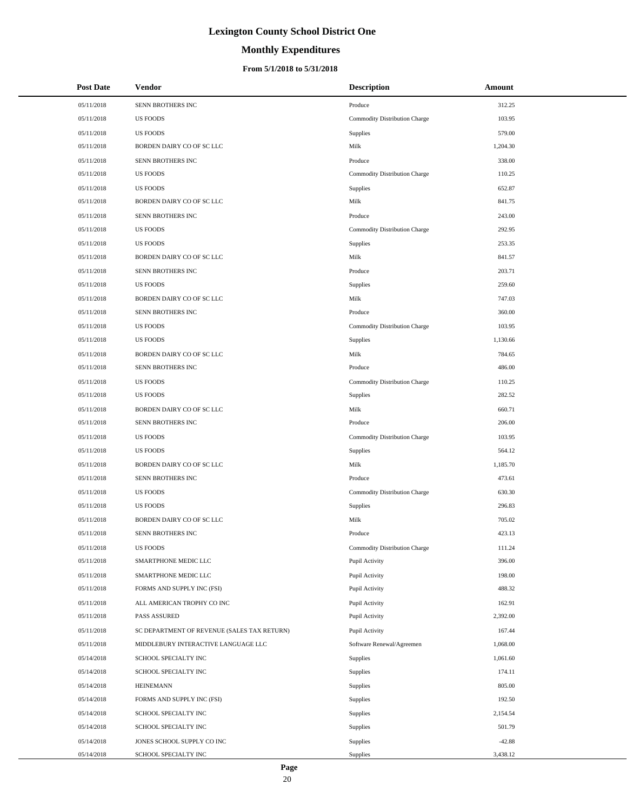# **Monthly Expenditures**

#### **From 5/1/2018 to 5/31/2018**

| <b>Post Date</b> | Vendor                                      | <b>Description</b>            | Amount   |
|------------------|---------------------------------------------|-------------------------------|----------|
| 05/11/2018       | SENN BROTHERS INC                           | Produce                       | 312.25   |
| 05/11/2018       | <b>US FOODS</b>                             | Commodity Distribution Charge | 103.95   |
| 05/11/2018       | <b>US FOODS</b>                             | Supplies                      | 579.00   |
| 05/11/2018       | BORDEN DAIRY CO OF SC LLC                   | Milk                          | 1,204.30 |
| 05/11/2018       | SENN BROTHERS INC                           | Produce                       | 338.00   |
| 05/11/2018       | <b>US FOODS</b>                             | Commodity Distribution Charge | 110.25   |
| 05/11/2018       | <b>US FOODS</b>                             | <b>Supplies</b>               | 652.87   |
| 05/11/2018       | BORDEN DAIRY CO OF SC LLC                   | Milk                          | 841.75   |
| 05/11/2018       | SENN BROTHERS INC                           | Produce                       | 243.00   |
| 05/11/2018       | <b>US FOODS</b>                             | Commodity Distribution Charge | 292.95   |
| 05/11/2018       | <b>US FOODS</b>                             | Supplies                      | 253.35   |
| 05/11/2018       | BORDEN DAIRY CO OF SC LLC                   | Milk                          | 841.57   |
| 05/11/2018       | SENN BROTHERS INC                           | Produce                       | 203.71   |
| 05/11/2018       | <b>US FOODS</b>                             | Supplies                      | 259.60   |
| 05/11/2018       | BORDEN DAIRY CO OF SC LLC                   | Milk                          | 747.03   |
| 05/11/2018       | SENN BROTHERS INC                           | Produce                       | 360.00   |
| 05/11/2018       | <b>US FOODS</b>                             | Commodity Distribution Charge | 103.95   |
| 05/11/2018       | <b>US FOODS</b>                             | Supplies                      | 1,130.66 |
| 05/11/2018       | BORDEN DAIRY CO OF SC LLC                   | Milk                          | 784.65   |
| 05/11/2018       | SENN BROTHERS INC                           | Produce                       | 486.00   |
| 05/11/2018       | <b>US FOODS</b>                             | Commodity Distribution Charge | 110.25   |
| 05/11/2018       | <b>US FOODS</b>                             | Supplies                      | 282.52   |
| 05/11/2018       | BORDEN DAIRY CO OF SC LLC                   | Milk                          | 660.71   |
| 05/11/2018       | SENN BROTHERS INC                           | Produce                       | 206.00   |
| 05/11/2018       | <b>US FOODS</b>                             | Commodity Distribution Charge | 103.95   |
| 05/11/2018       | <b>US FOODS</b>                             | Supplies                      | 564.12   |
| 05/11/2018       | BORDEN DAIRY CO OF SC LLC                   | Milk                          | 1,185.70 |
| 05/11/2018       | SENN BROTHERS INC                           | Produce                       | 473.61   |
| 05/11/2018       | <b>US FOODS</b>                             | Commodity Distribution Charge | 630.30   |
| 05/11/2018       | <b>US FOODS</b>                             | Supplies                      | 296.83   |
| 05/11/2018       | BORDEN DAIRY CO OF SC LLC                   | Milk                          | 705.02   |
| 05/11/2018       | <b>SENN BROTHERS INC</b>                    | Produce                       | 423.13   |
| 05/11/2018       | <b>US FOODS</b>                             | Commodity Distribution Charge | 111.24   |
| 05/11/2018       | SMARTPHONE MEDIC LLC                        | Pupil Activity                | 396.00   |
| 05/11/2018       | SMARTPHONE MEDIC LLC                        | Pupil Activity                | 198.00   |
| 05/11/2018       | FORMS AND SUPPLY INC (FSI)                  | Pupil Activity                | 488.32   |
| 05/11/2018       | ALL AMERICAN TROPHY CO INC                  | Pupil Activity                | 162.91   |
| 05/11/2018       | PASS ASSURED                                | Pupil Activity                | 2,392.00 |
| 05/11/2018       | SC DEPARTMENT OF REVENUE (SALES TAX RETURN) | Pupil Activity                | 167.44   |
| 05/11/2018       | MIDDLEBURY INTERACTIVE LANGUAGE LLC         | Software Renewal/Agreemen     | 1,068.00 |
| 05/14/2018       | SCHOOL SPECIALTY INC                        | Supplies                      | 1,061.60 |
| 05/14/2018       | SCHOOL SPECIALTY INC                        | Supplies                      | 174.11   |
| 05/14/2018       | <b>HEINEMANN</b>                            | Supplies                      | 805.00   |
| 05/14/2018       | FORMS AND SUPPLY INC (FSI)                  | Supplies                      | 192.50   |
| 05/14/2018       | SCHOOL SPECIALTY INC                        | <b>Supplies</b>               | 2,154.54 |
| 05/14/2018       | SCHOOL SPECIALTY INC                        | Supplies                      | 501.79   |
| 05/14/2018       | JONES SCHOOL SUPPLY CO INC                  | Supplies                      | $-42.88$ |
| 05/14/2018       | SCHOOL SPECIALTY INC                        | Supplies                      | 3,438.12 |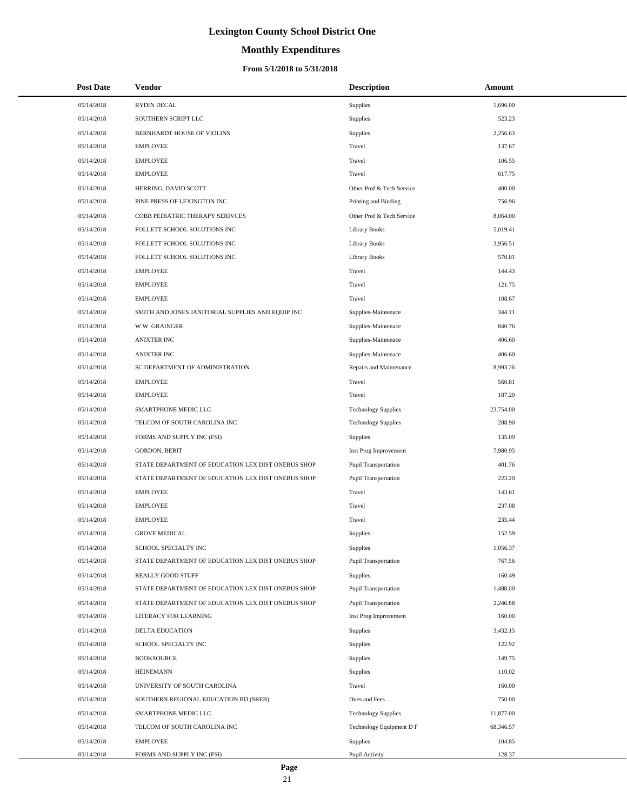# **Monthly Expenditures**

| <b>Post Date</b> | Vendor                                             | <b>Description</b>          | Amount    |
|------------------|----------------------------------------------------|-----------------------------|-----------|
| 05/14/2018       | <b>RYDIN DECAL</b>                                 | Supplies                    | 1,696.00  |
| 05/14/2018       | SOUTHERN SCRIPT LLC                                | Supplies                    | 523.23    |
| 05/14/2018       | BERNHARDT HOUSE OF VIOLINS                         | Supplies                    | 2,256.63  |
| 05/14/2018       | <b>EMPLOYEE</b>                                    | Travel                      | 137.67    |
| 05/14/2018       | <b>EMPLOYEE</b>                                    | Travel                      | 106.55    |
| 05/14/2018       | <b>EMPLOYEE</b>                                    | Travel                      | 617.75    |
| 05/14/2018       | HERRING, DAVID SCOTT                               | Other Prof & Tech Service   | 400.00    |
| 05/14/2018       | PINE PRESS OF LEXINGTON INC                        | Printing and Binding        | 756.96    |
| 05/14/2018       | COBB PEDIATRIC THERAPY SERIVCES                    | Other Prof & Tech Service   | 8,064.00  |
| 05/14/2018       | FOLLETT SCHOOL SOLUTIONS INC                       | Library Books               | 5,019.41  |
| 05/14/2018       | FOLLETT SCHOOL SOLUTIONS INC                       | <b>Library Books</b>        | 3,956.51  |
| 05/14/2018       | FOLLETT SCHOOL SOLUTIONS INC                       | <b>Library Books</b>        | 570.81    |
| 05/14/2018       | <b>EMPLOYEE</b>                                    | Travel                      | 144.43    |
| 05/14/2018       | <b>EMPLOYEE</b>                                    | Travel                      | 121.75    |
| 05/14/2018       | <b>EMPLOYEE</b>                                    | Travel                      | 108.67    |
| 05/14/2018       | SMITH AND JONES JANITORIAL SUPPLIES AND EQUIP INC  | Supplies-Maintenace         | 344.11    |
| 05/14/2018       | <b>WW GRAINGER</b>                                 | Supplies-Maintenace         | 840.76    |
| 05/14/2018       | <b>ANIXTER INC</b>                                 | Supplies-Maintenace         | 406.60    |
| 05/14/2018       | <b>ANIXTER INC</b>                                 | Supplies-Maintenace         | 406.60    |
| 05/14/2018       | SC DEPARTMENT OF ADMINISTRATION                    | Repairs and Maintenance     | 8,993.26  |
| 05/14/2018       | <b>EMPLOYEE</b>                                    | Travel                      | 560.81    |
| 05/14/2018       | <b>EMPLOYEE</b>                                    | Travel                      | 187.20    |
| 05/14/2018       | SMARTPHONE MEDIC LLC                               | <b>Technology Supplies</b>  | 23,754.00 |
| 05/14/2018       | TELCOM OF SOUTH CAROLINA INC                       | <b>Technology Supplies</b>  | 288.90    |
| 05/14/2018       | FORMS AND SUPPLY INC (FSI)                         | <b>Supplies</b>             | 135.09    |
| 05/14/2018       | <b>GORDON, BERIT</b>                               | Inst Prog Improvement       | 7,980.95  |
| 05/14/2018       | STATE DEPARTMENT OF EDUCATION LEX DIST ONEBUS SHOP | Pupil Transportation        | 401.76    |
| 05/14/2018       | STATE DEPARTMENT OF EDUCATION LEX DIST ONEBUS SHOP | <b>Pupil Transportation</b> | 223.20    |
| 05/14/2018       | <b>EMPLOYEE</b>                                    | Travel                      | 143.61    |
| 05/14/2018       | <b>EMPLOYEE</b>                                    | Travel                      | 237.08    |
| 05/14/2018       | <b>EMPLOYEE</b>                                    | Travel                      | 235.44    |
| 05/14/2018       | <b>GROVE MEDICAL</b>                               | Supplies                    | 152.59    |
| 05/14/2018       | SCHOOL SPECIALTY INC                               | Supplies                    | 1,056.37  |
| 05/14/2018       | STATE DEPARTMENT OF EDUCATION LEX DIST ONEBUS SHOP | <b>Pupil Transportation</b> | 767.56    |
| 05/14/2018       | <b>REALLY GOOD STUFF</b>                           | Supplies                    | 160.49    |
| 05/14/2018       | STATE DEPARTMENT OF EDUCATION LEX DIST ONEBUS SHOP | Pupil Transportation        | 1,488.00  |
| 05/14/2018       | STATE DEPARTMENT OF EDUCATION LEX DIST ONEBUS SHOP | <b>Pupil Transportation</b> | 2,246.88  |
| 05/14/2018       | LITERACY FOR LEARNING                              | Inst Prog Improvement       | 160.00    |
| 05/14/2018       | <b>DELTA EDUCATION</b>                             | Supplies                    | 3,432.15  |
| 05/14/2018       | SCHOOL SPECIALTY INC                               | Supplies                    | 122.92    |
| 05/14/2018       | <b>BOOKSOURCE</b>                                  | Supplies                    | 149.75    |
| 05/14/2018       | <b>HEINEMANN</b>                                   | Supplies                    | 110.02    |
| 05/14/2018       | UNIVERSITY OF SOUTH CAROLINA                       | Travel                      | 160.00    |
| 05/14/2018       | SOUTHERN REGIONAL EDUCATION BD (SREB)              | Dues and Fees               | 750.00    |
| 05/14/2018       | SMARTPHONE MEDIC LLC                               | <b>Technology Supplies</b>  | 11,877.00 |
| 05/14/2018       | TELCOM OF SOUTH CAROLINA INC                       | Technology Equipment D F    | 68,346.57 |
| 05/14/2018       | <b>EMPLOYEE</b>                                    | Supplies                    | 104.85    |
| 05/14/2018       | FORMS AND SUPPLY INC (FSI)                         | Pupil Activity              | 128.37    |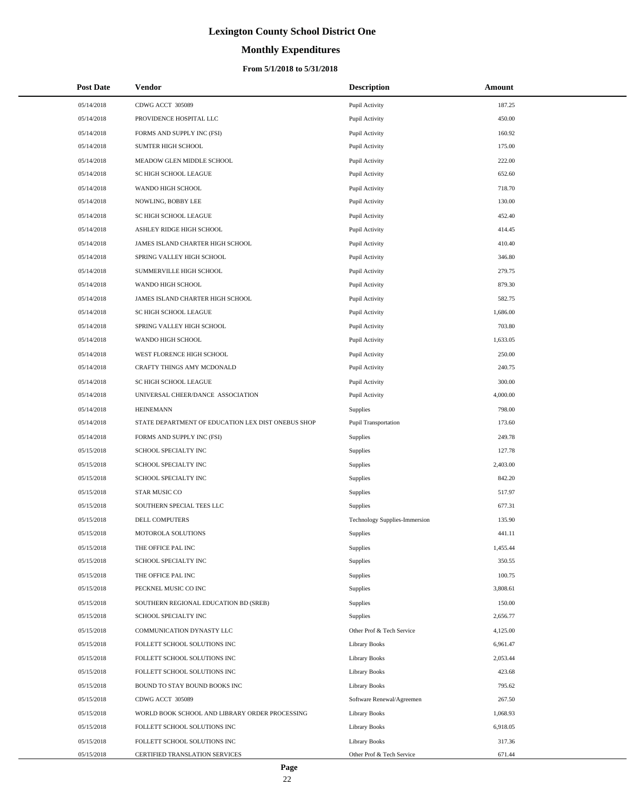# **Monthly Expenditures**

#### **From 5/1/2018 to 5/31/2018**

| <b>Post Date</b> | Vendor                                             | <b>Description</b>            | Amount   |
|------------------|----------------------------------------------------|-------------------------------|----------|
| 05/14/2018       | CDWG ACCT 305089                                   | Pupil Activity                | 187.25   |
| 05/14/2018       | PROVIDENCE HOSPITAL LLC                            | Pupil Activity                | 450.00   |
| 05/14/2018       | FORMS AND SUPPLY INC (FSI)                         | Pupil Activity                | 160.92   |
| 05/14/2018       | <b>SUMTER HIGH SCHOOL</b>                          | Pupil Activity                | 175.00   |
| 05/14/2018       | MEADOW GLEN MIDDLE SCHOOL                          | Pupil Activity                | 222.00   |
| 05/14/2018       | SC HIGH SCHOOL LEAGUE                              | Pupil Activity                | 652.60   |
| 05/14/2018       | WANDO HIGH SCHOOL                                  | Pupil Activity                | 718.70   |
| 05/14/2018       | NOWLING, BOBBY LEE                                 | Pupil Activity                | 130.00   |
| 05/14/2018       | SC HIGH SCHOOL LEAGUE                              | Pupil Activity                | 452.40   |
| 05/14/2018       | ASHLEY RIDGE HIGH SCHOOL                           | Pupil Activity                | 414.45   |
| 05/14/2018       | JAMES ISLAND CHARTER HIGH SCHOOL                   | Pupil Activity                | 410.40   |
| 05/14/2018       | SPRING VALLEY HIGH SCHOOL                          | Pupil Activity                | 346.80   |
| 05/14/2018       | SUMMERVILLE HIGH SCHOOL                            | Pupil Activity                | 279.75   |
| 05/14/2018       | WANDO HIGH SCHOOL                                  | Pupil Activity                | 879.30   |
| 05/14/2018       | JAMES ISLAND CHARTER HIGH SCHOOL                   | Pupil Activity                | 582.75   |
| 05/14/2018       | SC HIGH SCHOOL LEAGUE                              | Pupil Activity                | 1,686.00 |
| 05/14/2018       | SPRING VALLEY HIGH SCHOOL                          | Pupil Activity                | 703.80   |
| 05/14/2018       | WANDO HIGH SCHOOL                                  | Pupil Activity                | 1,633.05 |
| 05/14/2018       | WEST FLORENCE HIGH SCHOOL                          | Pupil Activity                | 250.00   |
| 05/14/2018       | CRAFTY THINGS AMY MCDONALD                         | Pupil Activity                | 240.75   |
| 05/14/2018       | SC HIGH SCHOOL LEAGUE                              | Pupil Activity                | 300.00   |
| 05/14/2018       | UNIVERSAL CHEER/DANCE ASSOCIATION                  | Pupil Activity                | 4,000.00 |
| 05/14/2018       | <b>HEINEMANN</b>                                   | Supplies                      | 798.00   |
| 05/14/2018       | STATE DEPARTMENT OF EDUCATION LEX DIST ONEBUS SHOP | Pupil Transportation          | 173.60   |
| 05/14/2018       | FORMS AND SUPPLY INC (FSI)                         | Supplies                      | 249.78   |
| 05/15/2018       | SCHOOL SPECIALTY INC                               | Supplies                      | 127.78   |
| 05/15/2018       | SCHOOL SPECIALTY INC                               | Supplies                      | 2,403.00 |
| 05/15/2018       | SCHOOL SPECIALTY INC                               | Supplies                      | 842.20   |
| 05/15/2018       | <b>STAR MUSIC CO</b>                               | Supplies                      | 517.97   |
| 05/15/2018       | SOUTHERN SPECIAL TEES LLC                          | Supplies                      | 677.31   |
| 05/15/2018       | <b>DELL COMPUTERS</b>                              | Technology Supplies-Immersion | 135.90   |
| 05/15/2018       | MOTOROLA SOLUTIONS                                 | Supplies                      | 441.11   |
| 05/15/2018       | THE OFFICE PAL INC                                 | Supplies                      | 1,455.44 |
| 05/15/2018       | SCHOOL SPECIALTY INC                               | Supplies                      | 350.55   |
| 05/15/2018       | THE OFFICE PAL INC                                 | Supplies                      | 100.75   |
| 05/15/2018       | PECKNEL MUSIC CO INC                               | Supplies                      | 3,808.61 |
| 05/15/2018       | SOUTHERN REGIONAL EDUCATION BD (SREB)              | Supplies                      | 150.00   |
| 05/15/2018       | SCHOOL SPECIALTY INC                               | Supplies                      | 2,656.77 |
| 05/15/2018       | COMMUNICATION DYNASTY LLC                          | Other Prof & Tech Service     | 4,125.00 |
| 05/15/2018       | FOLLETT SCHOOL SOLUTIONS INC                       | <b>Library Books</b>          | 6,961.47 |
| 05/15/2018       | FOLLETT SCHOOL SOLUTIONS INC                       | <b>Library Books</b>          | 2,053.44 |
| 05/15/2018       | FOLLETT SCHOOL SOLUTIONS INC                       | <b>Library Books</b>          | 423.68   |
| 05/15/2018       | BOUND TO STAY BOUND BOOKS INC                      | <b>Library Books</b>          | 795.62   |
| 05/15/2018       | CDWG ACCT 305089                                   | Software Renewal/Agreemen     | 267.50   |
| 05/15/2018       | WORLD BOOK SCHOOL AND LIBRARY ORDER PROCESSING     | <b>Library Books</b>          | 1,068.93 |
| 05/15/2018       | FOLLETT SCHOOL SOLUTIONS INC                       | <b>Library Books</b>          | 6,918.05 |
| 05/15/2018       | FOLLETT SCHOOL SOLUTIONS INC                       | <b>Library Books</b>          | 317.36   |
| 05/15/2018       | CERTIFIED TRANSLATION SERVICES                     | Other Prof & Tech Service     | 671.44   |

÷.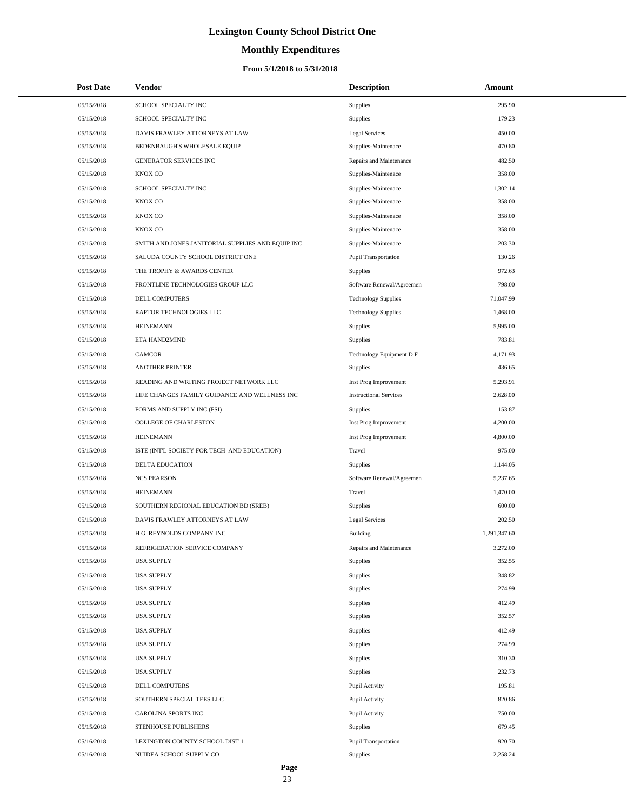# **Monthly Expenditures**

#### **From 5/1/2018 to 5/31/2018**

| <b>Post Date</b> | Vendor                                            | <b>Description</b>            | Amount       |
|------------------|---------------------------------------------------|-------------------------------|--------------|
| 05/15/2018       | SCHOOL SPECIALTY INC                              | Supplies                      | 295.90       |
| 05/15/2018       | SCHOOL SPECIALTY INC                              | Supplies                      | 179.23       |
| 05/15/2018       | DAVIS FRAWLEY ATTORNEYS AT LAW                    | Legal Services                | 450.00       |
| 05/15/2018       | BEDENBAUGH'S WHOLESALE EQUIP                      | Supplies-Maintenace           | 470.80       |
| 05/15/2018       | <b>GENERATOR SERVICES INC</b>                     | Repairs and Maintenance       | 482.50       |
| 05/15/2018       | KNOX CO                                           | Supplies-Maintenace           | 358.00       |
| 05/15/2018       | SCHOOL SPECIALTY INC                              | Supplies-Maintenace           | 1,302.14     |
| 05/15/2018       | KNOX CO                                           | Supplies-Maintenace           | 358.00       |
| 05/15/2018       | <b>KNOX CO</b>                                    | Supplies-Maintenace           | 358.00       |
| 05/15/2018       | KNOX CO                                           | Supplies-Maintenace           | 358.00       |
| 05/15/2018       | SMITH AND JONES JANITORIAL SUPPLIES AND EQUIP INC | Supplies-Maintenace           | 203.30       |
| 05/15/2018       | SALUDA COUNTY SCHOOL DISTRICT ONE                 | Pupil Transportation          | 130.26       |
| 05/15/2018       | THE TROPHY & AWARDS CENTER                        | Supplies                      | 972.63       |
| 05/15/2018       | FRONTLINE TECHNOLOGIES GROUP LLC                  | Software Renewal/Agreemen     | 798.00       |
| 05/15/2018       | DELL COMPUTERS                                    | <b>Technology Supplies</b>    | 71,047.99    |
| 05/15/2018       | RAPTOR TECHNOLOGIES LLC                           | <b>Technology Supplies</b>    | 1,468.00     |
| 05/15/2018       | <b>HEINEMANN</b>                                  | Supplies                      | 5,995.00     |
| 05/15/2018       | ETA HAND2MIND                                     | <b>Supplies</b>               | 783.81       |
| 05/15/2018       | <b>CAMCOR</b>                                     | Technology Equipment D F      | 4,171.93     |
| 05/15/2018       | <b>ANOTHER PRINTER</b>                            | <b>Supplies</b>               | 436.65       |
| 05/15/2018       | READING AND WRITING PROJECT NETWORK LLC           | Inst Prog Improvement         | 5,293.91     |
| 05/15/2018       | LIFE CHANGES FAMILY GUIDANCE AND WELLNESS INC     | <b>Instructional Services</b> | 2,628.00     |
| 05/15/2018       | FORMS AND SUPPLY INC (FSI)                        | Supplies                      | 153.87       |
| 05/15/2018       | COLLEGE OF CHARLESTON                             | Inst Prog Improvement         | 4,200.00     |
| 05/15/2018       | <b>HEINEMANN</b>                                  | Inst Prog Improvement         | 4,800.00     |
| 05/15/2018       | ISTE (INT'L SOCIETY FOR TECH AND EDUCATION)       | Travel                        | 975.00       |
| 05/15/2018       | DELTA EDUCATION                                   | Supplies                      | 1,144.05     |
| 05/15/2018       | <b>NCS PEARSON</b>                                | Software Renewal/Agreemen     | 5,237.65     |
| 05/15/2018       | <b>HEINEMANN</b>                                  | Travel                        | 1,470.00     |
| 05/15/2018       | SOUTHERN REGIONAL EDUCATION BD (SREB)             | Supplies                      | 600.00       |
| 05/15/2018       | DAVIS FRAWLEY ATTORNEYS AT LAW                    | <b>Legal Services</b>         | 202.50       |
| 05/15/2018       | H G REYNOLDS COMPANY INC                          | Building                      | 1,291,347.60 |
| 05/15/2018       | REFRIGERATION SERVICE COMPANY                     | Repairs and Maintenance       | 3,272.00     |
| 05/15/2018       | <b>USA SUPPLY</b>                                 | Supplies                      | 352.55       |
| 05/15/2018       | <b>USA SUPPLY</b>                                 | Supplies                      | 348.82       |
| 05/15/2018       | <b>USA SUPPLY</b>                                 | Supplies                      | 274.99       |
| 05/15/2018       | <b>USA SUPPLY</b>                                 | Supplies                      | 412.49       |
| 05/15/2018       | <b>USA SUPPLY</b>                                 | Supplies                      | 352.57       |
| 05/15/2018       | <b>USA SUPPLY</b>                                 | Supplies                      | 412.49       |
| 05/15/2018       | <b>USA SUPPLY</b>                                 | Supplies                      | 274.99       |
| 05/15/2018       | <b>USA SUPPLY</b>                                 | Supplies                      | 310.30       |
| 05/15/2018       | <b>USA SUPPLY</b>                                 | Supplies                      | 232.73       |
| 05/15/2018       | DELL COMPUTERS                                    | Pupil Activity                | 195.81       |
| 05/15/2018       | SOUTHERN SPECIAL TEES LLC                         | Pupil Activity                | 820.86       |
| 05/15/2018       | CAROLINA SPORTS INC                               | Pupil Activity                | 750.00       |
| 05/15/2018       | STENHOUSE PUBLISHERS                              | Supplies                      | 679.45       |
| 05/16/2018       | LEXINGTON COUNTY SCHOOL DIST 1                    | Pupil Transportation          | 920.70       |
| 05/16/2018       | NUIDEA SCHOOL SUPPLY CO                           | Supplies                      | 2,258.24     |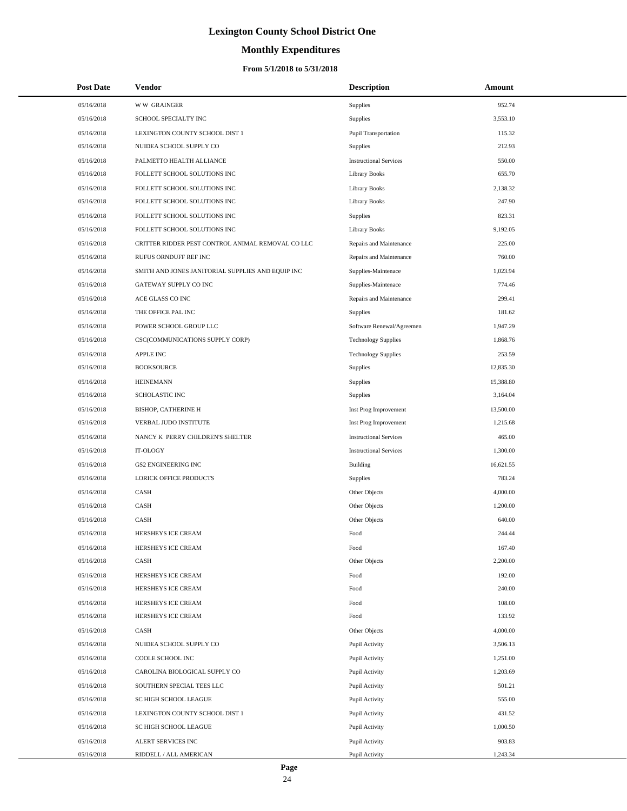# **Monthly Expenditures**

#### **From 5/1/2018 to 5/31/2018**

| <b>Post Date</b> | Vendor                                            | <b>Description</b>            | Amount    |
|------------------|---------------------------------------------------|-------------------------------|-----------|
| 05/16/2018       | <b>WW GRAINGER</b>                                | Supplies                      | 952.74    |
| 05/16/2018       | SCHOOL SPECIALTY INC                              | Supplies                      | 3,553.10  |
| 05/16/2018       | LEXINGTON COUNTY SCHOOL DIST 1                    | Pupil Transportation          | 115.32    |
| 05/16/2018       | NUIDEA SCHOOL SUPPLY CO                           | <b>Supplies</b>               | 212.93    |
| 05/16/2018       | PALMETTO HEALTH ALLIANCE                          | <b>Instructional Services</b> | 550.00    |
| 05/16/2018       | FOLLETT SCHOOL SOLUTIONS INC                      | <b>Library Books</b>          | 655.70    |
| 05/16/2018       | FOLLETT SCHOOL SOLUTIONS INC                      | <b>Library Books</b>          | 2,138.32  |
| 05/16/2018       | FOLLETT SCHOOL SOLUTIONS INC                      | <b>Library Books</b>          | 247.90    |
| 05/16/2018       | FOLLETT SCHOOL SOLUTIONS INC                      | Supplies                      | 823.31    |
| 05/16/2018       | FOLLETT SCHOOL SOLUTIONS INC                      | Library Books                 | 9,192.05  |
| 05/16/2018       | CRITTER RIDDER PEST CONTROL ANIMAL REMOVAL CO LLC | Repairs and Maintenance       | 225.00    |
| 05/16/2018       | RUFUS ORNDUFF REF INC                             | Repairs and Maintenance       | 760.00    |
| 05/16/2018       | SMITH AND JONES JANITORIAL SUPPLIES AND EQUIP INC | Supplies-Maintenace           | 1,023.94  |
| 05/16/2018       | GATEWAY SUPPLY CO INC                             | Supplies-Maintenace           | 774.46    |
| 05/16/2018       | ACE GLASS CO INC                                  | Repairs and Maintenance       | 299.41    |
| 05/16/2018       | THE OFFICE PAL INC                                | <b>Supplies</b>               | 181.62    |
| 05/16/2018       | POWER SCHOOL GROUP LLC                            | Software Renewal/Agreemen     | 1,947.29  |
| 05/16/2018       | CSC(COMMUNICATIONS SUPPLY CORP)                   | <b>Technology Supplies</b>    | 1,868.76  |
| 05/16/2018       | <b>APPLE INC</b>                                  | <b>Technology Supplies</b>    | 253.59    |
| 05/16/2018       | <b>BOOKSOURCE</b>                                 | Supplies                      | 12,835.30 |
| 05/16/2018       | <b>HEINEMANN</b>                                  | Supplies                      | 15,388.80 |
| 05/16/2018       | SCHOLASTIC INC                                    | Supplies                      | 3,164.04  |
| 05/16/2018       | <b>BISHOP, CATHERINE H</b>                        | Inst Prog Improvement         | 13,500.00 |
| 05/16/2018       | VERBAL JUDO INSTITUTE                             | Inst Prog Improvement         | 1,215.68  |
| 05/16/2018       | NANCY K PERRY CHILDREN'S SHELTER                  | <b>Instructional Services</b> | 465.00    |
| 05/16/2018       | IT-OLOGY                                          | <b>Instructional Services</b> | 1,300.00  |
| 05/16/2018       | <b>GS2 ENGINEERING INC</b>                        | <b>Building</b>               | 16,621.55 |
| 05/16/2018       | LORICK OFFICE PRODUCTS                            | Supplies                      | 783.24    |
| 05/16/2018       | CASH                                              | Other Objects                 | 4,000.00  |
| 05/16/2018       | CASH                                              | Other Objects                 | 1,200.00  |
| 05/16/2018       | CASH                                              | Other Objects                 | 640.00    |
| 05/16/2018       | HERSHEYS ICE CREAM                                | Food                          | 244.44    |
| 05/16/2018       | HERSHEYS ICE CREAM                                | Food                          | 167.40    |
| 05/16/2018       | CASH                                              | Other Objects                 | 2,200.00  |
| 05/16/2018       | HERSHEYS ICE CREAM                                | Food                          | 192.00    |
| 05/16/2018       | HERSHEYS ICE CREAM                                | Food                          | 240.00    |
| 05/16/2018       | HERSHEYS ICE CREAM                                | Food                          | 108.00    |
| 05/16/2018       | HERSHEYS ICE CREAM                                | Food                          | 133.92    |
| 05/16/2018       | CASH                                              | Other Objects                 | 4,000.00  |
| 05/16/2018       | NUIDEA SCHOOL SUPPLY CO                           | Pupil Activity                | 3,506.13  |
| 05/16/2018       | COOLE SCHOOL INC                                  | Pupil Activity                | 1,251.00  |
| 05/16/2018       | CAROLINA BIOLOGICAL SUPPLY CO                     | Pupil Activity                | 1,203.69  |
| 05/16/2018       | SOUTHERN SPECIAL TEES LLC                         | Pupil Activity                | 501.21    |
| 05/16/2018       | SC HIGH SCHOOL LEAGUE                             | Pupil Activity                | 555.00    |
| 05/16/2018       | LEXINGTON COUNTY SCHOOL DIST 1                    | Pupil Activity                | 431.52    |
| 05/16/2018       | SC HIGH SCHOOL LEAGUE                             | Pupil Activity                | 1,000.50  |
| 05/16/2018       | ALERT SERVICES INC                                | Pupil Activity                | 903.83    |
| 05/16/2018       | RIDDELL / ALL AMERICAN                            | Pupil Activity                | 1,243.34  |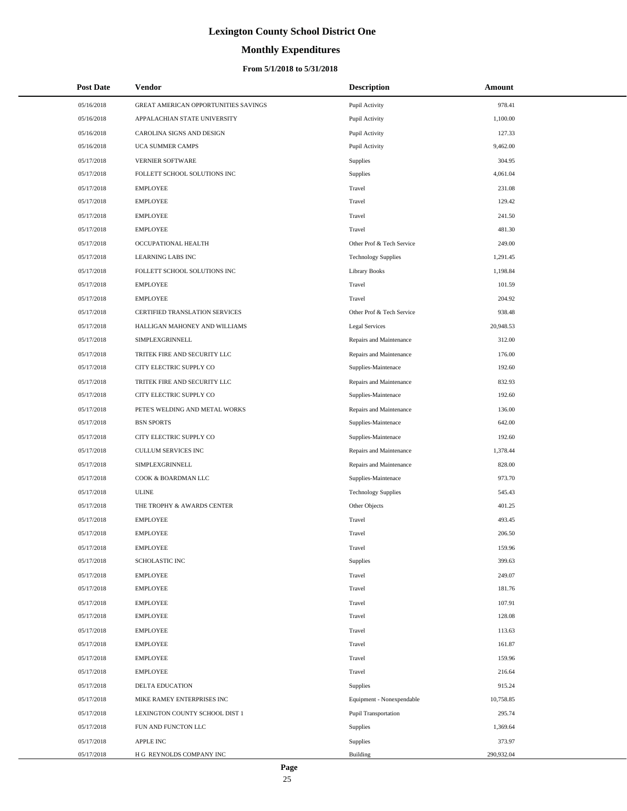# **Monthly Expenditures**

### **From 5/1/2018 to 5/31/2018**

| <b>Post Date</b> | <b>Vendor</b>                        | <b>Description</b>          | Amount     |
|------------------|--------------------------------------|-----------------------------|------------|
| 05/16/2018       | GREAT AMERICAN OPPORTUNITIES SAVINGS | Pupil Activity              | 978.41     |
| 05/16/2018       | APPALACHIAN STATE UNIVERSITY         | Pupil Activity              | 1,100.00   |
| 05/16/2018       | CAROLINA SIGNS AND DESIGN            | Pupil Activity              | 127.33     |
| 05/16/2018       | UCA SUMMER CAMPS                     | Pupil Activity              | 9,462.00   |
| 05/17/2018       | VERNIER SOFTWARE                     | Supplies                    | 304.95     |
| 05/17/2018       | FOLLETT SCHOOL SOLUTIONS INC         | <b>Supplies</b>             | 4,061.04   |
| 05/17/2018       | <b>EMPLOYEE</b>                      | Travel                      | 231.08     |
| 05/17/2018       | <b>EMPLOYEE</b>                      | Travel                      | 129.42     |
| 05/17/2018       | <b>EMPLOYEE</b>                      | Travel                      | 241.50     |
| 05/17/2018       | <b>EMPLOYEE</b>                      | Travel                      | 481.30     |
| 05/17/2018       | OCCUPATIONAL HEALTH                  | Other Prof & Tech Service   | 249.00     |
| 05/17/2018       | LEARNING LABS INC                    | <b>Technology Supplies</b>  | 1,291.45   |
| 05/17/2018       | FOLLETT SCHOOL SOLUTIONS INC         | <b>Library Books</b>        | 1,198.84   |
| 05/17/2018       | <b>EMPLOYEE</b>                      | Travel                      | 101.59     |
| 05/17/2018       | <b>EMPLOYEE</b>                      | Travel                      | 204.92     |
| 05/17/2018       | CERTIFIED TRANSLATION SERVICES       | Other Prof & Tech Service   | 938.48     |
| 05/17/2018       | HALLIGAN MAHONEY AND WILLIAMS        | <b>Legal Services</b>       | 20,948.53  |
| 05/17/2018       | SIMPLEXGRINNELL                      | Repairs and Maintenance     | 312.00     |
| 05/17/2018       | TRITEK FIRE AND SECURITY LLC         | Repairs and Maintenance     | 176.00     |
| 05/17/2018       | CITY ELECTRIC SUPPLY CO              | Supplies-Maintenace         | 192.60     |
| 05/17/2018       | TRITEK FIRE AND SECURITY LLC         | Repairs and Maintenance     | 832.93     |
| 05/17/2018       | CITY ELECTRIC SUPPLY CO              | Supplies-Maintenace         | 192.60     |
| 05/17/2018       | PETE'S WELDING AND METAL WORKS       | Repairs and Maintenance     | 136.00     |
| 05/17/2018       | <b>BSN SPORTS</b>                    | Supplies-Maintenace         | 642.00     |
| 05/17/2018       | CITY ELECTRIC SUPPLY CO              | Supplies-Maintenace         | 192.60     |
| 05/17/2018       | CULLUM SERVICES INC                  | Repairs and Maintenance     | 1,378.44   |
| 05/17/2018       | SIMPLEXGRINNELL                      | Repairs and Maintenance     | 828.00     |
| 05/17/2018       | COOK & BOARDMAN LLC                  | Supplies-Maintenace         | 973.70     |
| 05/17/2018       | <b>ULINE</b>                         | <b>Technology Supplies</b>  | 545.43     |
| 05/17/2018       | THE TROPHY & AWARDS CENTER           | Other Objects               | 401.25     |
| 05/17/2018       | <b>EMPLOYEE</b>                      | Travel                      | 493.45     |
| 05/17/2018       | <b>EMPLOYEE</b>                      | Travel                      | 206.50     |
| 05/17/2018       | <b>EMPLOYEE</b>                      | Travel                      | 159.96     |
| 05/17/2018       | <b>SCHOLASTIC INC</b>                | Supplies                    | 399.63     |
| 05/17/2018       | <b>EMPLOYEE</b>                      | Travel                      | 249.07     |
| 05/17/2018       | <b>EMPLOYEE</b>                      | Travel                      | 181.76     |
| 05/17/2018       | <b>EMPLOYEE</b>                      | Travel                      | 107.91     |
| 05/17/2018       | <b>EMPLOYEE</b>                      | Travel                      | 128.08     |
| 05/17/2018       | <b>EMPLOYEE</b>                      | Travel                      | 113.63     |
| 05/17/2018       | <b>EMPLOYEE</b>                      | Travel                      | 161.87     |
| 05/17/2018       | <b>EMPLOYEE</b>                      | Travel                      | 159.96     |
| 05/17/2018       | <b>EMPLOYEE</b>                      | Travel                      | 216.64     |
| 05/17/2018       | DELTA EDUCATION                      | Supplies                    | 915.24     |
| 05/17/2018       | MIKE RAMEY ENTERPRISES INC           | Equipment - Nonexpendable   | 10,758.85  |
| 05/17/2018       | LEXINGTON COUNTY SCHOOL DIST 1       | <b>Pupil Transportation</b> | 295.74     |
| 05/17/2018       | FUN AND FUNCTON LLC                  | <b>Supplies</b>             | 1,369.64   |
| 05/17/2018       | <b>APPLE INC</b>                     | Supplies                    | 373.97     |
| 05/17/2018       | H G REYNOLDS COMPANY INC             | <b>Building</b>             | 290,932.04 |

÷.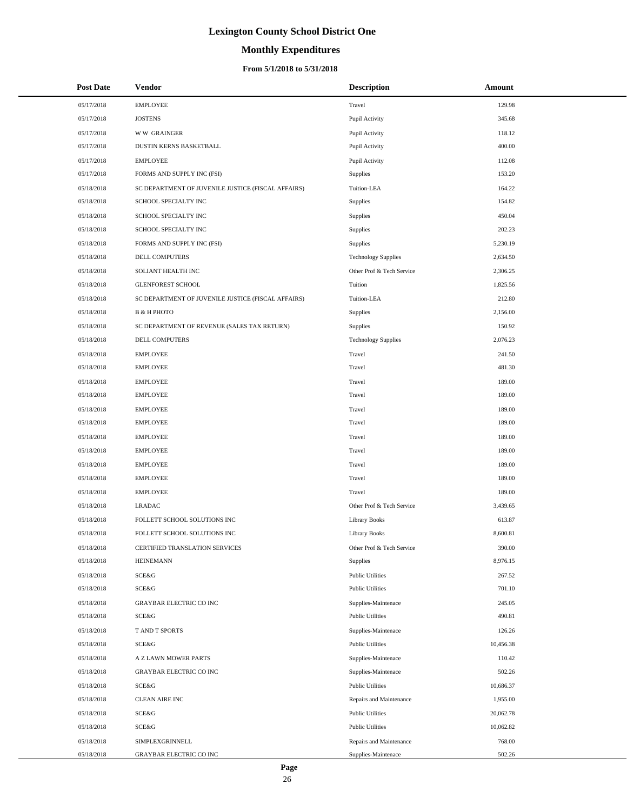# **Monthly Expenditures**

| <b>Post Date</b> | Vendor                                             | <b>Description</b>         | Amount    |
|------------------|----------------------------------------------------|----------------------------|-----------|
| 05/17/2018       | <b>EMPLOYEE</b>                                    | Travel                     | 129.98    |
| 05/17/2018       | <b>JOSTENS</b>                                     | Pupil Activity             | 345.68    |
| 05/17/2018       | <b>WW GRAINGER</b>                                 | Pupil Activity             | 118.12    |
| 05/17/2018       | DUSTIN KERNS BASKETBALL                            | Pupil Activity             | 400.00    |
| 05/17/2018       | <b>EMPLOYEE</b>                                    | Pupil Activity             | 112.08    |
| 05/17/2018       | FORMS AND SUPPLY INC (FSI)                         | Supplies                   | 153.20    |
| 05/18/2018       | SC DEPARTMENT OF JUVENILE JUSTICE (FISCAL AFFAIRS) | Tuition-LEA                | 164.22    |
| 05/18/2018       | SCHOOL SPECIALTY INC                               | Supplies                   | 154.82    |
| 05/18/2018       | SCHOOL SPECIALTY INC                               | Supplies                   | 450.04    |
| 05/18/2018       | SCHOOL SPECIALTY INC                               | Supplies                   | 202.23    |
| 05/18/2018       | FORMS AND SUPPLY INC (FSI)                         | Supplies                   | 5,230.19  |
| 05/18/2018       | DELL COMPUTERS                                     | <b>Technology Supplies</b> | 2,634.50  |
| 05/18/2018       | SOLIANT HEALTH INC                                 | Other Prof & Tech Service  | 2,306.25  |
| 05/18/2018       | <b>GLENFOREST SCHOOL</b>                           | Tuition                    | 1,825.56  |
| 05/18/2018       | SC DEPARTMENT OF JUVENILE JUSTICE (FISCAL AFFAIRS) | Tuition-LEA                | 212.80    |
| 05/18/2018       | <b>B &amp; H PHOTO</b>                             | Supplies                   | 2,156.00  |
| 05/18/2018       | SC DEPARTMENT OF REVENUE (SALES TAX RETURN)        | Supplies                   | 150.92    |
| 05/18/2018       | <b>DELL COMPUTERS</b>                              | <b>Technology Supplies</b> | 2,076.23  |
| 05/18/2018       | <b>EMPLOYEE</b>                                    | Travel                     | 241.50    |
| 05/18/2018       | <b>EMPLOYEE</b>                                    | Travel                     | 481.30    |
| 05/18/2018       | <b>EMPLOYEE</b>                                    | Travel                     | 189.00    |
| 05/18/2018       | <b>EMPLOYEE</b>                                    | Travel                     | 189.00    |
| 05/18/2018       | <b>EMPLOYEE</b>                                    | Travel                     | 189.00    |
| 05/18/2018       | <b>EMPLOYEE</b>                                    | Travel                     | 189.00    |
| 05/18/2018       | <b>EMPLOYEE</b>                                    | Travel                     | 189.00    |
| 05/18/2018       | <b>EMPLOYEE</b>                                    | Travel                     | 189.00    |
| 05/18/2018       | <b>EMPLOYEE</b>                                    | Travel                     | 189.00    |
| 05/18/2018       | <b>EMPLOYEE</b>                                    | Travel                     | 189.00    |
| 05/18/2018       | <b>EMPLOYEE</b>                                    | Travel                     | 189.00    |
| 05/18/2018       | <b>LRADAC</b>                                      | Other Prof & Tech Service  | 3,439.65  |
| 05/18/2018       | FOLLETT SCHOOL SOLUTIONS INC                       | <b>Library Books</b>       | 613.87    |
| 05/18/2018       | FOLLETT SCHOOL SOLUTIONS INC                       | <b>Library Books</b>       | 8,600.81  |
| 05/18/2018       | <b>CERTIFIED TRANSLATION SERVICES</b>              | Other Prof & Tech Service  | 390.00    |
| 05/18/2018       | <b>HEINEMANN</b>                                   | <b>Supplies</b>            | 8,976.15  |
| 05/18/2018       | <b>SCE&amp;G</b>                                   | <b>Public Utilities</b>    | 267.52    |
| 05/18/2018       | <b>SCE&amp;G</b>                                   | <b>Public Utilities</b>    | 701.10    |
| 05/18/2018       | <b>GRAYBAR ELECTRIC CO INC</b>                     | Supplies-Maintenace        | 245.05    |
| 05/18/2018       | SCE&G                                              | <b>Public Utilities</b>    | 490.81    |
| 05/18/2018       | T AND T SPORTS                                     | Supplies-Maintenace        | 126.26    |
| 05/18/2018       | <b>SCE&amp;G</b>                                   | <b>Public Utilities</b>    | 10,456.38 |
| 05/18/2018       | A Z LAWN MOWER PARTS                               | Supplies-Maintenace        | 110.42    |
| 05/18/2018       | <b>GRAYBAR ELECTRIC CO INC</b>                     | Supplies-Maintenace        | 502.26    |
| 05/18/2018       | <b>SCE&amp;G</b>                                   | <b>Public Utilities</b>    | 10,686.37 |
| 05/18/2018       | <b>CLEAN AIRE INC</b>                              | Repairs and Maintenance    | 1,955.00  |
| 05/18/2018       | SCE&G                                              | <b>Public Utilities</b>    | 20,062.78 |
| 05/18/2018       | <b>SCE&amp;G</b>                                   | <b>Public Utilities</b>    | 10,062.82 |
| 05/18/2018       | SIMPLEXGRINNELL                                    | Repairs and Maintenance    | 768.00    |
| 05/18/2018       | GRAYBAR ELECTRIC CO INC                            | Supplies-Maintenace        | 502.26    |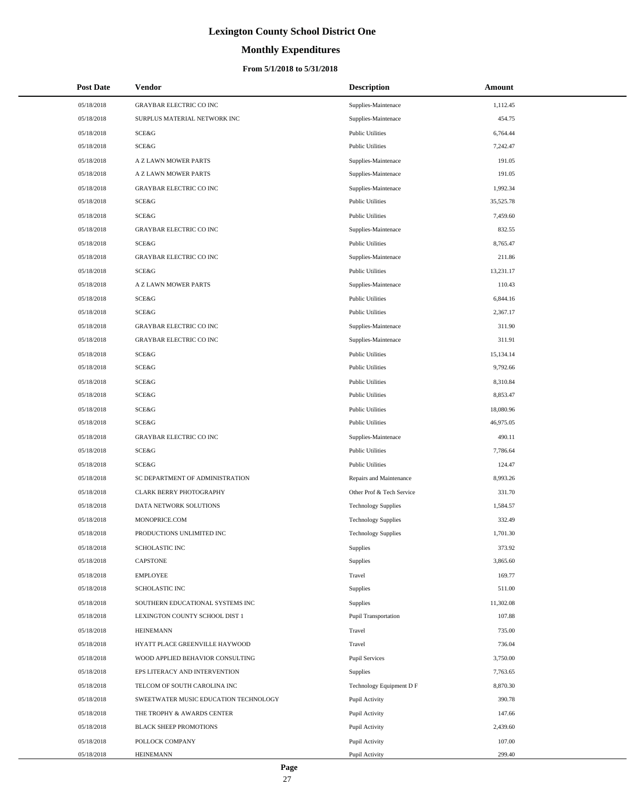# **Monthly Expenditures**

#### **From 5/1/2018 to 5/31/2018**

| <b>Post Date</b> | Vendor                                | <b>Description</b>          | Amount    |
|------------------|---------------------------------------|-----------------------------|-----------|
| 05/18/2018       | <b>GRAYBAR ELECTRIC CO INC</b>        | Supplies-Maintenace         | 1,112.45  |
| 05/18/2018       | SURPLUS MATERIAL NETWORK INC          | Supplies-Maintenace         | 454.75    |
| 05/18/2018       | SCE&G                                 | <b>Public Utilities</b>     | 6,764.44  |
| 05/18/2018       | SCE&G                                 | <b>Public Utilities</b>     | 7,242.47  |
| 05/18/2018       | A Z LAWN MOWER PARTS                  | Supplies-Maintenace         | 191.05    |
| 05/18/2018       | A Z LAWN MOWER PARTS                  | Supplies-Maintenace         | 191.05    |
| 05/18/2018       | <b>GRAYBAR ELECTRIC CO INC</b>        | Supplies-Maintenace         | 1,992.34  |
| 05/18/2018       | SCE&G                                 | <b>Public Utilities</b>     | 35,525.78 |
| 05/18/2018       | SCE&G                                 | <b>Public Utilities</b>     | 7,459.60  |
| 05/18/2018       | <b>GRAYBAR ELECTRIC CO INC</b>        | Supplies-Maintenace         | 832.55    |
| 05/18/2018       | SCE&G                                 | <b>Public Utilities</b>     | 8,765.47  |
| 05/18/2018       | <b>GRAYBAR ELECTRIC CO INC</b>        | Supplies-Maintenace         | 211.86    |
| 05/18/2018       | SCE&G                                 | <b>Public Utilities</b>     | 13,231.17 |
| 05/18/2018       | A Z LAWN MOWER PARTS                  | Supplies-Maintenace         | 110.43    |
| 05/18/2018       | SCE&G                                 | <b>Public Utilities</b>     | 6,844.16  |
| 05/18/2018       | SCE&G                                 | <b>Public Utilities</b>     | 2,367.17  |
| 05/18/2018       | <b>GRAYBAR ELECTRIC CO INC</b>        | Supplies-Maintenace         | 311.90    |
| 05/18/2018       | <b>GRAYBAR ELECTRIC CO INC</b>        | Supplies-Maintenace         | 311.91    |
| 05/18/2018       | SCE&G                                 | <b>Public Utilities</b>     | 15,134.14 |
| 05/18/2018       | SCE&G                                 | <b>Public Utilities</b>     | 9,792.66  |
| 05/18/2018       | SCE&G                                 | <b>Public Utilities</b>     | 8,310.84  |
| 05/18/2018       | SCE&G                                 | <b>Public Utilities</b>     | 8,853.47  |
| 05/18/2018       | SCE&G                                 | <b>Public Utilities</b>     | 18,080.96 |
| 05/18/2018       | SCE&G                                 | <b>Public Utilities</b>     | 46,975.05 |
| 05/18/2018       | <b>GRAYBAR ELECTRIC CO INC</b>        | Supplies-Maintenace         | 490.11    |
| 05/18/2018       | SCE&G                                 | <b>Public Utilities</b>     | 7,786.64  |
| 05/18/2018       | SCE&G                                 | <b>Public Utilities</b>     | 124.47    |
| 05/18/2018       | SC DEPARTMENT OF ADMINISTRATION       | Repairs and Maintenance     | 8,993.26  |
| 05/18/2018       | <b>CLARK BERRY PHOTOGRAPHY</b>        | Other Prof & Tech Service   | 331.70    |
| 05/18/2018       | DATA NETWORK SOLUTIONS                | <b>Technology Supplies</b>  | 1,584.57  |
| 05/18/2018       | MONOPRICE.COM                         | <b>Technology Supplies</b>  | 332.49    |
| 05/18/2018       | PRODUCTIONS UNLIMITED INC             | <b>Technology Supplies</b>  | 1,701.30  |
| 05/18/2018       | SCHOLASTIC INC                        | Supplies                    | 373.92    |
| 05/18/2018       | <b>CAPSTONE</b>                       | Supplies                    | 3,865.60  |
| 05/18/2018       | <b>EMPLOYEE</b>                       | Travel                      | 169.77    |
| 05/18/2018       | <b>SCHOLASTIC INC</b>                 | Supplies                    | 511.00    |
| 05/18/2018       | SOUTHERN EDUCATIONAL SYSTEMS INC      | Supplies                    | 11,302.08 |
| 05/18/2018       | LEXINGTON COUNTY SCHOOL DIST 1        | <b>Pupil Transportation</b> | 107.88    |
| 05/18/2018       | <b>HEINEMANN</b>                      | Travel                      | 735.00    |
| 05/18/2018       | HYATT PLACE GREENVILLE HAYWOOD        | Travel                      | 736.04    |
| 05/18/2018       | WOOD APPLIED BEHAVIOR CONSULTING      | <b>Pupil Services</b>       | 3,750.00  |
| 05/18/2018       | EPS LITERACY AND INTERVENTION         | Supplies                    | 7,763.65  |
| 05/18/2018       | TELCOM OF SOUTH CAROLINA INC          | Technology Equipment D F    | 8,870.30  |
| 05/18/2018       | SWEETWATER MUSIC EDUCATION TECHNOLOGY | Pupil Activity              | 390.78    |
| 05/18/2018       | THE TROPHY & AWARDS CENTER            | Pupil Activity              | 147.66    |
| 05/18/2018       | <b>BLACK SHEEP PROMOTIONS</b>         | Pupil Activity              | 2,439.60  |
| 05/18/2018       | POLLOCK COMPANY                       | Pupil Activity              | 107.00    |
| 05/18/2018       | <b>HEINEMANN</b>                      | Pupil Activity              | 299.40    |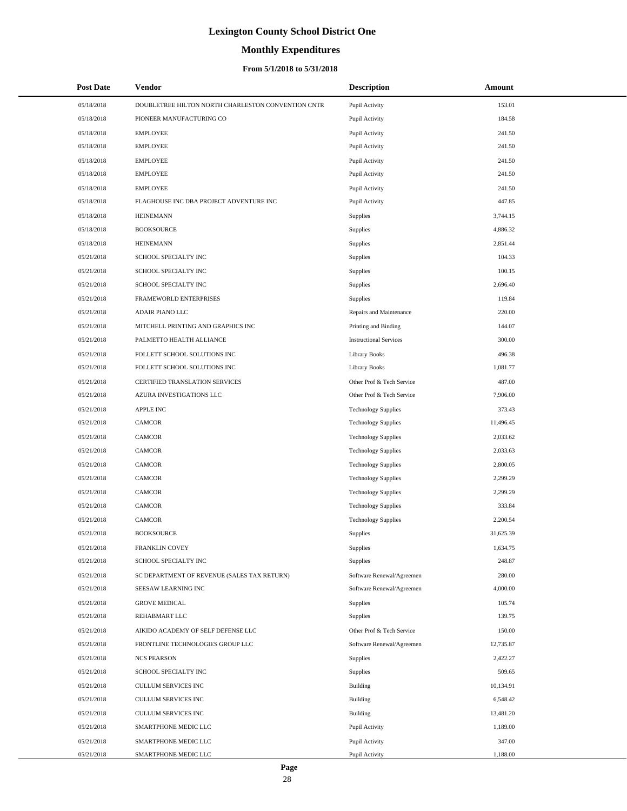# **Monthly Expenditures**

#### **From 5/1/2018 to 5/31/2018**

| <b>Post Date</b> | Vendor                                             | <b>Description</b>            | Amount    |
|------------------|----------------------------------------------------|-------------------------------|-----------|
| 05/18/2018       | DOUBLETREE HILTON NORTH CHARLESTON CONVENTION CNTR | Pupil Activity                | 153.01    |
| 05/18/2018       | PIONEER MANUFACTURING CO                           | Pupil Activity                | 184.58    |
| 05/18/2018       | <b>EMPLOYEE</b>                                    | Pupil Activity                | 241.50    |
| 05/18/2018       | <b>EMPLOYEE</b>                                    | Pupil Activity                | 241.50    |
| 05/18/2018       | <b>EMPLOYEE</b>                                    | Pupil Activity                | 241.50    |
| 05/18/2018       | <b>EMPLOYEE</b>                                    | Pupil Activity                | 241.50    |
| 05/18/2018       | <b>EMPLOYEE</b>                                    | Pupil Activity                | 241.50    |
| 05/18/2018       | FLAGHOUSE INC DBA PROJECT ADVENTURE INC            | Pupil Activity                | 447.85    |
| 05/18/2018       | <b>HEINEMANN</b>                                   | Supplies                      | 3,744.15  |
| 05/18/2018       | <b>BOOKSOURCE</b>                                  | Supplies                      | 4,886.32  |
| 05/18/2018       | <b>HEINEMANN</b>                                   | Supplies                      | 2,851.44  |
| 05/21/2018       | SCHOOL SPECIALTY INC                               | Supplies                      | 104.33    |
| 05/21/2018       | SCHOOL SPECIALTY INC                               | Supplies                      | 100.15    |
| 05/21/2018       | SCHOOL SPECIALTY INC                               | Supplies                      | 2,696.40  |
| 05/21/2018       | FRAMEWORLD ENTERPRISES                             | Supplies                      | 119.84    |
| 05/21/2018       | ADAIR PIANO LLC                                    | Repairs and Maintenance       | 220.00    |
| 05/21/2018       | MITCHELL PRINTING AND GRAPHICS INC                 | Printing and Binding          | 144.07    |
| 05/21/2018       | PALMETTO HEALTH ALLIANCE                           | <b>Instructional Services</b> | 300.00    |
| 05/21/2018       | FOLLETT SCHOOL SOLUTIONS INC                       | <b>Library Books</b>          | 496.38    |
| 05/21/2018       | FOLLETT SCHOOL SOLUTIONS INC                       | <b>Library Books</b>          | 1,081.77  |
| 05/21/2018       | CERTIFIED TRANSLATION SERVICES                     | Other Prof & Tech Service     | 487.00    |
| 05/21/2018       | AZURA INVESTIGATIONS LLC                           | Other Prof & Tech Service     | 7,906.00  |
| 05/21/2018       | APPLE INC                                          | <b>Technology Supplies</b>    | 373.43    |
| 05/21/2018       | <b>CAMCOR</b>                                      | <b>Technology Supplies</b>    | 11,496.45 |
| 05/21/2018       | <b>CAMCOR</b>                                      | <b>Technology Supplies</b>    | 2,033.62  |
| 05/21/2018       | <b>CAMCOR</b>                                      | <b>Technology Supplies</b>    | 2,033.63  |
| 05/21/2018       | <b>CAMCOR</b>                                      | <b>Technology Supplies</b>    | 2,800.05  |
| 05/21/2018       | <b>CAMCOR</b>                                      | <b>Technology Supplies</b>    | 2,299.29  |
| 05/21/2018       | CAMCOR                                             | <b>Technology Supplies</b>    | 2,299.29  |
| 05/21/2018       | <b>CAMCOR</b>                                      | <b>Technology Supplies</b>    | 333.84    |
| 05/21/2018       | <b>CAMCOR</b>                                      | <b>Technology Supplies</b>    | 2,200.54  |
| 05/21/2018       | <b>BOOKSOURCE</b>                                  | Supplies                      | 31,625.39 |
| 05/21/2018       | FRANKLIN COVEY                                     | Supplies                      | 1,634.75  |
| 05/21/2018       | SCHOOL SPECIALTY INC                               | Supplies                      | 248.87    |
| 05/21/2018       | SC DEPARTMENT OF REVENUE (SALES TAX RETURN)        | Software Renewal/Agreemen     | 280.00    |
| 05/21/2018       | SEESAW LEARNING INC                                | Software Renewal/Agreemen     | 4,000.00  |
| 05/21/2018       | <b>GROVE MEDICAL</b>                               | Supplies                      | 105.74    |
| 05/21/2018       | REHABMART LLC                                      | Supplies                      | 139.75    |
| 05/21/2018       | AIKIDO ACADEMY OF SELF DEFENSE LLC                 | Other Prof & Tech Service     | 150.00    |
| 05/21/2018       | FRONTLINE TECHNOLOGIES GROUP LLC                   | Software Renewal/Agreemen     | 12,735.87 |
| 05/21/2018       | <b>NCS PEARSON</b>                                 | Supplies                      | 2,422.27  |
| 05/21/2018       | SCHOOL SPECIALTY INC                               | Supplies                      | 509.65    |
| 05/21/2018       | CULLUM SERVICES INC                                | Building                      | 10,134.91 |
| 05/21/2018       | CULLUM SERVICES INC                                | Building                      | 6,548.42  |
| 05/21/2018       | CULLUM SERVICES INC                                | <b>Building</b>               | 13,481.20 |
| 05/21/2018       | SMARTPHONE MEDIC LLC                               | Pupil Activity                | 1,189.00  |
| 05/21/2018       | SMARTPHONE MEDIC LLC                               | Pupil Activity                | 347.00    |
| 05/21/2018       | SMARTPHONE MEDIC LLC                               | Pupil Activity                | 1,188.00  |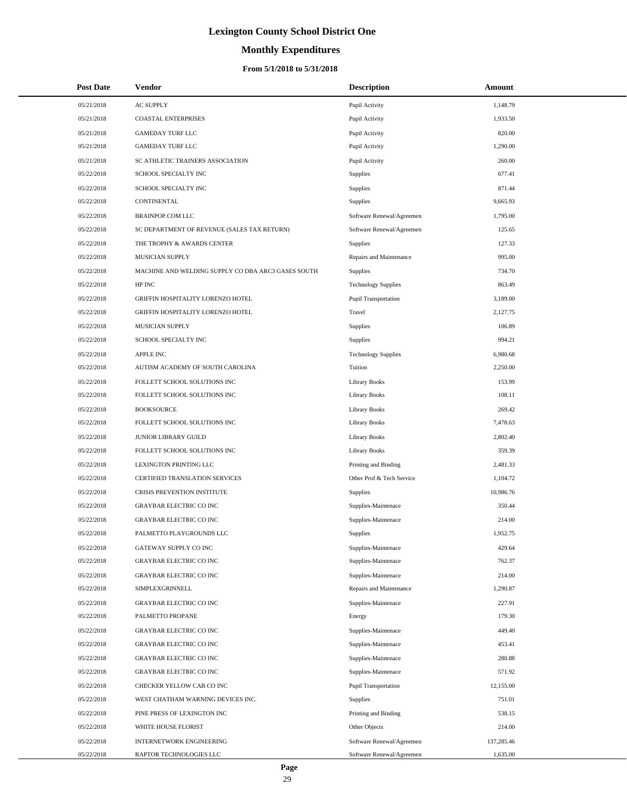# **Monthly Expenditures**

#### **From 5/1/2018 to 5/31/2018**

| <b>Post Date</b> | <b>Vendor</b>                                      | <b>Description</b>         | Amount     |
|------------------|----------------------------------------------------|----------------------------|------------|
| 05/21/2018       | <b>AC SUPPLY</b>                                   | Pupil Activity             | 1,148.79   |
| 05/21/2018       | <b>COASTAL ENTERPRISES</b>                         | Pupil Activity             | 1,933.50   |
| 05/21/2018       | <b>GAMEDAY TURF LLC</b>                            | Pupil Activity             | 820.00     |
| 05/21/2018       | <b>GAMEDAY TURF LLC</b>                            | Pupil Activity             | 1,290.00   |
| 05/21/2018       | SC ATHLETIC TRAINERS ASSOCIATION                   | Pupil Activity             | 260.00     |
| 05/22/2018       | SCHOOL SPECIALTY INC                               | Supplies                   | 677.41     |
| 05/22/2018       | SCHOOL SPECIALTY INC                               | Supplies                   | 871.44     |
| 05/22/2018       | CONTINENTAL                                        | Supplies                   | 9,665.93   |
| 05/22/2018       | <b>BRAINPOP.COM LLC</b>                            | Software Renewal/Agreemen  | 1,795.00   |
| 05/22/2018       | SC DEPARTMENT OF REVENUE (SALES TAX RETURN)        | Software Renewal/Agreemen  | 125.65     |
| 05/22/2018       | THE TROPHY & AWARDS CENTER                         | <b>Supplies</b>            | 127.33     |
| 05/22/2018       | MUSICIAN SUPPLY                                    | Repairs and Maintenance    | 995.00     |
| 05/22/2018       | MACHINE AND WELDING SUPPLY CO DBA ARC3 GASES SOUTH | Supplies                   | 734.70     |
| 05/22/2018       | HP INC                                             | <b>Technology Supplies</b> | 863.49     |
| 05/22/2018       | GRIFFIN HOSPITALITY LORENZO HOTEL                  | Pupil Transportation       | 3,189.00   |
| 05/22/2018       | GRIFFIN HOSPITALITY LORENZO HOTEL                  | Travel                     | 2.127.75   |
| 05/22/2018       | MUSICIAN SUPPLY                                    | Supplies                   | 106.89     |
| 05/22/2018       | SCHOOL SPECIALTY INC                               | <b>Supplies</b>            | 994.21     |
| 05/22/2018       | <b>APPLE INC</b>                                   | <b>Technology Supplies</b> | 6,980.68   |
| 05/22/2018       | AUTISM ACADEMY OF SOUTH CAROLINA                   | Tuition                    | 2,250.00   |
| 05/22/2018       | FOLLETT SCHOOL SOLUTIONS INC                       | <b>Library Books</b>       | 153.99     |
| 05/22/2018       | FOLLETT SCHOOL SOLUTIONS INC                       | Library Books              | 108.11     |
| 05/22/2018       | <b>BOOKSOURCE</b>                                  | Library Books              | 269.42     |
| 05/22/2018       | FOLLETT SCHOOL SOLUTIONS INC                       | Library Books              | 7,478.63   |
| 05/22/2018       | JUNIOR LIBRARY GUILD                               | Library Books              | 2,802.40   |
| 05/22/2018       | FOLLETT SCHOOL SOLUTIONS INC                       | Library Books              | 359.39     |
| 05/22/2018       | LEXINGTON PRINTING LLC                             | Printing and Binding       | 2,481.33   |
| 05/22/2018       | CERTIFIED TRANSLATION SERVICES                     | Other Prof & Tech Service  | 1,104.72   |
| 05/22/2018       | CRISIS PREVENTION INSTITUTE                        | Supplies                   | 10,986.76  |
| 05/22/2018       | <b>GRAYBAR ELECTRIC CO INC</b>                     | Supplies-Maintenace        | 350.44     |
| 05/22/2018       | <b>GRAYBAR ELECTRIC CO INC</b>                     | Supplies-Maintenace        | 214.00     |
| 05/22/2018       | PALMETTO PLAYGROUNDS LLC                           | <b>Supplies</b>            | 1,952.75   |
| 05/22/2018       | GATEWAY SUPPLY CO INC                              | Supplies-Maintenace        | 429.64     |
| 05/22/2018       | <b>GRAYBAR ELECTRIC CO INC</b>                     | Supplies-Maintenace        | 762.37     |
| 05/22/2018       | <b>GRAYBAR ELECTRIC CO INC</b>                     | Supplies-Maintenace        | 214.00     |
| 05/22/2018       | SIMPLEXGRINNELL                                    | Repairs and Maintenance    | 1,290.87   |
| 05/22/2018       | <b>GRAYBAR ELECTRIC CO INC</b>                     | Supplies-Maintenace        | 227.91     |
| 05/22/2018       | PALMETTO PROPANE                                   | Energy                     | 179.30     |
| 05/22/2018       | <b>GRAYBAR ELECTRIC CO INC</b>                     | Supplies-Maintenace        | 449.40     |
| 05/22/2018       | <b>GRAYBAR ELECTRIC CO INC</b>                     | Supplies-Maintenace        | 453.41     |
| 05/22/2018       | <b>GRAYBAR ELECTRIC CO INC</b>                     | Supplies-Maintenace        | 280.88     |
| 05/22/2018       | <b>GRAYBAR ELECTRIC CO INC</b>                     | Supplies-Maintenace        | 571.92     |
| 05/22/2018       | CHECKER YELLOW CAB CO INC                          | Pupil Transportation       | 12,155.00  |
| 05/22/2018       | WEST CHATHAM WARNING DEVICES INC.                  | Supplies                   | 751.01     |
| 05/22/2018       | PINE PRESS OF LEXINGTON INC                        | Printing and Binding       | 538.15     |
| 05/22/2018       | WHITE HOUSE FLORIST                                | Other Objects              | 214.00     |
| 05/22/2018       | <b>INTERNETWORK ENGINEERING</b>                    | Software Renewal/Agreemen  | 137,285.46 |
| 05/22/2018       | RAPTOR TECHNOLOGIES LLC                            | Software Renewal/Agreemen  | 1,635.00   |

 $\overline{a}$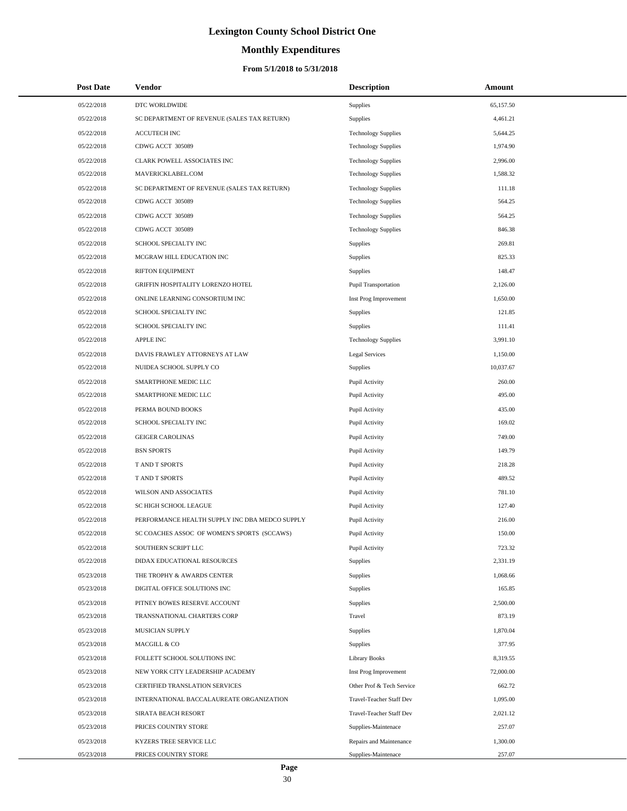# **Monthly Expenditures**

#### **From 5/1/2018 to 5/31/2018**

| <b>Post Date</b> | Vendor                                         | <b>Description</b>          | Amount    |
|------------------|------------------------------------------------|-----------------------------|-----------|
| 05/22/2018       | DTC WORLDWIDE                                  | <b>Supplies</b>             | 65,157.50 |
| 05/22/2018       | SC DEPARTMENT OF REVENUE (SALES TAX RETURN)    | <b>Supplies</b>             | 4,461.21  |
| 05/22/2018       | <b>ACCUTECH INC</b>                            | <b>Technology Supplies</b>  | 5,644.25  |
| 05/22/2018       | CDWG ACCT 305089                               | <b>Technology Supplies</b>  | 1,974.90  |
| 05/22/2018       | CLARK POWELL ASSOCIATES INC                    | <b>Technology Supplies</b>  | 2,996.00  |
| 05/22/2018       | MAVERICKLABEL.COM                              | <b>Technology Supplies</b>  | 1,588.32  |
| 05/22/2018       | SC DEPARTMENT OF REVENUE (SALES TAX RETURN)    | <b>Technology Supplies</b>  | 111.18    |
| 05/22/2018       | CDWG ACCT 305089                               | <b>Technology Supplies</b>  | 564.25    |
| 05/22/2018       | CDWG ACCT 305089                               | <b>Technology Supplies</b>  | 564.25    |
| 05/22/2018       | CDWG ACCT 305089                               | <b>Technology Supplies</b>  | 846.38    |
| 05/22/2018       | SCHOOL SPECIALTY INC                           | Supplies                    | 269.81    |
| 05/22/2018       | MCGRAW HILL EDUCATION INC                      | Supplies                    | 825.33    |
| 05/22/2018       | RIFTON EQUIPMENT                               | <b>Supplies</b>             | 148.47    |
| 05/22/2018       | GRIFFIN HOSPITALITY LORENZO HOTEL              | <b>Pupil Transportation</b> | 2,126.00  |
| 05/22/2018       | ONLINE LEARNING CONSORTIUM INC                 | Inst Prog Improvement       | 1,650.00  |
| 05/22/2018       | SCHOOL SPECIALTY INC                           | <b>Supplies</b>             | 121.85    |
| 05/22/2018       | SCHOOL SPECIALTY INC                           | <b>Supplies</b>             | 111.41    |
| 05/22/2018       | <b>APPLE INC</b>                               | <b>Technology Supplies</b>  | 3,991.10  |
| 05/22/2018       | DAVIS FRAWLEY ATTORNEYS AT LAW                 | <b>Legal Services</b>       | 1,150.00  |
| 05/22/2018       | NUIDEA SCHOOL SUPPLY CO                        | <b>Supplies</b>             | 10,037.67 |
| 05/22/2018       | SMARTPHONE MEDIC LLC                           | Pupil Activity              | 260.00    |
| 05/22/2018       | SMARTPHONE MEDIC LLC                           | Pupil Activity              | 495.00    |
| 05/22/2018       | PERMA BOUND BOOKS                              | Pupil Activity              | 435.00    |
| 05/22/2018       | SCHOOL SPECIALTY INC                           | Pupil Activity              | 169.02    |
| 05/22/2018       | <b>GEIGER CAROLINAS</b>                        | Pupil Activity              | 749.00    |
| 05/22/2018       | <b>BSN SPORTS</b>                              | Pupil Activity              | 149.79    |
| 05/22/2018       | T AND T SPORTS                                 | Pupil Activity              | 218.28    |
| 05/22/2018       | T AND T SPORTS                                 | Pupil Activity              | 489.52    |
| 05/22/2018       | <b>WILSON AND ASSOCIATES</b>                   | Pupil Activity              | 781.10    |
| 05/22/2018       | SC HIGH SCHOOL LEAGUE                          | Pupil Activity              | 127.40    |
| 05/22/2018       | PERFORMANCE HEALTH SUPPLY INC DBA MEDCO SUPPLY | Pupil Activity              | 216.00    |
| 05/22/2018       | SC COACHES ASSOC OF WOMEN'S SPORTS (SCCAWS)    | Pupil Activity              | 150.00    |
| 05/22/2018       | SOUTHERN SCRIPT LLC                            | Pupil Activity              | 723.32    |
| 05/22/2018       | DIDAX EDUCATIONAL RESOURCES                    | Supplies                    | 2,331.19  |
| 05/23/2018       | THE TROPHY & AWARDS CENTER                     | Supplies                    | 1,068.66  |
| 05/23/2018       | DIGITAL OFFICE SOLUTIONS INC                   | Supplies                    | 165.85    |
| 05/23/2018       | PITNEY BOWES RESERVE ACCOUNT                   | Supplies                    | 2,500.00  |
| 05/23/2018       | TRANSNATIONAL CHARTERS CORP                    | Travel                      | 873.19    |
| 05/23/2018       | MUSICIAN SUPPLY                                | Supplies                    | 1,870.04  |
| 05/23/2018       | MACGILL & CO                                   | Supplies                    | 377.95    |
| 05/23/2018       | FOLLETT SCHOOL SOLUTIONS INC                   | <b>Library Books</b>        | 8,319.55  |
| 05/23/2018       | NEW YORK CITY LEADERSHIP ACADEMY               | Inst Prog Improvement       | 72,000.00 |
| 05/23/2018       | CERTIFIED TRANSLATION SERVICES                 | Other Prof & Tech Service   | 662.72    |
| 05/23/2018       | INTERNATIONAL BACCALAUREATE ORGANIZATION       | Travel-Teacher Staff Dev    | 1,095.00  |
| 05/23/2018       | SIRATA BEACH RESORT                            | Travel-Teacher Staff Dev    | 2,021.12  |
| 05/23/2018       | PRICES COUNTRY STORE                           | Supplies-Maintenace         | 257.07    |
| 05/23/2018       | KYZERS TREE SERVICE LLC                        | Repairs and Maintenance     | 1,300.00  |
| 05/23/2018       | PRICES COUNTRY STORE                           | Supplies-Maintenace         | 257.07    |

 $\overline{a}$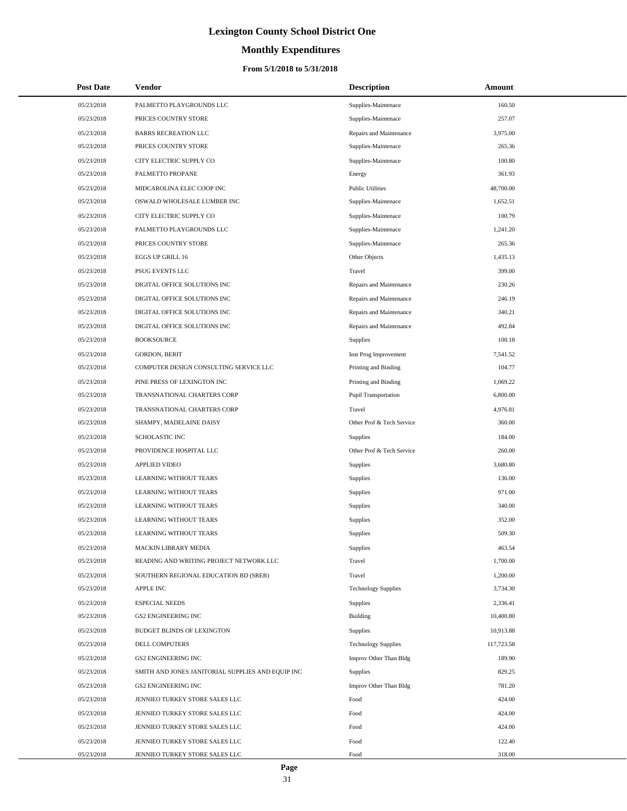# **Monthly Expenditures**

| <b>Post Date</b> | Vendor                                            | <b>Description</b>         | Amount     |
|------------------|---------------------------------------------------|----------------------------|------------|
| 05/23/2018       | PALMETTO PLAYGROUNDS LLC                          | Supplies-Maintenace        | 160.50     |
| 05/23/2018       | PRICES COUNTRY STORE                              | Supplies-Maintenace        | 257.07     |
| 05/23/2018       | <b>BARRS RECREATION LLC</b>                       | Repairs and Maintenance    | 3,975.00   |
| 05/23/2018       | PRICES COUNTRY STORE                              | Supplies-Maintenace        | 265.36     |
| 05/23/2018       | CITY ELECTRIC SUPPLY CO                           | Supplies-Maintenace        | 100.80     |
| 05/23/2018       | PALMETTO PROPANE                                  | Energy                     | 361.93     |
| 05/23/2018       | MIDCAROLINA ELEC COOP INC                         | <b>Public Utilities</b>    | 48,700.00  |
| 05/23/2018       | OSWALD WHOLESALE LUMBER INC                       | Supplies-Maintenace        | 1,652.51   |
| 05/23/2018       | CITY ELECTRIC SUPPLY CO                           | Supplies-Maintenace        | 100.79     |
| 05/23/2018       | PALMETTO PLAYGROUNDS LLC                          | Supplies-Maintenace        | 1,241.20   |
| 05/23/2018       | PRICES COUNTRY STORE                              | Supplies-Maintenace        | 265.36     |
| 05/23/2018       | <b>EGGS UP GRILL 16</b>                           | Other Objects              | 1,435.13   |
| 05/23/2018       | PSUG EVENTS LLC                                   | Travel                     | 399.00     |
| 05/23/2018       | DIGITAL OFFICE SOLUTIONS INC                      | Repairs and Maintenance    | 230.26     |
| 05/23/2018       | DIGITAL OFFICE SOLUTIONS INC                      | Repairs and Maintenance    | 246.19     |
| 05/23/2018       | DIGITAL OFFICE SOLUTIONS INC                      | Repairs and Maintenance    | 340.21     |
| 05/23/2018       | DIGITAL OFFICE SOLUTIONS INC                      | Repairs and Maintenance    | 492.84     |
| 05/23/2018       | <b>BOOKSOURCE</b>                                 | Supplies                   | 100.18     |
| 05/23/2018       | <b>GORDON, BERIT</b>                              | Inst Prog Improvement      | 7,541.52   |
| 05/23/2018       | COMPUTER DESIGN CONSULTING SERVICE LLC            | Printing and Binding       | 104.77     |
| 05/23/2018       | PINE PRESS OF LEXINGTON INC                       | Printing and Binding       | 1,069.22   |
| 05/23/2018       | TRANSNATIONAL CHARTERS CORP                       | Pupil Transportation       | 6,800.00   |
| 05/23/2018       | TRANSNATIONAL CHARTERS CORP                       | Travel                     | 4,976.81   |
| 05/23/2018       | SHAMPY, MADELAINE DAISY                           | Other Prof & Tech Service  | 360.00     |
| 05/23/2018       | <b>SCHOLASTIC INC</b>                             | Supplies                   | 184.00     |
| 05/23/2018       | PROVIDENCE HOSPITAL LLC                           | Other Prof & Tech Service  | 260.00     |
| 05/23/2018       | <b>APPLIED VIDEO</b>                              | Supplies                   | 3,680.80   |
| 05/23/2018       | <b>LEARNING WITHOUT TEARS</b>                     | Supplies                   | 136.00     |
| 05/23/2018       | <b>LEARNING WITHOUT TEARS</b>                     | Supplies                   | 971.00     |
| 05/23/2018       | <b>LEARNING WITHOUT TEARS</b>                     | Supplies                   | 340.00     |
| 05/23/2018       | <b>LEARNING WITHOUT TEARS</b>                     | Supplies                   | 352.00     |
| 05/23/2018       | <b>LEARNING WITHOUT TEARS</b>                     | Supplies                   | 509.30     |
| 05/23/2018       | MACKIN LIBRARY MEDIA                              | Supplies                   | 463.54     |
| 05/23/2018       | READING AND WRITING PROJECT NETWORK LLC           | Travel                     | 1,700.00   |
| 05/23/2018       | SOUTHERN REGIONAL EDUCATION BD (SREB)             | Travel                     | 1,200.00   |
| 05/23/2018       | <b>APPLE INC</b>                                  | <b>Technology Supplies</b> | 3,734.30   |
| 05/23/2018       | <b>ESPECIAL NEEDS</b>                             | Supplies                   | 2,336.41   |
| 05/23/2018       | GS2 ENGINEERING INC                               | Building                   | 10,400.80  |
| 05/23/2018       | BUDGET BLINDS OF LEXINGTON                        | Supplies                   | 10,913.88  |
| 05/23/2018       | <b>DELL COMPUTERS</b>                             | <b>Technology Supplies</b> | 117,723.58 |
| 05/23/2018       | <b>GS2 ENGINEERING INC</b>                        | Improv Other Than Bldg     | 189.90     |
| 05/23/2018       | SMITH AND JONES JANITORIAL SUPPLIES AND EQUIP INC | Supplies                   | 829.25     |
| 05/23/2018       | GS2 ENGINEERING INC                               | Improv Other Than Bldg     | 781.20     |
| 05/23/2018       | JENNIEO TURKEY STORE SALES LLC                    | Food                       | 424.00     |
| 05/23/2018       | JENNIEO TURKEY STORE SALES LLC                    | Food                       | 424.00     |
| 05/23/2018       | JENNIEO TURKEY STORE SALES LLC                    | Food                       | 424.00     |
| 05/23/2018       | JENNIEO TURKEY STORE SALES LLC                    | Food                       | 122.40     |
| 05/23/2018       | JENNIEO TURKEY STORE SALES LLC                    | Food                       | 318.00     |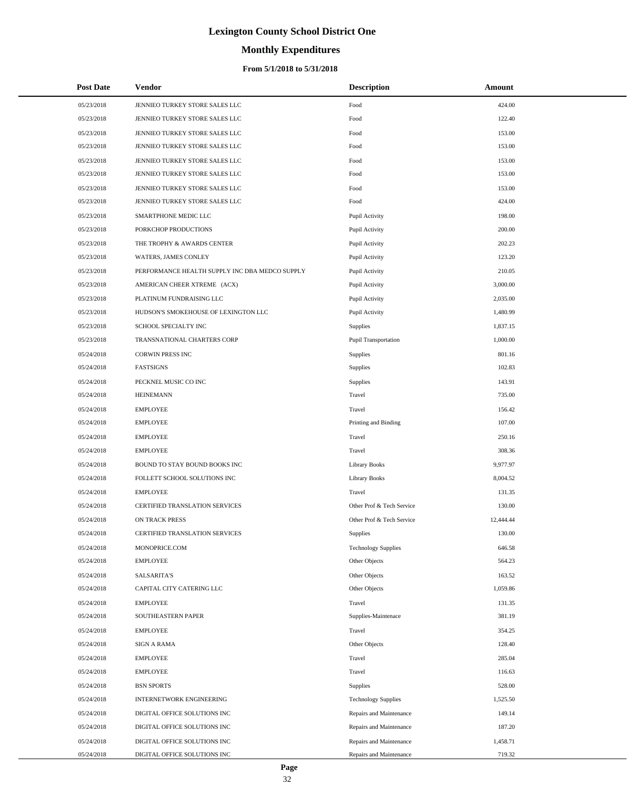# **Monthly Expenditures**

#### **From 5/1/2018 to 5/31/2018**

| <b>Post Date</b> | Vendor                                         | <b>Description</b>         | Amount    |
|------------------|------------------------------------------------|----------------------------|-----------|
| 05/23/2018       | JENNIEO TURKEY STORE SALES LLC                 | Food                       | 424.00    |
| 05/23/2018       | JENNIEO TURKEY STORE SALES LLC                 | Food                       | 122.40    |
| 05/23/2018       | JENNIEO TURKEY STORE SALES LLC                 | Food                       | 153.00    |
| 05/23/2018       | JENNIEO TURKEY STORE SALES LLC                 | Food                       | 153.00    |
| 05/23/2018       | JENNIEO TURKEY STORE SALES LLC                 | Food                       | 153.00    |
| 05/23/2018       | JENNIEO TURKEY STORE SALES LLC                 | Food                       | 153.00    |
| 05/23/2018       | JENNIEO TURKEY STORE SALES LLC                 | Food                       | 153.00    |
| 05/23/2018       | JENNIEO TURKEY STORE SALES LLC                 | Food                       | 424.00    |
| 05/23/2018       | SMARTPHONE MEDIC LLC                           | Pupil Activity             | 198.00    |
| 05/23/2018       | PORKCHOP PRODUCTIONS                           | Pupil Activity             | 200.00    |
| 05/23/2018       | THE TROPHY & AWARDS CENTER                     | Pupil Activity             | 202.23    |
| 05/23/2018       | WATERS, JAMES CONLEY                           | Pupil Activity             | 123.20    |
| 05/23/2018       | PERFORMANCE HEALTH SUPPLY INC DBA MEDCO SUPPLY | Pupil Activity             | 210.05    |
| 05/23/2018       | AMERICAN CHEER XTREME (ACX)                    | Pupil Activity             | 3,000.00  |
| 05/23/2018       | PLATINUM FUNDRAISING LLC                       | Pupil Activity             | 2,035.00  |
| 05/23/2018       | HUDSON'S SMOKEHOUSE OF LEXINGTON LLC           | Pupil Activity             | 1,480.99  |
| 05/23/2018       | SCHOOL SPECIALTY INC                           | Supplies                   | 1,837.15  |
| 05/23/2018       | TRANSNATIONAL CHARTERS CORP                    | Pupil Transportation       | 1,000.00  |
| 05/24/2018       | <b>CORWIN PRESS INC</b>                        | Supplies                   | 801.16    |
| 05/24/2018       | <b>FASTSIGNS</b>                               | Supplies                   | 102.83    |
| 05/24/2018       | PECKNEL MUSIC CO INC                           | Supplies                   | 143.91    |
| 05/24/2018       | <b>HEINEMANN</b>                               | Travel                     | 735.00    |
| 05/24/2018       | <b>EMPLOYEE</b>                                | Travel                     | 156.42    |
| 05/24/2018       | <b>EMPLOYEE</b>                                | Printing and Binding       | 107.00    |
| 05/24/2018       | <b>EMPLOYEE</b>                                | Travel                     | 250.16    |
| 05/24/2018       | <b>EMPLOYEE</b>                                | Travel                     | 308.36    |
| 05/24/2018       | BOUND TO STAY BOUND BOOKS INC                  | <b>Library Books</b>       | 9,977.97  |
| 05/24/2018       | FOLLETT SCHOOL SOLUTIONS INC                   | <b>Library Books</b>       | 8,004.52  |
| 05/24/2018       | <b>EMPLOYEE</b>                                | Travel                     | 131.35    |
| 05/24/2018       | CERTIFIED TRANSLATION SERVICES                 | Other Prof & Tech Service  | 130.00    |
| 05/24/2018       | ON TRACK PRESS                                 | Other Prof & Tech Service  | 12,444.44 |
| 05/24/2018       | CERTIFIED TRANSLATION SERVICES                 | Supplies                   | 130.00    |
| 05/24/2018       | MONOPRICE.COM                                  | <b>Technology Supplies</b> | 646.58    |
| 05/24/2018       | <b>EMPLOYEE</b>                                | Other Objects              | 564.23    |
| 05/24/2018       | <b>SALSARITA'S</b>                             | Other Objects              | 163.52    |
| 05/24/2018       | CAPITAL CITY CATERING LLC                      | Other Objects              | 1,059.86  |
| 05/24/2018       | <b>EMPLOYEE</b>                                | Travel                     | 131.35    |
| 05/24/2018       | SOUTHEASTERN PAPER                             | Supplies-Maintenace        | 381.19    |
| 05/24/2018       | EMPLOYEE                                       | Travel                     | 354.25    |
| 05/24/2018       | <b>SIGN A RAMA</b>                             | Other Objects              | 128.40    |
| 05/24/2018       | <b>EMPLOYEE</b>                                | Travel                     | 285.04    |
| 05/24/2018       | <b>EMPLOYEE</b>                                | Travel                     | 116.63    |
| 05/24/2018       | <b>BSN SPORTS</b>                              | Supplies                   | 528.00    |
| 05/24/2018       | INTERNETWORK ENGINEERING                       | <b>Technology Supplies</b> | 1,525.50  |
| 05/24/2018       | DIGITAL OFFICE SOLUTIONS INC                   | Repairs and Maintenance    | 149.14    |
| 05/24/2018       | DIGITAL OFFICE SOLUTIONS INC                   | Repairs and Maintenance    | 187.20    |
| 05/24/2018       | DIGITAL OFFICE SOLUTIONS INC                   | Repairs and Maintenance    | 1,458.71  |
| 05/24/2018       | DIGITAL OFFICE SOLUTIONS INC                   | Repairs and Maintenance    | 719.32    |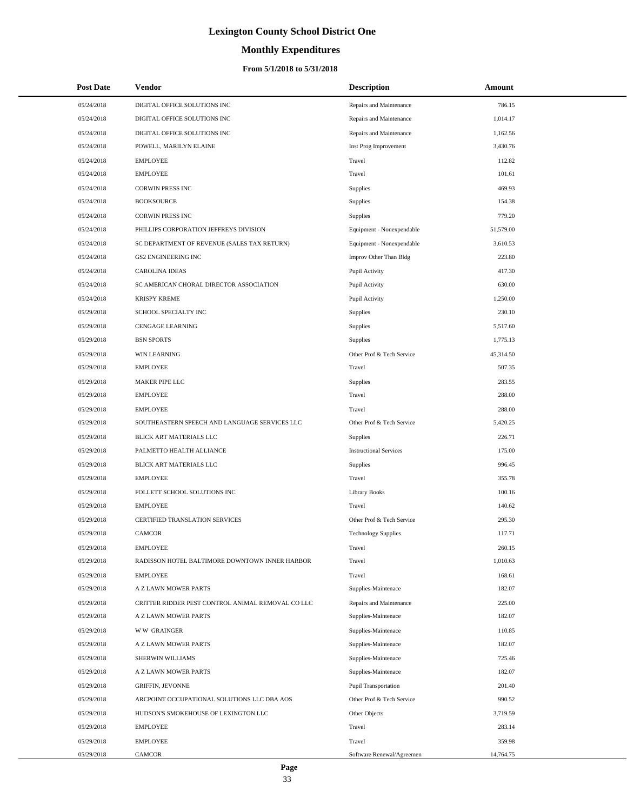# **Monthly Expenditures**

| <b>Post Date</b> | Vendor                                            | <b>Description</b>            | Amount    |
|------------------|---------------------------------------------------|-------------------------------|-----------|
| 05/24/2018       | DIGITAL OFFICE SOLUTIONS INC                      | Repairs and Maintenance       | 786.15    |
| 05/24/2018       | DIGITAL OFFICE SOLUTIONS INC                      | Repairs and Maintenance       | 1,014.17  |
| 05/24/2018       | DIGITAL OFFICE SOLUTIONS INC                      | Repairs and Maintenance       | 1,162.56  |
| 05/24/2018       | POWELL, MARILYN ELAINE                            | Inst Prog Improvement         | 3,430.76  |
| 05/24/2018       | <b>EMPLOYEE</b>                                   | Travel                        | 112.82    |
| 05/24/2018       | <b>EMPLOYEE</b>                                   | Travel                        | 101.61    |
| 05/24/2018       | <b>CORWIN PRESS INC</b>                           | Supplies                      | 469.93    |
| 05/24/2018       | <b>BOOKSOURCE</b>                                 | Supplies                      | 154.38    |
| 05/24/2018       | <b>CORWIN PRESS INC</b>                           | Supplies                      | 779.20    |
| 05/24/2018       | PHILLIPS CORPORATION JEFFREYS DIVISION            | Equipment - Nonexpendable     | 51,579.00 |
| 05/24/2018       | SC DEPARTMENT OF REVENUE (SALES TAX RETURN)       | Equipment - Nonexpendable     | 3,610.53  |
| 05/24/2018       | <b>GS2 ENGINEERING INC</b>                        | Improv Other Than Bldg        | 223.80    |
| 05/24/2018       | <b>CAROLINA IDEAS</b>                             | Pupil Activity                | 417.30    |
| 05/24/2018       | SC AMERICAN CHORAL DIRECTOR ASSOCIATION           | Pupil Activity                | 630.00    |
| 05/24/2018       | <b>KRISPY KREME</b>                               | Pupil Activity                | 1,250.00  |
| 05/29/2018       | SCHOOL SPECIALTY INC                              | <b>Supplies</b>               | 230.10    |
| 05/29/2018       | <b>CENGAGE LEARNING</b>                           | Supplies                      | 5,517.60  |
| 05/29/2018       | <b>BSN SPORTS</b>                                 | Supplies                      | 1,775.13  |
| 05/29/2018       | <b>WIN LEARNING</b>                               | Other Prof & Tech Service     | 45,314.50 |
| 05/29/2018       | <b>EMPLOYEE</b>                                   | Travel                        | 507.35    |
| 05/29/2018       | MAKER PIPE LLC                                    | Supplies                      | 283.55    |
| 05/29/2018       | <b>EMPLOYEE</b>                                   | Travel                        | 288.00    |
| 05/29/2018       | <b>EMPLOYEE</b>                                   | Travel                        | 288.00    |
| 05/29/2018       | SOUTHEASTERN SPEECH AND LANGUAGE SERVICES LLC     | Other Prof & Tech Service     | 5,420.25  |
| 05/29/2018       | BLICK ART MATERIALS LLC                           | Supplies                      | 226.71    |
| 05/29/2018       | PALMETTO HEALTH ALLIANCE                          | <b>Instructional Services</b> | 175.00    |
| 05/29/2018       | BLICK ART MATERIALS LLC                           | Supplies                      | 996.45    |
| 05/29/2018       | <b>EMPLOYEE</b>                                   | Travel                        | 355.78    |
| 05/29/2018       | FOLLETT SCHOOL SOLUTIONS INC                      | <b>Library Books</b>          | 100.16    |
| 05/29/2018       | <b>EMPLOYEE</b>                                   | Travel                        | 140.62    |
| 05/29/2018       | <b>CERTIFIED TRANSLATION SERVICES</b>             | Other Prof & Tech Service     | 295.30    |
| 05/29/2018       | <b>CAMCOR</b>                                     | <b>Technology Supplies</b>    | 117.71    |
| 05/29/2018       | <b>EMPLOYEE</b>                                   | Travel                        | 260.15    |
| 05/29/2018       | RADISSON HOTEL BALTIMORE DOWNTOWN INNER HARBOR    | Travel                        | 1,010.63  |
| 05/29/2018       | <b>EMPLOYEE</b>                                   | Travel                        | 168.61    |
| 05/29/2018       | A Z LAWN MOWER PARTS                              | Supplies-Maintenace           | 182.07    |
| 05/29/2018       | CRITTER RIDDER PEST CONTROL ANIMAL REMOVAL CO LLC | Repairs and Maintenance       | 225.00    |
| 05/29/2018       | A Z LAWN MOWER PARTS                              | Supplies-Maintenace           | 182.07    |
| 05/29/2018       | <b>WW GRAINGER</b>                                | Supplies-Maintenace           | 110.85    |
| 05/29/2018       | A Z LAWN MOWER PARTS                              | Supplies-Maintenace           | 182.07    |
| 05/29/2018       | SHERWIN WILLIAMS                                  | Supplies-Maintenace           | 725.46    |
| 05/29/2018       | A Z LAWN MOWER PARTS                              | Supplies-Maintenace           | 182.07    |
| 05/29/2018       | <b>GRIFFIN, JEVONNE</b>                           | Pupil Transportation          | 201.40    |
| 05/29/2018       | ARCPOINT OCCUPATIONAL SOLUTIONS LLC DBA AOS       | Other Prof & Tech Service     | 990.52    |
| 05/29/2018       | HUDSON'S SMOKEHOUSE OF LEXINGTON LLC              | Other Objects                 | 3,719.59  |
| 05/29/2018       | <b>EMPLOYEE</b>                                   | Travel                        | 283.14    |
| 05/29/2018       | <b>EMPLOYEE</b>                                   | Travel                        | 359.98    |
| 05/29/2018       | <b>CAMCOR</b>                                     | Software Renewal/Agreemen     | 14,764.75 |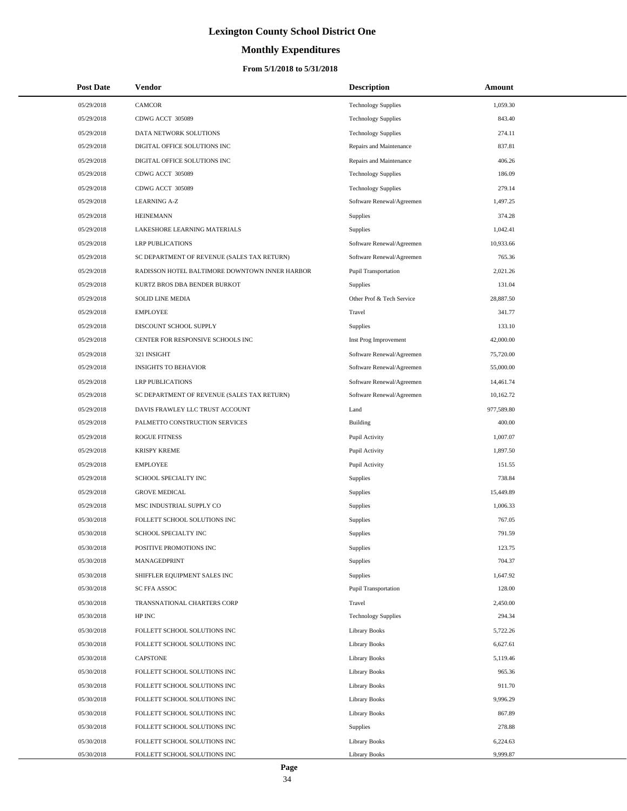# **Monthly Expenditures**

| <b>Post Date</b>         | Vendor                                                       | <b>Description</b>                    | Amount               |
|--------------------------|--------------------------------------------------------------|---------------------------------------|----------------------|
| 05/29/2018               | <b>CAMCOR</b>                                                | <b>Technology Supplies</b>            | 1,059.30             |
| 05/29/2018               | CDWG ACCT 305089                                             | <b>Technology Supplies</b>            | 843.40               |
| 05/29/2018               | DATA NETWORK SOLUTIONS                                       | <b>Technology Supplies</b>            | 274.11               |
| 05/29/2018               | DIGITAL OFFICE SOLUTIONS INC                                 | Repairs and Maintenance               | 837.81               |
| 05/29/2018               | DIGITAL OFFICE SOLUTIONS INC                                 | Repairs and Maintenance               | 406.26               |
| 05/29/2018               | CDWG ACCT 305089                                             | <b>Technology Supplies</b>            | 186.09               |
| 05/29/2018               | CDWG ACCT 305089                                             | <b>Technology Supplies</b>            | 279.14               |
| 05/29/2018               | <b>LEARNING A-Z</b>                                          | Software Renewal/Agreemen             | 1,497.25             |
| 05/29/2018               | <b>HEINEMANN</b>                                             | <b>Supplies</b>                       | 374.28               |
| 05/29/2018               | LAKESHORE LEARNING MATERIALS                                 | Supplies                              | 1,042.41             |
| 05/29/2018               | <b>LRP PUBLICATIONS</b>                                      | Software Renewal/Agreemen             | 10,933.66            |
| 05/29/2018               | SC DEPARTMENT OF REVENUE (SALES TAX RETURN)                  | Software Renewal/Agreemen             | 765.36               |
| 05/29/2018               | RADISSON HOTEL BALTIMORE DOWNTOWN INNER HARBOR               | <b>Pupil Transportation</b>           | 2,021.26             |
| 05/29/2018               | KURTZ BROS DBA BENDER BURKOT                                 | <b>Supplies</b>                       | 131.04               |
| 05/29/2018               | <b>SOLID LINE MEDIA</b>                                      | Other Prof & Tech Service             | 28,887.50            |
| 05/29/2018               | <b>EMPLOYEE</b>                                              | Travel                                | 341.77               |
| 05/29/2018               | DISCOUNT SCHOOL SUPPLY                                       | <b>Supplies</b>                       | 133.10               |
| 05/29/2018               | CENTER FOR RESPONSIVE SCHOOLS INC                            | Inst Prog Improvement                 | 42,000.00            |
| 05/29/2018               | 321 INSIGHT                                                  | Software Renewal/Agreemen             | 75,720.00            |
| 05/29/2018               | <b>INSIGHTS TO BEHAVIOR</b>                                  | Software Renewal/Agreemen             | 55,000.00            |
| 05/29/2018               | <b>LRP PUBLICATIONS</b>                                      | Software Renewal/Agreemen             | 14,461.74            |
| 05/29/2018               | SC DEPARTMENT OF REVENUE (SALES TAX RETURN)                  | Software Renewal/Agreemen             | 10,162.72            |
| 05/29/2018               | DAVIS FRAWLEY LLC TRUST ACCOUNT                              | Land                                  | 977,589.80           |
| 05/29/2018               | PALMETTO CONSTRUCTION SERVICES                               | Building                              | 400.00               |
| 05/29/2018               | <b>ROGUE FITNESS</b>                                         | Pupil Activity                        | 1,007.07             |
| 05/29/2018               | <b>KRISPY KREME</b>                                          | Pupil Activity                        | 1,897.50             |
| 05/29/2018               | <b>EMPLOYEE</b>                                              | Pupil Activity                        | 151.55               |
| 05/29/2018               | SCHOOL SPECIALTY INC                                         | Supplies                              | 738.84               |
| 05/29/2018               | <b>GROVE MEDICAL</b>                                         | Supplies                              | 15,449.89            |
| 05/29/2018               | MSC INDUSTRIAL SUPPLY CO                                     | Supplies                              | 1,006.33             |
| 05/30/2018               | FOLLETT SCHOOL SOLUTIONS INC                                 | Supplies                              | 767.05               |
| 05/30/2018               | SCHOOL SPECIALTY INC                                         | Supplies                              | 791.59               |
| 05/30/2018               | POSITIVE PROMOTIONS INC                                      | Supplies                              | 123.75               |
| 05/30/2018               | MANAGEDPRINT                                                 | <b>Supplies</b>                       | 704.37               |
| 05/30/2018               | SHIFFLER EQUIPMENT SALES INC                                 | Supplies                              | 1,647.92             |
| 05/30/2018               | SC FFA ASSOC                                                 | <b>Pupil Transportation</b>           | 128.00               |
| 05/30/2018               | TRANSNATIONAL CHARTERS CORP                                  | Travel                                | 2,450.00             |
| 05/30/2018               | HP INC                                                       | <b>Technology Supplies</b>            | 294.34               |
| 05/30/2018               | FOLLETT SCHOOL SOLUTIONS INC<br>FOLLETT SCHOOL SOLUTIONS INC | Library Books                         | 5,722.26<br>6,627.61 |
| 05/30/2018               |                                                              | Library Books                         |                      |
| 05/30/2018<br>05/30/2018 | <b>CAPSTONE</b><br>FOLLETT SCHOOL SOLUTIONS INC              | <b>Library Books</b><br>Library Books | 5,119.46<br>965.36   |
|                          |                                                              |                                       |                      |
| 05/30/2018<br>05/30/2018 | FOLLETT SCHOOL SOLUTIONS INC<br>FOLLETT SCHOOL SOLUTIONS INC | Library Books<br>Library Books        | 911.70<br>9,996.29   |
| 05/30/2018               | FOLLETT SCHOOL SOLUTIONS INC                                 | <b>Library Books</b>                  | 867.89               |
| 05/30/2018               | FOLLETT SCHOOL SOLUTIONS INC                                 | Supplies                              | 278.88               |
| 05/30/2018               | FOLLETT SCHOOL SOLUTIONS INC                                 | Library Books                         | 6,224.63             |
| 05/30/2018               | FOLLETT SCHOOL SOLUTIONS INC                                 | <b>Library Books</b>                  | 9,999.87             |
|                          |                                                              |                                       |                      |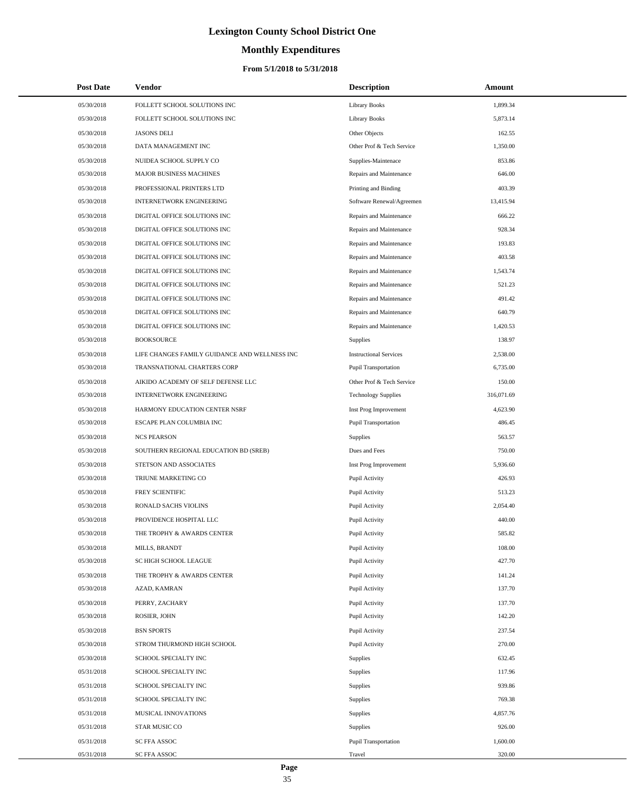# **Monthly Expenditures**

#### **From 5/1/2018 to 5/31/2018**

| <b>Post Date</b> | Vendor                                        | <b>Description</b>            | Amount     |
|------------------|-----------------------------------------------|-------------------------------|------------|
| 05/30/2018       | FOLLETT SCHOOL SOLUTIONS INC                  | <b>Library Books</b>          | 1,899.34   |
| 05/30/2018       | FOLLETT SCHOOL SOLUTIONS INC                  | <b>Library Books</b>          | 5,873.14   |
| 05/30/2018       | <b>JASONS DELI</b>                            | Other Objects                 | 162.55     |
| 05/30/2018       | DATA MANAGEMENT INC                           | Other Prof & Tech Service     | 1,350.00   |
| 05/30/2018       | NUIDEA SCHOOL SUPPLY CO                       | Supplies-Maintenace           | 853.86     |
| 05/30/2018       | MAJOR BUSINESS MACHINES                       | Repairs and Maintenance       | 646.00     |
| 05/30/2018       | PROFESSIONAL PRINTERS LTD                     | Printing and Binding          | 403.39     |
| 05/30/2018       | <b>INTERNETWORK ENGINEERING</b>               | Software Renewal/Agreemen     | 13,415.94  |
| 05/30/2018       | DIGITAL OFFICE SOLUTIONS INC                  | Repairs and Maintenance       | 666.22     |
| 05/30/2018       | DIGITAL OFFICE SOLUTIONS INC                  | Repairs and Maintenance       | 928.34     |
| 05/30/2018       | DIGITAL OFFICE SOLUTIONS INC                  | Repairs and Maintenance       | 193.83     |
| 05/30/2018       | DIGITAL OFFICE SOLUTIONS INC                  | Repairs and Maintenance       | 403.58     |
| 05/30/2018       | DIGITAL OFFICE SOLUTIONS INC                  | Repairs and Maintenance       | 1,543.74   |
| 05/30/2018       | DIGITAL OFFICE SOLUTIONS INC                  | Repairs and Maintenance       | 521.23     |
| 05/30/2018       | DIGITAL OFFICE SOLUTIONS INC                  | Repairs and Maintenance       | 491.42     |
| 05/30/2018       | DIGITAL OFFICE SOLUTIONS INC                  | Repairs and Maintenance       | 640.79     |
| 05/30/2018       | DIGITAL OFFICE SOLUTIONS INC                  | Repairs and Maintenance       | 1,420.53   |
| 05/30/2018       | <b>BOOKSOURCE</b>                             | Supplies                      | 138.97     |
| 05/30/2018       | LIFE CHANGES FAMILY GUIDANCE AND WELLNESS INC | <b>Instructional Services</b> | 2,538.00   |
| 05/30/2018       | TRANSNATIONAL CHARTERS CORP                   | <b>Pupil Transportation</b>   | 6,735.00   |
| 05/30/2018       | AIKIDO ACADEMY OF SELF DEFENSE LLC            | Other Prof & Tech Service     | 150.00     |
| 05/30/2018       | <b>INTERNETWORK ENGINEERING</b>               | <b>Technology Supplies</b>    | 316,071.69 |
| 05/30/2018       | HARMONY EDUCATION CENTER NSRF                 | Inst Prog Improvement         | 4,623.90   |
| 05/30/2018       | ESCAPE PLAN COLUMBIA INC                      | <b>Pupil Transportation</b>   | 486.45     |
| 05/30/2018       | <b>NCS PEARSON</b>                            | Supplies                      | 563.57     |
| 05/30/2018       | SOUTHERN REGIONAL EDUCATION BD (SREB)         | Dues and Fees                 | 750.00     |
| 05/30/2018       | STETSON AND ASSOCIATES                        | Inst Prog Improvement         | 5,936.60   |
| 05/30/2018       | <b>TRIUNE MARKETING CO</b>                    | Pupil Activity                | 426.93     |
| 05/30/2018       | FREY SCIENTIFIC                               | Pupil Activity                | 513.23     |
| 05/30/2018       | RONALD SACHS VIOLINS                          | Pupil Activity                | 2,054.40   |
| 05/30/2018       | PROVIDENCE HOSPITAL LLC                       | Pupil Activity                | 440.00     |
| 05/30/2018       | THE TROPHY & AWARDS CENTER                    | Pupil Activity                | 585.82     |
| 05/30/2018       | MILLS, BRANDT                                 | Pupil Activity                | 108.00     |
| 05/30/2018       | SC HIGH SCHOOL LEAGUE                         | Pupil Activity                | 427.70     |
| 05/30/2018       | THE TROPHY & AWARDS CENTER                    | Pupil Activity                | 141.24     |
| 05/30/2018       | AZAD, KAMRAN                                  | Pupil Activity                | 137.70     |
| 05/30/2018       | PERRY, ZACHARY                                | Pupil Activity                | 137.70     |
| 05/30/2018       | ROSIER, JOHN                                  | Pupil Activity                | 142.20     |
| 05/30/2018       | <b>BSN SPORTS</b>                             | Pupil Activity                | 237.54     |
| 05/30/2018       | STROM THURMOND HIGH SCHOOL                    | Pupil Activity                | 270.00     |
| 05/30/2018       | SCHOOL SPECIALTY INC                          | Supplies                      | 632.45     |
| 05/31/2018       | SCHOOL SPECIALTY INC                          | Supplies                      | 117.96     |
| 05/31/2018       | SCHOOL SPECIALTY INC                          | Supplies                      | 939.86     |
| 05/31/2018       | SCHOOL SPECIALTY INC                          | Supplies                      | 769.38     |
| 05/31/2018       | MUSICAL INNOVATIONS                           | Supplies                      | 4,857.76   |
| 05/31/2018       | STAR MUSIC CO                                 | Supplies                      | 926.00     |
| 05/31/2018       | SC FFA ASSOC                                  | <b>Pupil Transportation</b>   | 1,600.00   |
| 05/31/2018       | SC FFA ASSOC                                  | Travel                        | 320.00     |

 $\overline{a}$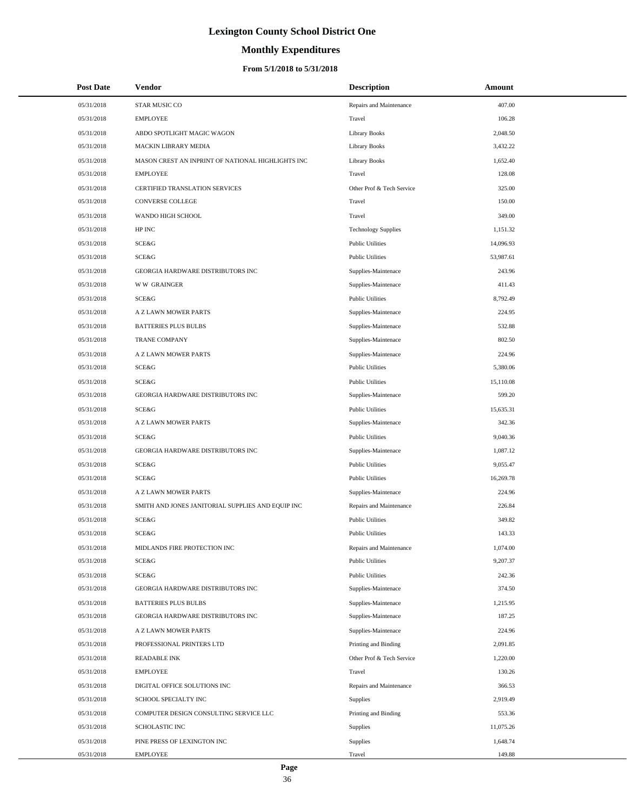# **Monthly Expenditures**

| <b>Post Date</b> | Vendor                                            | <b>Description</b>         | Amount    |
|------------------|---------------------------------------------------|----------------------------|-----------|
| 05/31/2018       | <b>STAR MUSIC CO</b>                              | Repairs and Maintenance    | 407.00    |
| 05/31/2018       | <b>EMPLOYEE</b>                                   | Travel                     | 106.28    |
| 05/31/2018       | ABDO SPOTLIGHT MAGIC WAGON                        | <b>Library Books</b>       | 2,048.50  |
| 05/31/2018       | MACKIN LIBRARY MEDIA                              | Library Books              | 3,432.22  |
| 05/31/2018       | MASON CREST AN INPRINT OF NATIONAL HIGHLIGHTS INC | <b>Library Books</b>       | 1,652.40  |
| 05/31/2018       | <b>EMPLOYEE</b>                                   | Travel                     | 128.08    |
| 05/31/2018       | <b>CERTIFIED TRANSLATION SERVICES</b>             | Other Prof & Tech Service  | 325.00    |
| 05/31/2018       | CONVERSE COLLEGE                                  | Travel                     | 150.00    |
| 05/31/2018       | WANDO HIGH SCHOOL                                 | Travel                     | 349.00    |
| 05/31/2018       | HP INC                                            | <b>Technology Supplies</b> | 1,151.32  |
| 05/31/2018       | SCE&G                                             | <b>Public Utilities</b>    | 14,096.93 |
| 05/31/2018       | <b>SCE&amp;G</b>                                  | <b>Public Utilities</b>    | 53,987.61 |
| 05/31/2018       | GEORGIA HARDWARE DISTRIBUTORS INC                 | Supplies-Maintenace        | 243.96    |
| 05/31/2018       | <b>WW GRAINGER</b>                                | Supplies-Maintenace        | 411.43    |
| 05/31/2018       | <b>SCE&amp;G</b>                                  | <b>Public Utilities</b>    | 8,792.49  |
| 05/31/2018       | A Z LAWN MOWER PARTS                              | Supplies-Maintenace        | 224.95    |
| 05/31/2018       | <b>BATTERIES PLUS BULBS</b>                       | Supplies-Maintenace        | 532.88    |
| 05/31/2018       | TRANE COMPANY                                     | Supplies-Maintenace        | 802.50    |
| 05/31/2018       | A Z LAWN MOWER PARTS                              | Supplies-Maintenace        | 224.96    |
| 05/31/2018       | <b>SCE&amp;G</b>                                  | <b>Public Utilities</b>    | 5,380.06  |
| 05/31/2018       | SCE&G                                             | <b>Public Utilities</b>    | 15,110.08 |
| 05/31/2018       | GEORGIA HARDWARE DISTRIBUTORS INC                 | Supplies-Maintenace        | 599.20    |
| 05/31/2018       | <b>SCE&amp;G</b>                                  | <b>Public Utilities</b>    | 15,635.31 |
| 05/31/2018       | A Z LAWN MOWER PARTS                              | Supplies-Maintenace        | 342.36    |
| 05/31/2018       | SCE&G                                             | <b>Public Utilities</b>    | 9,040.36  |
| 05/31/2018       | GEORGIA HARDWARE DISTRIBUTORS INC                 | Supplies-Maintenace        | 1,087.12  |
| 05/31/2018       | SCE&G                                             | <b>Public Utilities</b>    | 9,055.47  |
| 05/31/2018       | <b>SCE&amp;G</b>                                  | <b>Public Utilities</b>    | 16,269.78 |
| 05/31/2018       | A Z LAWN MOWER PARTS                              | Supplies-Maintenace        | 224.96    |
| 05/31/2018       | SMITH AND JONES JANITORIAL SUPPLIES AND EQUIP INC | Repairs and Maintenance    | 226.84    |
| 05/31/2018       | SCE&G                                             | <b>Public Utilities</b>    | 349.82    |
| 05/31/2018       | SCE&G                                             | <b>Public Utilities</b>    | 143.33    |
| 05/31/2018       | MIDLANDS FIRE PROTECTION INC                      | Repairs and Maintenance    | 1,074.00  |
| 05/31/2018       | SCE&G                                             | <b>Public Utilities</b>    | 9,207.37  |
| 05/31/2018       | SCE&G                                             | <b>Public Utilities</b>    | 242.36    |
| 05/31/2018       | GEORGIA HARDWARE DISTRIBUTORS INC                 | Supplies-Maintenace        | 374.50    |
| 05/31/2018       | <b>BATTERIES PLUS BULBS</b>                       | Supplies-Maintenace        | 1,215.95  |
| 05/31/2018       | GEORGIA HARDWARE DISTRIBUTORS INC                 | Supplies-Maintenace        | 187.25    |
| 05/31/2018       | A Z LAWN MOWER PARTS                              | Supplies-Maintenace        | 224.96    |
| 05/31/2018       | PROFESSIONAL PRINTERS LTD                         | Printing and Binding       | 2,091.85  |
| 05/31/2018       | <b>READABLE INK</b>                               | Other Prof & Tech Service  | 1,220.00  |
| 05/31/2018       | <b>EMPLOYEE</b>                                   | Travel                     | 130.26    |
| 05/31/2018       | DIGITAL OFFICE SOLUTIONS INC                      | Repairs and Maintenance    | 366.53    |
| 05/31/2018       | SCHOOL SPECIALTY INC                              | Supplies                   | 2,919.49  |
| 05/31/2018       | COMPUTER DESIGN CONSULTING SERVICE LLC            | Printing and Binding       | 553.36    |
| 05/31/2018       | SCHOLASTIC INC                                    | Supplies                   | 11,075.26 |
| 05/31/2018       | PINE PRESS OF LEXINGTON INC                       | Supplies                   | 1,648.74  |
| 05/31/2018       | EMPLOYEE                                          | Travel                     | 149.88    |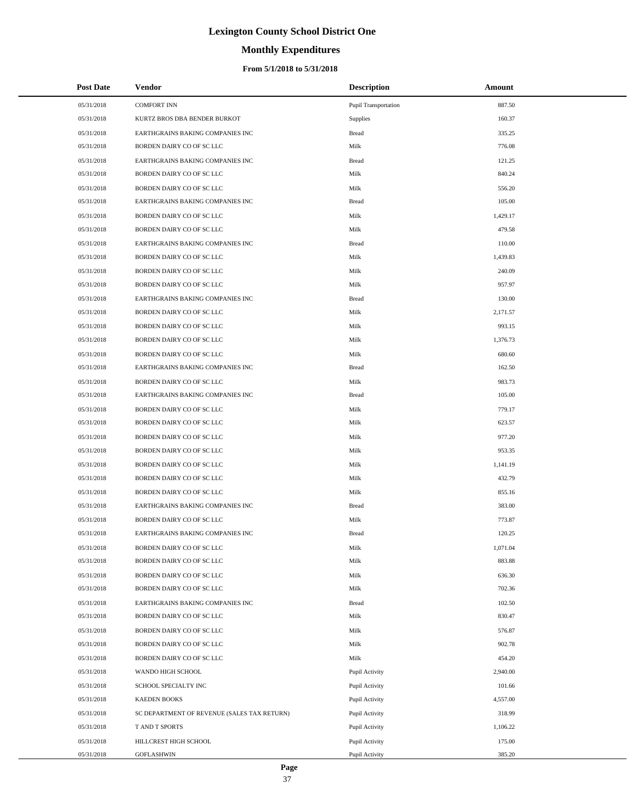# **Monthly Expenditures**

#### **From 5/1/2018 to 5/31/2018**

|            | <b>Post Date</b> | Vendor                                      | <b>Description</b>   | Amount   |
|------------|------------------|---------------------------------------------|----------------------|----------|
| 05/31/2018 |                  | <b>COMFORT INN</b>                          | Pupil Transportation | 887.50   |
| 05/31/2018 |                  | KURTZ BROS DBA BENDER BURKOT                | Supplies             | 160.37   |
| 05/31/2018 |                  | EARTHGRAINS BAKING COMPANIES INC            | <b>Bread</b>         | 335.25   |
| 05/31/2018 |                  | BORDEN DAIRY CO OF SC LLC                   | Milk                 | 776.08   |
| 05/31/2018 |                  | EARTHGRAINS BAKING COMPANIES INC            | <b>Bread</b>         | 121.25   |
| 05/31/2018 |                  | BORDEN DAIRY CO OF SC LLC                   | Milk                 | 840.24   |
| 05/31/2018 |                  | BORDEN DAIRY CO OF SC LLC                   | Milk                 | 556.20   |
| 05/31/2018 |                  | EARTHGRAINS BAKING COMPANIES INC            | <b>Bread</b>         | 105.00   |
| 05/31/2018 |                  | BORDEN DAIRY CO OF SC LLC                   | Milk                 | 1,429.17 |
| 05/31/2018 |                  | BORDEN DAIRY CO OF SC LLC                   | Milk                 | 479.58   |
| 05/31/2018 |                  | EARTHGRAINS BAKING COMPANIES INC            | <b>Bread</b>         | 110.00   |
| 05/31/2018 |                  | BORDEN DAIRY CO OF SC LLC                   | Milk                 | 1,439.83 |
| 05/31/2018 |                  | BORDEN DAIRY CO OF SC LLC                   | Milk                 | 240.09   |
| 05/31/2018 |                  | BORDEN DAIRY CO OF SC LLC                   | Milk                 | 957.97   |
| 05/31/2018 |                  | EARTHGRAINS BAKING COMPANIES INC            | <b>Bread</b>         | 130.00   |
| 05/31/2018 |                  | BORDEN DAIRY CO OF SC LLC                   | Milk                 | 2,171.57 |
| 05/31/2018 |                  | BORDEN DAIRY CO OF SC LLC                   | Milk                 | 993.15   |
| 05/31/2018 |                  | BORDEN DAIRY CO OF SC LLC                   | Milk                 | 1,376.73 |
| 05/31/2018 |                  | BORDEN DAIRY CO OF SC LLC                   | Milk                 | 680.60   |
| 05/31/2018 |                  | EARTHGRAINS BAKING COMPANIES INC            | Bread                | 162.50   |
| 05/31/2018 |                  | BORDEN DAIRY CO OF SC LLC                   | Milk                 | 983.73   |
| 05/31/2018 |                  | EARTHGRAINS BAKING COMPANIES INC            | <b>Bread</b>         | 105.00   |
| 05/31/2018 |                  | BORDEN DAIRY CO OF SC LLC                   | Milk                 | 779.17   |
| 05/31/2018 |                  | BORDEN DAIRY CO OF SC LLC                   | Milk                 | 623.57   |
| 05/31/2018 |                  | BORDEN DAIRY CO OF SC LLC                   | Milk                 | 977.20   |
| 05/31/2018 |                  | BORDEN DAIRY CO OF SC LLC                   | Milk                 | 953.35   |
| 05/31/2018 |                  | BORDEN DAIRY CO OF SC LLC                   | Milk                 | 1,141.19 |
| 05/31/2018 |                  | BORDEN DAIRY CO OF SC LLC                   | Milk                 | 432.79   |
| 05/31/2018 |                  | BORDEN DAIRY CO OF SC LLC                   | Milk                 | 855.16   |
| 05/31/2018 |                  | EARTHGRAINS BAKING COMPANIES INC            | <b>Bread</b>         | 383.00   |
| 05/31/2018 |                  | BORDEN DAIRY CO OF SC LLC                   | Milk                 | 773.87   |
| 05/31/2018 |                  | EARTHGRAINS BAKING COMPANIES INC            | <b>Bread</b>         | 120.25   |
| 05/31/2018 |                  | BORDEN DAIRY CO OF SC LLC                   | Milk                 | 1,071.04 |
| 05/31/2018 |                  | BORDEN DAIRY CO OF SC LLC                   | Milk                 | 883.88   |
| 05/31/2018 |                  | BORDEN DAIRY CO OF SC LLC                   | Milk                 | 636.30   |
| 05/31/2018 |                  | BORDEN DAIRY CO OF SC LLC                   | Milk                 | 702.36   |
| 05/31/2018 |                  | EARTHGRAINS BAKING COMPANIES INC            | Bread                | 102.50   |
| 05/31/2018 |                  | BORDEN DAIRY CO OF SC LLC                   | Milk                 | 830.47   |
| 05/31/2018 |                  | BORDEN DAIRY CO OF SC LLC                   | Milk                 | 576.87   |
| 05/31/2018 |                  | BORDEN DAIRY CO OF SC LLC                   | Milk                 | 902.78   |
| 05/31/2018 |                  | BORDEN DAIRY CO OF SC LLC                   | Milk                 | 454.20   |
| 05/31/2018 |                  | WANDO HIGH SCHOOL                           | Pupil Activity       | 2,940.00 |
| 05/31/2018 |                  | SCHOOL SPECIALTY INC                        | Pupil Activity       | 101.66   |
| 05/31/2018 |                  | <b>KAEDEN BOOKS</b>                         | Pupil Activity       | 4,557.00 |
| 05/31/2018 |                  | SC DEPARTMENT OF REVENUE (SALES TAX RETURN) | Pupil Activity       | 318.99   |
| 05/31/2018 |                  | T AND T SPORTS                              | Pupil Activity       | 1,106.22 |
| 05/31/2018 |                  | HILLCREST HIGH SCHOOL                       | Pupil Activity       | 175.00   |
| 05/31/2018 |                  | <b>GOFLASHWIN</b>                           | Pupil Activity       | 385.20   |